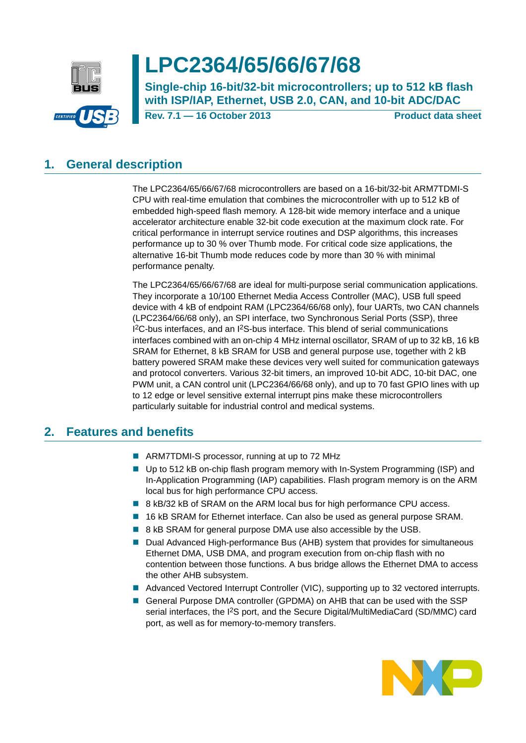

# **LPC2364/65/66/67/68**

**Single-chip 16-bit/32-bit microcontrollers; up to 512 kB flash with ISP/IAP, Ethernet, USB 2.0, CAN, and 10-bit ADC/DAC**

**Rev. 7.1 — 16 October 2013 Product data sheet**

## <span id="page-0-0"></span>**1. General description**

The LPC2364/65/66/67/68 microcontrollers are based on a 16-bit/32-bit ARM7TDMI-S CPU with real-time emulation that combines the microcontroller with up to 512 kB of embedded high-speed flash memory. A 128-bit wide memory interface and a unique accelerator architecture enable 32-bit code execution at the maximum clock rate. For critical performance in interrupt service routines and DSP algorithms, this increases performance up to 30 % over Thumb mode. For critical code size applications, the alternative 16-bit Thumb mode reduces code by more than 30 % with minimal performance penalty.

The LPC2364/65/66/67/68 are ideal for multi-purpose serial communication applications. They incorporate a 10/100 Ethernet Media Access Controller (MAC), USB full speed device with 4 kB of endpoint RAM (LPC2364/66/68 only), four UARTs, two CAN channels (LPC2364/66/68 only), an SPI interface, two Synchronous Serial Ports (SSP), three 1<sup>2</sup>C-bus interfaces, and an 1<sup>2</sup>S-bus interface. This blend of serial communications interfaces combined with an on-chip 4 MHz internal oscillator, SRAM of up to 32 kB, 16 kB SRAM for Ethernet, 8 kB SRAM for USB and general purpose use, together with 2 kB battery powered SRAM make these devices very well suited for communication gateways and protocol converters. Various 32-bit timers, an improved 10-bit ADC, 10-bit DAC, one PWM unit, a CAN control unit (LPC2364/66/68 only), and up to 70 fast GPIO lines with up to 12 edge or level sensitive external interrupt pins make these microcontrollers particularly suitable for industrial control and medical systems.

## <span id="page-0-1"></span>**2. Features and benefits**

- ARM7TDMI-S processor, running at up to 72 MHz
- Up to 512 kB on-chip flash program memory with In-System Programming (ISP) and In-Application Programming (IAP) capabilities. Flash program memory is on the ARM local bus for high performance CPU access.
- 8 kB/32 kB of SRAM on the ARM local bus for high performance CPU access.
- 16 kB SRAM for Ethernet interface. Can also be used as general purpose SRAM.
- 8 kB SRAM for general purpose DMA use also accessible by the USB.
- Dual Advanced High-performance Bus (AHB) system that provides for simultaneous Ethernet DMA, USB DMA, and program execution from on-chip flash with no contention between those functions. A bus bridge allows the Ethernet DMA to access the other AHB subsystem.
- **Advanced Vectored Interrupt Controller (VIC), supporting up to 32 vectored interrupts.**
- General Purpose DMA controller (GPDMA) on AHB that can be used with the SSP serial interfaces, the I<sup>2</sup>S port, and the Secure Digital/MultiMediaCard (SD/MMC) card port, as well as for memory-to-memory transfers.

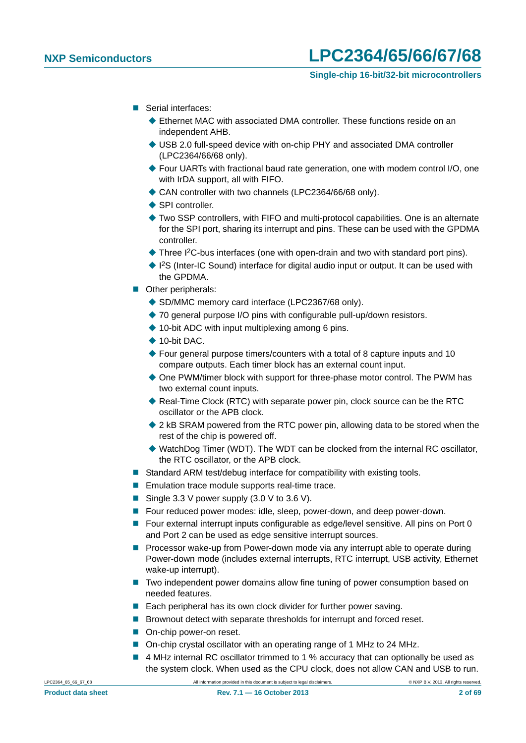- Serial interfaces:
	- ◆ Ethernet MAC with associated DMA controller. These functions reside on an independent AHB.
	- ◆ USB 2.0 full-speed device with on-chip PHY and associated DMA controller (LPC2364/66/68 only).
	- ◆ Four UARTs with fractional baud rate generation, one with modem control I/O, one with IrDA support, all with FIFO.
	- ◆ CAN controller with two channels (LPC2364/66/68 only).
	- ◆ SPI controller.
	- Two SSP controllers, with FIFO and multi-protocol capabilities. One is an alternate for the SPI port, sharing its interrupt and pins. These can be used with the GPDMA controller.
	- ◆ Three I<sup>2</sup>C-bus interfaces (one with open-drain and two with standard port pins).
	- ◆ I<sup>2</sup>S (Inter-IC Sound) interface for digital audio input or output. It can be used with the GPDMA.
- **Other peripherals:** 
	- ◆ SD/MMC memory card interface (LPC2367/68 only).
	- ◆ 70 general purpose I/O pins with configurable pull-up/down resistors.
	- $\triangle$  10-bit ADC with input multiplexing among 6 pins.
	- ◆ 10-bit DAC.
	- ◆ Four general purpose timers/counters with a total of 8 capture inputs and 10 compare outputs. Each timer block has an external count input.
	- One PWM/timer block with support for three-phase motor control. The PWM has two external count inputs.
	- Real-Time Clock (RTC) with separate power pin, clock source can be the RTC oscillator or the APB clock.
	- ◆ 2 kB SRAM powered from the RTC power pin, allowing data to be stored when the rest of the chip is powered off.
	- ◆ WatchDog Timer (WDT). The WDT can be clocked from the internal RC oscillator, the RTC oscillator, or the APB clock.
- Standard ARM test/debug interface for compatibility with existing tools.
- **Emulation trace module supports real-time trace.**
- Single 3.3 V power supply  $(3.0 \vee$  to 3.6 V).
- Four reduced power modes: idle, sleep, power-down, and deep power-down.
- Four external interrupt inputs configurable as edge/level sensitive. All pins on Port 0 and Port 2 can be used as edge sensitive interrupt sources.
- **Processor wake-up from Power-down mode via any interrupt able to operate during** Power-down mode (includes external interrupts, RTC interrupt, USB activity, Ethernet wake-up interrupt).
- Two independent power domains allow fine tuning of power consumption based on needed features.
- $\blacksquare$  Each peripheral has its own clock divider for further power saving.
- Brownout detect with separate thresholds for interrupt and forced reset.
- On-chip power-on reset.
- On-chip crystal oscillator with an operating range of 1 MHz to 24 MHz.
- 4 MHz internal RC oscillator trimmed to 1 % accuracy that can optionally be used as the system clock. When used as the CPU clock, does not allow CAN and USB to run.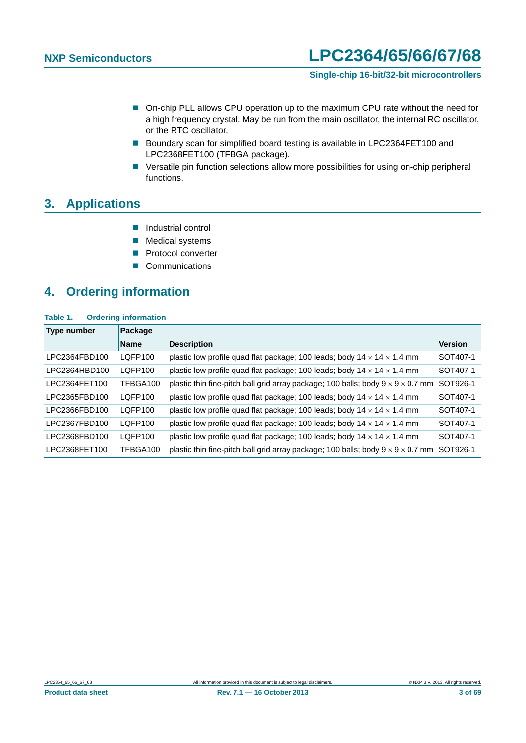#### **Single-chip 16-bit/32-bit microcontrollers**

- On-chip PLL allows CPU operation up to the maximum CPU rate without the need for a high frequency crystal. May be run from the main oscillator, the internal RC oscillator, or the RTC oscillator.
- Boundary scan for simplified board testing is available in LPC2364FET100 and LPC2368FET100 (TFBGA package).
- **E** Versatile pin function selections allow more possibilities for using on-chip peripheral functions.

### <span id="page-2-0"></span>**3. Applications**

- **Industrial control**
- **Medical systems**
- **Protocol converter**
- Communications

### <span id="page-2-1"></span>**4. Ordering information**

#### **Table 1. Ordering information**

| Type number   | Package        |                                                                                             |                |  |  |  |  |  |  |  |  |  |
|---------------|----------------|---------------------------------------------------------------------------------------------|----------------|--|--|--|--|--|--|--|--|--|
|               | <b>Name</b>    | <b>Description</b>                                                                          | <b>Version</b> |  |  |  |  |  |  |  |  |  |
| LPC2364FBD100 | LOFP100        | plastic low profile quad flat package; 100 leads; body $14 \times 14 \times 1.4$ mm         | SOT407-1       |  |  |  |  |  |  |  |  |  |
| LPC2364HBD100 | <b>LOFP100</b> | plastic low profile quad flat package; 100 leads; body $14 \times 14 \times 1.4$ mm         | SOT407-1       |  |  |  |  |  |  |  |  |  |
| LPC2364FET100 | TFBGA100       | plastic thin fine-pitch ball grid array package; 100 balls; body $9 \times 9 \times 0.7$ mm | SOT926-1       |  |  |  |  |  |  |  |  |  |
| LPC2365FBD100 | LQFP100        | plastic low profile quad flat package; 100 leads; body $14 \times 14 \times 1.4$ mm         | SOT407-1       |  |  |  |  |  |  |  |  |  |
| LPC2366FBD100 | LQFP100        | plastic low profile quad flat package; 100 leads; body $14 \times 14 \times 1.4$ mm         | SOT407-1       |  |  |  |  |  |  |  |  |  |
| LPC2367FBD100 | LOFP100        | plastic low profile quad flat package; 100 leads; body $14 \times 14 \times 1.4$ mm         | SOT407-1       |  |  |  |  |  |  |  |  |  |
| LPC2368FBD100 | <b>LOFP100</b> | plastic low profile quad flat package; 100 leads; body $14 \times 14 \times 1.4$ mm         | SOT407-1       |  |  |  |  |  |  |  |  |  |
| LPC2368FET100 | TFBGA100       | plastic thin fine-pitch ball grid array package; 100 balls; body $9 \times 9 \times 0.7$ mm | SOT926-1       |  |  |  |  |  |  |  |  |  |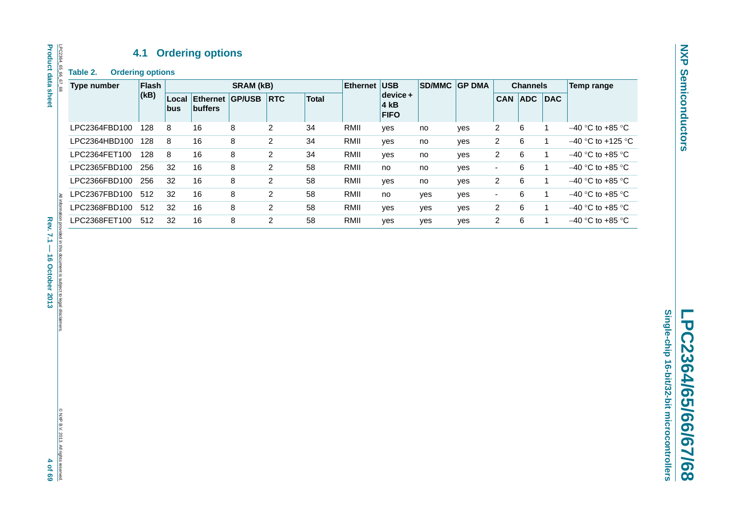## **4.1 Ordering options**

**Table 2. Ordering options**

| <b>Type number</b> | <b>Flash</b> |              | <b>SRAM (kB)</b>           |               |                | <b>Ethernet</b> | <b>USB</b><br><b>SD/MMC</b> |                                   | <b>GP DMA</b> | <b>Channels</b> |                |            | Temp range |                     |
|--------------------|--------------|--------------|----------------------------|---------------|----------------|-----------------|-----------------------------|-----------------------------------|---------------|-----------------|----------------|------------|------------|---------------------|
|                    | (kB)         | Local<br>bus | Ethernet<br><b>buffers</b> | <b>GP/USB</b> | <b>RTC</b>     | <b>Total</b>    |                             | $device +$<br>4 kB<br><b>FIFO</b> |               |                 | <b>CAN</b>     | <b>ADC</b> | <b>DAC</b> |                     |
| LPC2364FBD100      | 128          | 8            | 16                         | 8             | $\overline{2}$ | 34              | RMII                        | yes                               | no            | yes             | 2              | 6          |            | $-40$ °C to +85 °C  |
| LPC2364HBD100      | 128          | 8            | 16                         | 8             | $\overline{2}$ | 34              | RMII                        | yes                               | no            | yes             | 2              | 6          |            | $-40$ °C to +125 °C |
| LPC2364FET100      | 128          | 8            | 16                         | 8             | $\overline{2}$ | 34              | RMII                        | yes                               | no            | yes             | 2              | 6          |            | $-40$ °C to +85 °C  |
| LPC2365FBD100      | 256          | 32           | 16                         | 8             | $\overline{2}$ | 58              | RMII                        | no                                | no            | yes             | $\blacksquare$ | 6          |            | $-40$ °C to +85 °C  |
| LPC2366FBD100      | 256          | 32           | 16                         | 8             | $\overline{2}$ | 58              | RMII                        | yes                               | no            | yes             | 2              | 6          |            | $-40$ °C to +85 °C  |
| LPC2367FBD100      | 512          | 32           | 16                         | 8             | $\overline{2}$ | 58              | RMII                        | no                                | yes           | yes             | ٠              | 6          |            | $-40$ °C to +85 °C  |
| LPC2368FBD100      | 512          | 32           | 16                         | 8             | $\overline{2}$ | 58              | RMII                        | yes                               | yes           | yes             | $\overline{2}$ | 6          |            | $-40$ °C to +85 °C  |
| LPC2368FET100      | 512          | 32           | 16                         | 8             | 2              | 58              | RMII                        | yes                               | yes           | yes             | 2              | 6          |            | $-40$ °C to +85 °C  |
|                    |              |              |                            |               |                |                 |                             |                                   |               |                 |                |            |            |                     |

<span id="page-3-0"></span>All information provided in this document is subject to legal disclaimers. Rev. 7.1 - 16 October 2013 **Rev. 7.1 — 16 October 2013 4 of 69** ided in this document is subject to legal disclaimer

**Product data sheet**

**Product data sheet**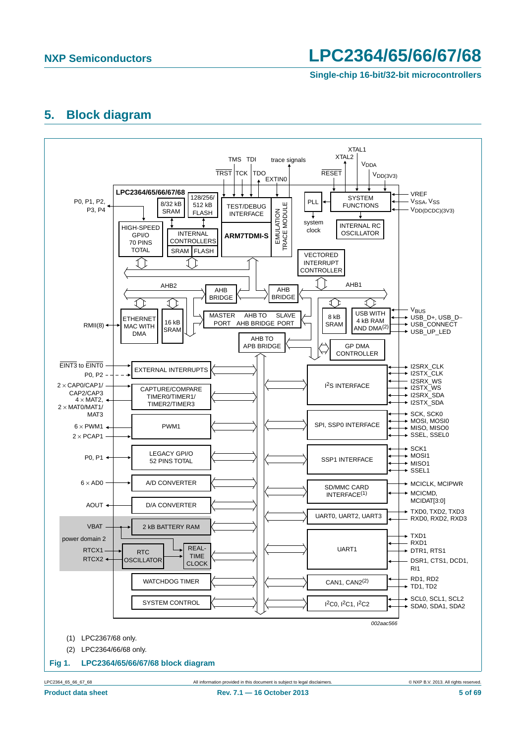**Single-chip 16-bit/32-bit microcontrollers**

### <span id="page-4-0"></span>**5. Block diagram**

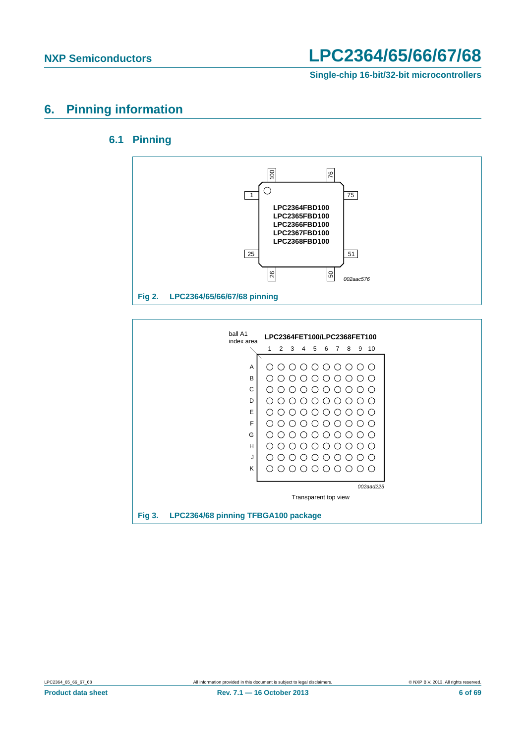

### <span id="page-5-1"></span><span id="page-5-0"></span>**6. Pinning information**

### **6.1 Pinning**



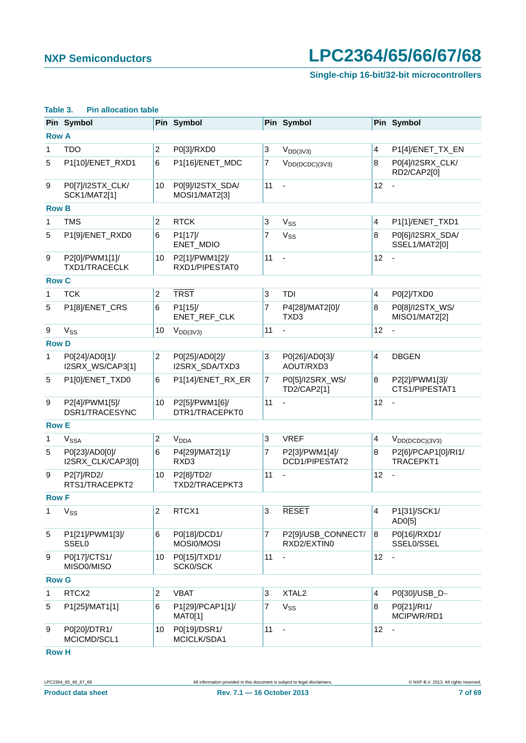### **Single-chip 16-bit/32-bit microcontrollers**

|                  | Pin Symbol                              |                  | Pin Symbol                        |                           | Pin Symbol                        |                         | Pin Symbol                        |
|------------------|-----------------------------------------|------------------|-----------------------------------|---------------------------|-----------------------------------|-------------------------|-----------------------------------|
| <b>Row A</b>     |                                         |                  |                                   |                           |                                   |                         |                                   |
| 1                | <b>TDO</b>                              | $\overline{c}$   | P0[3]/RXD0                        | $\ensuremath{\mathsf{3}}$ | $V_{DD(3V3)}$                     | 4                       | P1[4]/ENET_TX_EN                  |
| 5                | P1[10]/ENET_RXD1                        | 6                | P1[16]/ENET_MDC                   | $\overline{7}$            | $V_{DD(DCDC)(3V3)}$               | 8                       | P0[4]/I2SRX_CLK/<br>RD2/CAP2[0]   |
| 9                | P0[7]/I2STX_CLK/<br><b>SCK1/MAT2[1]</b> | 10               | P0[9]/I2STX_SDA/<br>MOSI1/MAT2[3] | 11                        | ä,                                | 12                      |                                   |
| <b>Row B</b>     |                                         |                  |                                   |                           |                                   |                         |                                   |
| 1                | <b>TMS</b>                              | $\overline{c}$   | <b>RTCK</b>                       | 3                         | V <sub>SS</sub>                   | $\overline{\mathbf{4}}$ | P1[1]/ENET_TXD1                   |
| 5                | P1[9]/ENET_RXD0                         | 6                | P1[17]/<br>ENET_MDIO              | 7                         | Vss                               | 8                       | P0[6]/I2SRX_SDA/<br>SSEL1/MAT2[0] |
| $\boldsymbol{9}$ | P2[0]/PWM1[1]/<br><b>TXD1/TRACECLK</b>  | 10               | P2[1]/PWM1[2]/<br>RXD1/PIPESTAT0  | 11                        | $\blacksquare$                    | 12                      |                                   |
| <b>Row C</b>     |                                         |                  |                                   |                           |                                   |                         |                                   |
| 1                | <b>TCK</b>                              | $\overline{c}$   | <b>TRST</b>                       | 3                         | <b>TDI</b>                        | $\overline{\mathbf{4}}$ | P0[2]/TXD0                        |
| 5                | P1[8]/ENET_CRS                          | 6                | P1[15]/<br>ENET_REF_CLK           | 7                         | P4[28]/MAT2[0]/<br>TXD3           | 8                       | P0[8]/I2STX_WS/<br>MISO1/MAT2[2]  |
| 9                | <b>V<sub>SS</sub></b>                   | 10               | $V_{DD(3V3)}$                     | 11                        |                                   | 12                      |                                   |
| <b>Row D</b>     |                                         |                  |                                   |                           |                                   |                         |                                   |
| 1                | P0[24]/AD0[1]/<br>I2SRX_WS/CAP3[1]      | $\overline{c}$   | P0[25]/AD0[2]/<br>I2SRX_SDA/TXD3  | 3                         | P0[26]/AD0[3]/<br>AOUT/RXD3       | 4                       | <b>DBGEN</b>                      |
| 5                | P1[0]/ENET_TXD0                         | 6                | P1[14]/ENET_RX_ER                 | $\overline{7}$            | P0[5]/I2SRX_WS/<br>TD2/CAP2[1]    | 8                       | P2[2]/PWM1[3]/<br>CTS1/PIPESTAT1  |
| 9                | P2[4]/PWM1[5]/<br>DSR1/TRACESYNC        | 10               | P2[5]/PWM1[6]/<br>DTR1/TRACEPKT0  | 11                        |                                   | 12                      |                                   |
| <b>Row E</b>     |                                         |                  |                                   |                           |                                   |                         |                                   |
| 1                | V <sub>SSA</sub>                        | $\overline{c}$   | <b>V<sub>DDA</sub></b>            | 3                         | <b>VREF</b>                       | 4                       | $V_{DD(DCDC)(3V3)}$               |
| 5                | P0[23]/AD0[0]/<br>I2SRX_CLK/CAP3[0]     | 6                | P4[29]/MAT2[1]/<br>RXD3           | 7                         | P2[3]/PWM1[4]/<br>DCD1/PIPESTAT2  | 8                       | P2[6]/PCAP1[0]/RI1/<br>TRACEPKT1  |
| 9                | P2[7]/RD2/<br>RTS1/TRACEPKT2            | 10               | P2[8]/TD2/<br>TXD2/TRACEPKT3      | 11                        | $\blacksquare$                    | 12                      | $\overline{\phantom{a}}$          |
| <b>Row F</b>     |                                         |                  |                                   |                           |                                   |                         |                                   |
| 1                | $V_{SS}$                                | 2                | RTCX <sub>1</sub>                 | 3                         | RESET                             | 4                       | P1[31]/SCK1/<br>AD0[5]            |
| 5                | P1[21]/PWM1[3]/<br><b>SSEL0</b>         | 6                | P0[18]/DCD1/<br>MOSI0/MOSI        | $\overline{7}$            | P2[9]/USB_CONNECT/<br>RXD2/EXTIN0 | 8                       | P0[16]/RXD1/<br>SSEL0/SSEL        |
| 9                | P0[17]/CTS1/<br>MISO0/MISO              | 10               | P0[15]/TXD1/<br>SCK0/SCK          | 11                        |                                   | 12                      |                                   |
| <b>Row G</b>     |                                         |                  |                                   |                           |                                   |                         |                                   |
| 1                | RTCX2                                   | $\boldsymbol{2}$ | <b>VBAT</b>                       | 3                         | XTAL <sub>2</sub>                 | $\overline{\mathbf{4}}$ | P0[30]/USB_D-                     |
| 5                | P1[25]/MAT1[1]                          | $\,6$            | P1[29]/PCAP1[1]/<br>MAT0[1]       | $\overline{7}$            | V <sub>SS</sub>                   | 8                       | P0[21]/RI1/<br>MCIPWR/RD1         |
| 9                | P0[20]/DTR1/<br>MCICMD/SCL1             | 10               | P0[19]/DSR1/<br>MCICLK/SDA1       | 11                        | $\blacksquare$                    | 12                      |                                   |

#### **Table 3. Pin allocation table**

**Row H**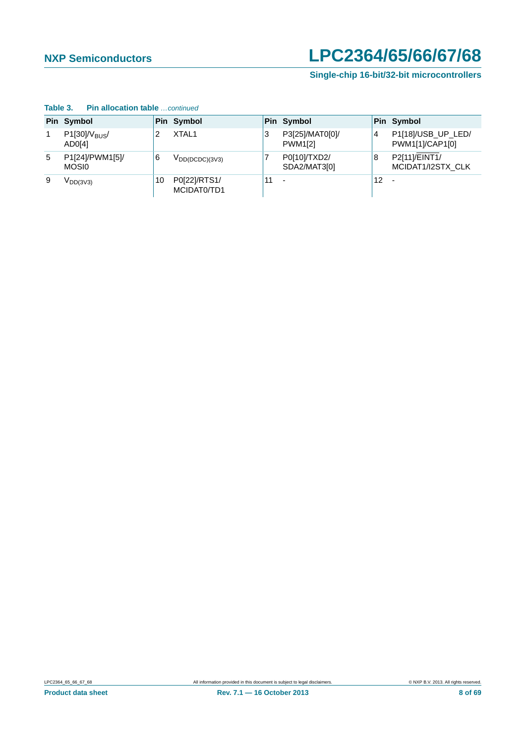|   | Pin Symbol                 |    | Pin Symbol                  |    | Pin Symbol                        |    | Pin Symbol                            |  |  |
|---|----------------------------|----|-----------------------------|----|-----------------------------------|----|---------------------------------------|--|--|
| 1 | $P1[30]/V_{BUS}$<br>AD0[4] |    | XTAL <sub>1</sub>           | 3  | P3[25]/MAT0[0]/<br><b>PWM1[2]</b> | 4  | P1[18]/USB_UP_LED/<br>PWM1[1]/CAP1[0] |  |  |
| 5 | P1[24]/PWM1[5]/<br>MOSI0   | 6  | $V_{DD(DCDC)(3V3)}$         |    | P0[10]/TXD2/<br>SDA2/MAT3[0]      | 8  | P2[11]/EINT1/<br>MCIDAT1/I2STX CLK    |  |  |
| 9 | $V_{DD(3V3)}$              | 10 | P0[22]/RTS1/<br>MCIDAT0/TD1 | 11 |                                   | 12 |                                       |  |  |

#### **Table 3. Pin allocation table** *…continued*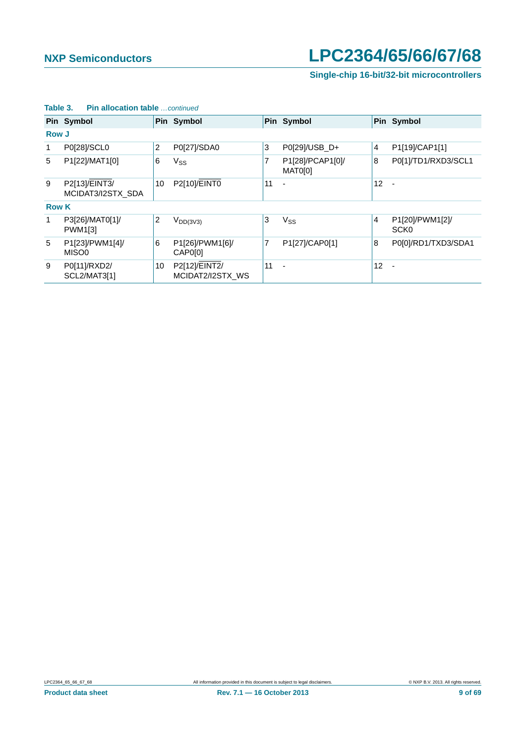### **Single-chip 16-bit/32-bit microcontrollers**

|              | Pin Symbol                         |    | Pin Symbol                        |    | Pin Symbol                  |                 | Pin Symbol                          |  |  |  |
|--------------|------------------------------------|----|-----------------------------------|----|-----------------------------|-----------------|-------------------------------------|--|--|--|
| <b>Row J</b> |                                    |    |                                   |    |                             |                 |                                     |  |  |  |
| 1            | P0[28]/SCL0                        | 2  | P0[27]/SDA0                       | 3  | P0[29]/USB_D+               | $\overline{4}$  | P1[19]/CAP1[1]                      |  |  |  |
| 5            | P1[22]/MAT1[0]                     | 6  | <b>V<sub>SS</sub></b>             | 7  | P1[28]/PCAP1[0]/<br>MAT0[0] | 8               | P0[1]/TD1/RXD3/SCL1                 |  |  |  |
| 9            | P2[13]/EINT3/<br>MCIDAT3/I2STX_SDA | 10 | P2[10]/EINT0                      | 11 |                             | 12              | $\sim$                              |  |  |  |
| <b>Row K</b> |                                    |    |                                   |    |                             |                 |                                     |  |  |  |
| 1            | P3[26]/MAT0[1]/<br>PWM1[3]         | 2  | $V_{DD(3V3)}$                     | 3  | $V_{SS}$                    | $\overline{4}$  | P1[20]/PWM1[2]/<br>SCK <sub>0</sub> |  |  |  |
| 5            | P1[23]/PWM1[4]/<br>MISO0           | 6  | P1[26]/PWM1[6]/<br>CAP0[0]        | 7  | P1[27]/CAP0[1]              | 8               | P0[0]/RD1/TXD3/SDA1                 |  |  |  |
| 9            | P0[11]/RXD2/<br>SCL2/MAT3[1]       | 10 | P2[12]/EINT2/<br>MCIDAT2/I2STX_WS | 11 |                             | 12 <sup>2</sup> | $\overline{\phantom{a}}$            |  |  |  |

### **Table 3. Pin allocation table** *…continued*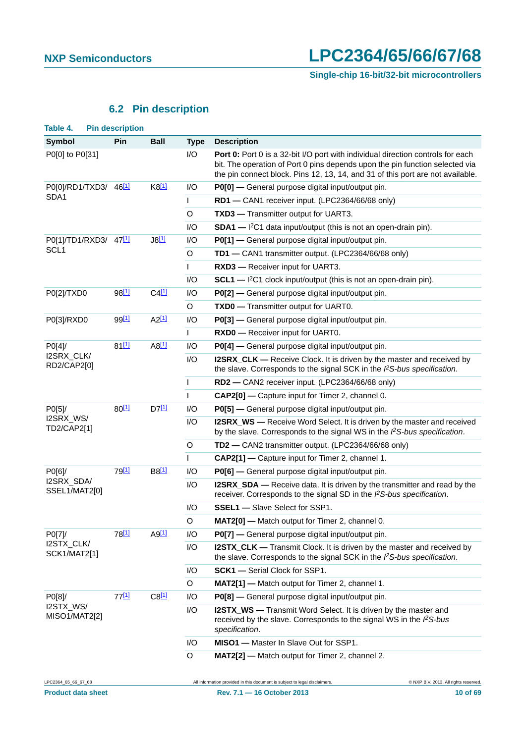## **6.2 Pin description**

<span id="page-9-1"></span><span id="page-9-0"></span>

| Table 4.                          | <b>Pin description</b> |                     |                                                 |                                                                                                                                                                                                                                                   |
|-----------------------------------|------------------------|---------------------|-------------------------------------------------|---------------------------------------------------------------------------------------------------------------------------------------------------------------------------------------------------------------------------------------------------|
| <b>Symbol</b>                     | Pin                    | <b>Ball</b>         | <b>Type</b>                                     | <b>Description</b>                                                                                                                                                                                                                                |
| P0[0] to P0[31]                   |                        |                     | I/O                                             | Port 0: Port 0 is a 32-bit I/O port with individual direction controls for each<br>bit. The operation of Port 0 pins depends upon the pin function selected via<br>the pin connect block. Pins 12, 13, 14, and 31 of this port are not available. |
| P0[0]/RD1/TXD3/ 46[1]             |                        | $K8$ <sup>[1]</sup> | I/O                                             | P0[0] - General purpose digital input/output pin.                                                                                                                                                                                                 |
| SDA1                              |                        |                     | $\mathbf{I}$                                    | RD1 - CAN1 receiver input. (LPC2364/66/68 only)                                                                                                                                                                                                   |
|                                   |                        |                     | O                                               | TXD3 - Transmitter output for UART3.                                                                                                                                                                                                              |
|                                   |                        |                     | I/O                                             | $SDA1$ - $I^2C1$ data input/output (this is not an open-drain pin).                                                                                                                                                                               |
| P0[1]/TD1/RXD3/ 47[1]             |                        | $J8$ <sup>[1]</sup> | I/O                                             | P0[1] - General purpose digital input/output pin.                                                                                                                                                                                                 |
| SCL <sub>1</sub>                  |                        |                     | O                                               | TD1 - CAN1 transmitter output. (LPC2364/66/68 only)                                                                                                                                                                                               |
|                                   |                        |                     | T                                               | RXD3 - Receiver input for UART3.                                                                                                                                                                                                                  |
|                                   |                        |                     | I/O                                             | $SCL1$ - $1^2C1$ clock input/output (this is not an open-drain pin).                                                                                                                                                                              |
| P0[2]/TXD0                        | 98 <sup>[1]</sup>      | $C4$ <sup>[1]</sup> | I/O                                             | P0[2] - General purpose digital input/output pin.                                                                                                                                                                                                 |
|                                   |                        |                     | $\circ$                                         | TXD0 - Transmitter output for UART0.                                                                                                                                                                                                              |
| P0[3]/RXD0                        | 99 <sup>[1]</sup>      | $A2$ <sup>[1]</sup> | I/O                                             | P0[3] - General purpose digital input/output pin.                                                                                                                                                                                                 |
|                                   |                        |                     | T                                               | RXD0 - Receiver input for UART0.                                                                                                                                                                                                                  |
| PO[4]                             | 81[1]                  | $A8$ <sup>[1]</sup> | I/O                                             | P0[4] - General purpose digital input/output pin.                                                                                                                                                                                                 |
| I2SRX_CLK/<br>RD2/CAP2[0]         |                        |                     | I/O                                             | <b>I2SRX_CLK</b> — Receive Clock. It is driven by the master and received by<br>the slave. Corresponds to the signal SCK in the $PS-bus$ specification.                                                                                           |
|                                   |                        |                     | T                                               | RD2 - CAN2 receiver input. (LPC2364/66/68 only)                                                                                                                                                                                                   |
|                                   |                        | $\mathbf{I}$        | CAP2[0] - Capture input for Timer 2, channel 0. |                                                                                                                                                                                                                                                   |
| PO[5]                             | 80[1]                  | $D7$ <sup>[1]</sup> | I/O                                             | P0[5] - General purpose digital input/output pin.                                                                                                                                                                                                 |
| I2SRX_WS/<br>TD2/CAP2[1]          |                        |                     | I/O                                             | <b>I2SRX_WS</b> — Receive Word Select. It is driven by the master and received<br>by the slave. Corresponds to the signal WS in the $\beta$ S-bus specification.                                                                                  |
|                                   |                        |                     | O                                               | TD2 - CAN2 transmitter output. (LPC2364/66/68 only)                                                                                                                                                                                               |
|                                   |                        |                     | $\mathsf{I}$                                    | CAP2[1] - Capture input for Timer 2, channel 1.                                                                                                                                                                                                   |
| PO[6]                             | 79 <sup>[1]</sup>      | B8 <sup>[1]</sup>   | I/O                                             | P0[6] - General purpose digital input/output pin.                                                                                                                                                                                                 |
| I2SRX_SDA/<br>SSEL1/MAT2[0]       |                        |                     | I/O                                             | <b>I2SRX_SDA</b> — Receive data. It is driven by the transmitter and read by the<br>receiver. Corresponds to the signal SD in the $PS-bus$ specification.                                                                                         |
|                                   |                        |                     | I/O                                             | <b>SSEL1</b> - Slave Select for SSP1.                                                                                                                                                                                                             |
|                                   |                        |                     | $\mathsf O$                                     | MAT2[0] - Match output for Timer 2, channel 0.                                                                                                                                                                                                    |
| PO[7]                             | 78 <sup>[1]</sup>      | $A9$ <sup>[1]</sup> | I/O                                             | P0[7] - General purpose digital input/output pin.                                                                                                                                                                                                 |
| I2STX_CLK/<br><b>SCK1/MAT2[1]</b> |                        |                     | I/O                                             | <b>I2STX_CLK</b> — Transmit Clock. It is driven by the master and received by<br>the slave. Corresponds to the signal SCK in the $PS-bus$ specification.                                                                                          |
|                                   |                        |                     | I/O                                             | <b>SCK1</b> - Serial Clock for SSP1.                                                                                                                                                                                                              |
|                                   |                        |                     | $\circ$                                         | MAT2[1] - Match output for Timer 2, channel 1.                                                                                                                                                                                                    |
| P0[8]/                            | 77[1]                  | $C8$ <sup>[1]</sup> | I/O                                             | P0[8] - General purpose digital input/output pin.                                                                                                                                                                                                 |
| I2STX_WS/<br>MISO1/MAT2[2]        |                        |                     | I/O                                             | <b>I2STX_WS</b> — Transmit Word Select. It is driven by the master and<br>received by the slave. Corresponds to the signal WS in the PS-bus<br>specification.                                                                                     |
|                                   |                        |                     | I/O                                             | <b>MISO1</b> - Master In Slave Out for SSP1.                                                                                                                                                                                                      |
|                                   |                        |                     | O                                               | MAT2[2] - Match output for Timer 2, channel 2.                                                                                                                                                                                                    |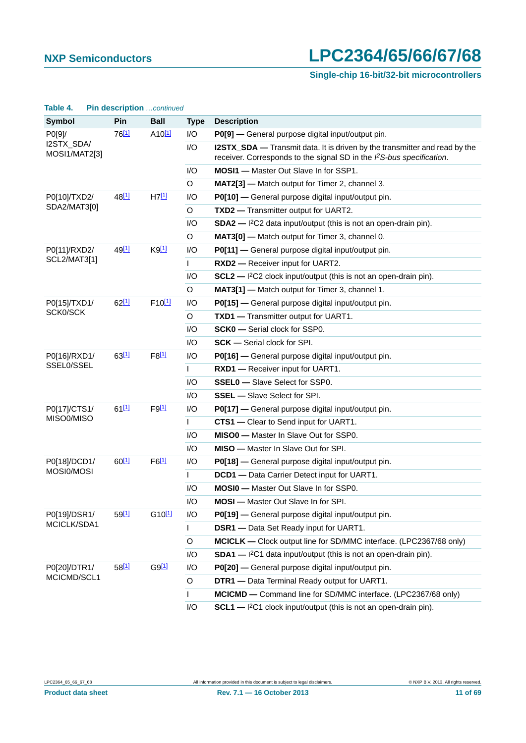## **Single-chip 16-bit/32-bit microcontrollers**

| Table 4.                    | Pin description continued |                     |             |                                                                                                                                                          |
|-----------------------------|---------------------------|---------------------|-------------|----------------------------------------------------------------------------------------------------------------------------------------------------------|
| <b>Symbol</b>               | Pin                       | <b>Ball</b>         | <b>Type</b> | <b>Description</b>                                                                                                                                       |
| P0[9]/                      | 76[1]                     | A10 <sup>[1]</sup>  | I/O         | P0[9] - General purpose digital input/output pin.                                                                                                        |
| I2STX_SDA/<br>MOSI1/MAT2[3] |                           |                     | I/O         | <b>I2STX_SDA</b> — Transmit data. It is driven by the transmitter and read by the<br>receiver. Corresponds to the signal SD in the PS-bus specification. |
|                             |                           |                     | I/O         | <b>MOSI1</b> - Master Out Slave In for SSP1.                                                                                                             |
|                             |                           |                     | $\circ$     | MAT2[3] - Match output for Timer 2, channel 3.                                                                                                           |
| P0[10]/TXD2/                | 48 <sup>[1]</sup>         | H7[1]               | I/O         | P0[10] - General purpose digital input/output pin.                                                                                                       |
| SDA2/MAT3[0]                |                           |                     | O           | TXD2 - Transmitter output for UART2.                                                                                                                     |
|                             |                           |                     | I/O         | $SDA2$ - $1^2C2$ data input/output (this is not an open-drain pin).                                                                                      |
|                             |                           |                     | $\circ$     | MAT3[0] - Match output for Timer 3, channel 0.                                                                                                           |
| P0[11]/RXD2/                | 49 <sup>[1]</sup>         | $K9$ <sup>[1]</sup> | I/O         | P0[11] - General purpose digital input/output pin.                                                                                                       |
| <b>SCL2/MAT3[1]</b>         |                           |                     | L           | RXD2 - Receiver input for UART2.                                                                                                                         |
|                             |                           |                     | I/O         | $SCL2$ - $1^2C2$ clock input/output (this is not an open-drain pin).                                                                                     |
|                             |                           |                     | O           | MAT3[1] - Match output for Timer 3, channel 1.                                                                                                           |
| P0[15]/TXD1/                | 62[1]                     | F10[1]              | I/O         | P0[15] - General purpose digital input/output pin.                                                                                                       |
| SCK0/SCK                    |                           |                     | O           | TXD1 - Transmitter output for UART1.                                                                                                                     |
|                             |                           |                     | I/O         | <b>SCK0</b> - Serial clock for SSP0.                                                                                                                     |
|                             |                           |                     | 1/O         | <b>SCK</b> — Serial clock for SPI.                                                                                                                       |
| P0[16]/RXD1/                | 63[1]                     | $F8$ <sup>[1]</sup> | I/O         | P0[16] - General purpose digital input/output pin.                                                                                                       |
| SSEL0/SSEL                  |                           |                     | L           | RXD1 - Receiver input for UART1.                                                                                                                         |
|                             |                           |                     | I/O         | <b>SSEL0</b> - Slave Select for SSP0.                                                                                                                    |
|                             |                           |                     | 1/O         | <b>SSEL</b> - Slave Select for SPI.                                                                                                                      |
| P0[17]/CTS1/                | 6111                      | $F9$ [1]            | I/O         | P0[17] - General purpose digital input/output pin.                                                                                                       |
| MISO0/MISO                  |                           |                     | L           | CTS1 - Clear to Send input for UART1.                                                                                                                    |
|                             |                           |                     | I/O         | <b>MISO0</b> - Master In Slave Out for SSP0.                                                                                                             |
|                             |                           |                     | 1/O         | <b>MISO</b> — Master In Slave Out for SPI.                                                                                                               |
| P0[18]/DCD1/                | 60[1]                     | $F6$ <sup>[1]</sup> | I/O         | P0[18] - General purpose digital input/output pin.                                                                                                       |
| MOSI0/MOSI                  |                           |                     | L           | <b>DCD1</b> - Data Carrier Detect input for UART1.                                                                                                       |
|                             |                           |                     | I/O         | <b>MOSI0</b> - Master Out Slave In for SSP0.                                                                                                             |
|                             |                           |                     | I/O         | MOSI - Master Out Slave In for SPI.                                                                                                                      |
| P0[19]/DSR1/                | 59[1]                     | G10[1]              | I/O         | P0[19] - General purpose digital input/output pin.                                                                                                       |
| MCICLK/SDA1                 |                           |                     | L           | <b>DSR1</b> - Data Set Ready input for UART1.                                                                                                            |
|                             |                           |                     | $\circ$     | MCICLK — Clock output line for SD/MMC interface. (LPC2367/68 only)                                                                                       |
|                             |                           |                     | I/O         | $SDA1$ - $12C1$ data input/output (this is not an open-drain pin).                                                                                       |
| P0[20]/DTR1/                | $58^{[1]}$                | $G9$ <sup>[1]</sup> | I/O         | P0[20] - General purpose digital input/output pin.                                                                                                       |
| MCICMD/SCL1                 |                           |                     | O           | DTR1 - Data Terminal Ready output for UART1.                                                                                                             |
|                             |                           |                     | I           | MCICMD - Command line for SD/MMC interface. (LPC2367/68 only)                                                                                            |
|                             |                           |                     | I/O         | $SCL1$ — ${}^{12}C1$ clock input/output (this is not an open-drain pin).                                                                                 |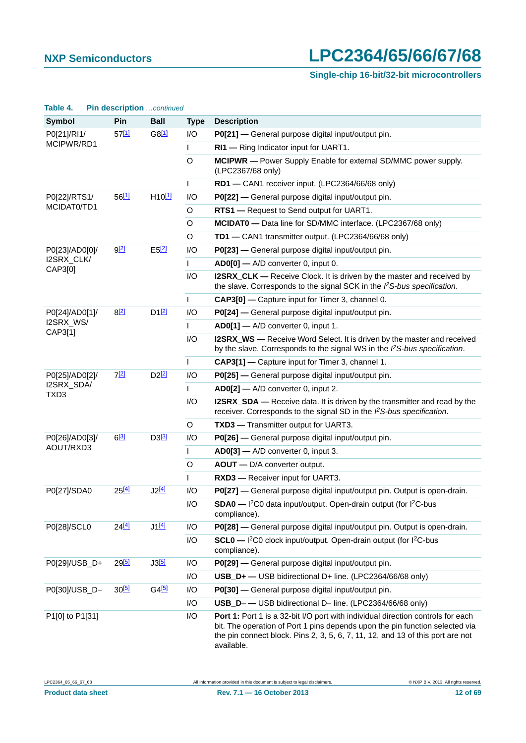### **Single-chip 16-bit/32-bit microcontrollers**

| Table 4.                       | Pin description continued |                     |              |                                                                                                                                                                                                                                                                 |
|--------------------------------|---------------------------|---------------------|--------------|-----------------------------------------------------------------------------------------------------------------------------------------------------------------------------------------------------------------------------------------------------------------|
| <b>Symbol</b>                  | Pin                       | <b>Ball</b>         | <b>Type</b>  | <b>Description</b>                                                                                                                                                                                                                                              |
| P0[21]/RI1/                    | $57^{[1]}$                | $G8^{[1]}$          | I/O          | P0[21] — General purpose digital input/output pin.                                                                                                                                                                                                              |
| MCIPWR/RD1                     |                           |                     | L            | RI1 - Ring Indicator input for UART1.                                                                                                                                                                                                                           |
|                                |                           |                     | $\circ$      | MCIPWR - Power Supply Enable for external SD/MMC power supply.<br>(LPC2367/68 only)                                                                                                                                                                             |
|                                |                           |                     | T            | RD1 - CAN1 receiver input. (LPC2364/66/68 only)                                                                                                                                                                                                                 |
| P0[22]/RTS1/                   | 5611                      | $H10^{[1]}$         | I/O          | P0[22] - General purpose digital input/output pin.                                                                                                                                                                                                              |
| MCIDAT0/TD1                    |                           |                     | O            | RTS1 - Request to Send output for UART1.                                                                                                                                                                                                                        |
|                                |                           |                     | O            | MCIDATO - Data line for SD/MMC interface. (LPC2367/68 only)                                                                                                                                                                                                     |
|                                |                           |                     | O            | TD1 - CAN1 transmitter output. (LPC2364/66/68 only)                                                                                                                                                                                                             |
| P0[23]/AD0[0]/                 | <u>g[2]</u>               | E52                 | I/O          | P0[23] - General purpose digital input/output pin.                                                                                                                                                                                                              |
| I2SRX_CLK/<br>CAP3[0]          |                           |                     | $\mathsf{L}$ | AD0[0] - A/D converter 0, input 0.                                                                                                                                                                                                                              |
|                                |                           |                     | I/O          | I2SRX_CLK — Receive Clock. It is driven by the master and received by<br>the slave. Corresponds to the signal SCK in the $PS-bus$ specification.                                                                                                                |
|                                |                           |                     | $\mathbf{L}$ | CAP3[0] - Capture input for Timer 3, channel 0.                                                                                                                                                                                                                 |
| P0[24]/AD0[1]/                 | $8^{[2]}$                 | $D1$ <sup>[2]</sup> | I/O          | P0[24] — General purpose digital input/output pin.                                                                                                                                                                                                              |
| I2SRX_WS/<br>CAP3[1]           |                           |                     | L            | AD0[1] - A/D converter 0, input 1.                                                                                                                                                                                                                              |
|                                |                           |                     | I/O          | <b>I2SRX_WS</b> — Receive Word Select. It is driven by the master and received<br>by the slave. Corresponds to the signal WS in the PS-bus specification.                                                                                                       |
|                                |                           |                     | T            | CAP3[1] - Capture input for Timer 3, channel 1.                                                                                                                                                                                                                 |
| P0[25]/AD0[2]/                 | 7[2]                      | D2 <sup>[2]</sup>   | I/O          | P0[25] - General purpose digital input/output pin.                                                                                                                                                                                                              |
| I2SRX_SDA/<br>TXD <sub>3</sub> |                           |                     | T            | AD0[2] - A/D converter 0, input 2.                                                                                                                                                                                                                              |
|                                |                           |                     | I/O          | I2SRX_SDA — Receive data. It is driven by the transmitter and read by the<br>receiver. Corresponds to the signal SD in the $PS$ -bus specification.                                                                                                             |
|                                |                           |                     | O            | TXD3 - Transmitter output for UART3.                                                                                                                                                                                                                            |
| P0[26]/AD0[3]/                 | $6^{[3]}$                 | D3 <sup>[3]</sup>   | I/O          | P0[26] - General purpose digital input/output pin.                                                                                                                                                                                                              |
| AOUT/RXD3                      |                           |                     | L            | AD0[3] - A/D converter 0, input 3.                                                                                                                                                                                                                              |
|                                |                           |                     | O            | AOUT - D/A converter output.                                                                                                                                                                                                                                    |
|                                |                           |                     |              | RXD3 - Receiver input for UART3.                                                                                                                                                                                                                                |
| P0[27]/SDA0                    | 25[4]                     |                     | I/O          | P0[27] - General purpose digital input/output pin. Output is open-drain.                                                                                                                                                                                        |
|                                |                           |                     | I/O          | SDA0 - I <sup>2</sup> C0 data input/output. Open-drain output (for I <sup>2</sup> C-bus<br>compliance).                                                                                                                                                         |
| P0[28]/SCL0                    | 24[4]                     | J1[4]               | I/O          | P0[28] — General purpose digital input/output pin. Output is open-drain.                                                                                                                                                                                        |
|                                |                           |                     | I/O          | SCL0 - I <sup>2</sup> C0 clock input/output. Open-drain output (for I <sup>2</sup> C-bus<br>compliance).                                                                                                                                                        |
| P0[29]/USB_D+                  | $29^{[5]}$                |                     | I/O          | P0[29] - General purpose digital input/output pin.                                                                                                                                                                                                              |
|                                |                           |                     | I/O          | USB_D+ - USB bidirectional D+ line. (LPC2364/66/68 only)                                                                                                                                                                                                        |
| P0[30]/USB_D-                  | $30^{[5]}$                | $G4$ <sup>[5]</sup> | I/O          | P0[30] - General purpose digital input/output pin.                                                                                                                                                                                                              |
|                                |                           |                     | I/O          | USB_D--USB bidirectional D- line. (LPC2364/66/68 only)                                                                                                                                                                                                          |
| P1[0] to P1[31]                |                           |                     | I/O          | Port 1: Port 1 is a 32-bit I/O port with individual direction controls for each<br>bit. The operation of Port 1 pins depends upon the pin function selected via<br>the pin connect block. Pins 2, 3, 5, 6, 7, 11, 12, and 13 of this port are not<br>available. |

LPC2364\_65\_66\_67\_68 All information provided in this document is subject to legal disclaimers. © NXP B.V. 2013. All rights reserved.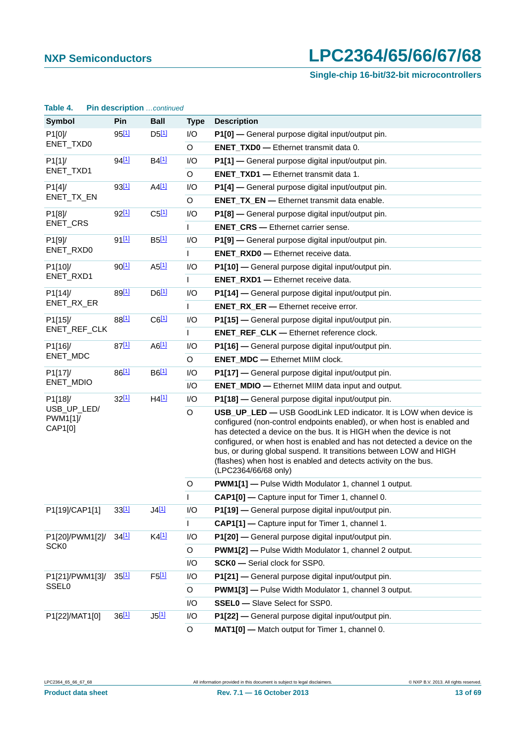### **Single-chip 16-bit/32-bit microcontrollers**

| <b>Symbol</b>                      | Pin               | <b>Ball</b>         | <b>Type</b>                                                                                                                                                                                                                                                                                                                                                                                                                                                      | <b>Description</b>                                          |
|------------------------------------|-------------------|---------------------|------------------------------------------------------------------------------------------------------------------------------------------------------------------------------------------------------------------------------------------------------------------------------------------------------------------------------------------------------------------------------------------------------------------------------------------------------------------|-------------------------------------------------------------|
| P1[0]/                             | $95^{[1]}$        | $D5$ <sup>[1]</sup> | I/O                                                                                                                                                                                                                                                                                                                                                                                                                                                              | P1[0] - General purpose digital input/output pin.           |
| ENET_TXD0                          |                   |                     | $\circ$                                                                                                                                                                                                                                                                                                                                                                                                                                                          | <b>ENET_TXD0</b> - Ethernet transmit data 0.                |
| P1[1]                              | 94[1]             | B4 <sup>[1]</sup>   | I/O                                                                                                                                                                                                                                                                                                                                                                                                                                                              | P1[1] - General purpose digital input/output pin.           |
| ENET_TXD1                          |                   |                     | $\circ$                                                                                                                                                                                                                                                                                                                                                                                                                                                          | <b>ENET_TXD1</b> - Ethernet transmit data 1.                |
| P1[4]                              | 93 <sup>[1]</sup> | $A4$ <sup>[1]</sup> | I/O                                                                                                                                                                                                                                                                                                                                                                                                                                                              | P1[4] - General purpose digital input/output pin.           |
| ENET_TX_EN                         |                   |                     | $\circ$                                                                                                                                                                                                                                                                                                                                                                                                                                                          | <b>ENET_TX_EN -</b> Ethernet transmit data enable.          |
| P1[8]                              | 92 <sup>[1]</sup> | $C5$ <sup>[1]</sup> | I/O                                                                                                                                                                                                                                                                                                                                                                                                                                                              | P1[8] - General purpose digital input/output pin.           |
| ENET_CRS                           |                   |                     | L                                                                                                                                                                                                                                                                                                                                                                                                                                                                | <b>ENET_CRS</b> - Ethernet carrier sense.                   |
| P1[9]/                             | 91 <sup>[1]</sup> | B5[1]               | I/O                                                                                                                                                                                                                                                                                                                                                                                                                                                              | P1[9] - General purpose digital input/output pin.           |
| ENET_RXD0                          |                   |                     | $\mathbf{I}$                                                                                                                                                                                                                                                                                                                                                                                                                                                     | <b>ENET_RXD0</b> - Ethernet receive data.                   |
| P1[10]/                            | 90[1]             | $A5$ <sup>[1]</sup> | I/O                                                                                                                                                                                                                                                                                                                                                                                                                                                              | P1[10] - General purpose digital input/output pin.          |
| ENET_RXD1                          |                   |                     |                                                                                                                                                                                                                                                                                                                                                                                                                                                                  | <b>ENET_RXD1 - Ethernet receive data.</b>                   |
| P1[14]/                            | 89 <sup>[1]</sup> | $D6$ <sup>[1]</sup> | I/O                                                                                                                                                                                                                                                                                                                                                                                                                                                              | P1[14] - General purpose digital input/output pin.          |
| ENET_RX_ER                         |                   |                     | $\mathbf{I}$                                                                                                                                                                                                                                                                                                                                                                                                                                                     | <b>ENET RX ER - Ethernet receive error.</b>                 |
| P1[15]/                            | 88 <sup>[1]</sup> | $C6$ <sup>[1]</sup> | I/O                                                                                                                                                                                                                                                                                                                                                                                                                                                              | P1[15] - General purpose digital input/output pin.          |
| ENET_REF_CLK                       |                   |                     |                                                                                                                                                                                                                                                                                                                                                                                                                                                                  | <b>ENET_REF_CLK - Ethernet reference clock.</b>             |
| P1[16]/                            | $87^{[1]}$        | AG[1]               | I/O                                                                                                                                                                                                                                                                                                                                                                                                                                                              | P1[16] - General purpose digital input/output pin.          |
| ENET_MDC                           |                   |                     | $\circ$                                                                                                                                                                                                                                                                                                                                                                                                                                                          | <b>ENET_MDC</b> - Ethernet MIIM clock.                      |
| P1[17]/<br>ENET_MDIO               | 86[1]             | B6[1]               | I/O                                                                                                                                                                                                                                                                                                                                                                                                                                                              | P1[17] - General purpose digital input/output pin.          |
|                                    |                   |                     | I/O                                                                                                                                                                                                                                                                                                                                                                                                                                                              | <b>ENET_MDIO</b> - Ethernet MIIM data input and output.     |
| P1[18]/                            | 32[1]             | $H4$ <sup>[1]</sup> | I/O                                                                                                                                                                                                                                                                                                                                                                                                                                                              | P1[18] - General purpose digital input/output pin.          |
| USB_UP_LED/<br>PWM1[1]/<br>CAP1[0] |                   | $\circ$             | USB_UP_LED - USB GoodLink LED indicator. It is LOW when device is<br>configured (non-control endpoints enabled), or when host is enabled and<br>has detected a device on the bus. It is HIGH when the device is not<br>configured, or when host is enabled and has not detected a device on the<br>bus, or during global suspend. It transitions between LOW and HIGH<br>(flashes) when host is enabled and detects activity on the bus.<br>(LPC2364/66/68 only) |                                                             |
|                                    |                   |                     | $\circ$                                                                                                                                                                                                                                                                                                                                                                                                                                                          | <b>PWM1[1]</b> - Pulse Width Modulator 1, channel 1 output. |
|                                    |                   |                     |                                                                                                                                                                                                                                                                                                                                                                                                                                                                  | CAP1[0] - Capture input for Timer 1, channel 0.             |
| P1[19]/CAP1[1]                     | 33[1]             | J4[1]               | I/O                                                                                                                                                                                                                                                                                                                                                                                                                                                              | P1[19] - General purpose digital input/output pin.          |
|                                    |                   |                     | L                                                                                                                                                                                                                                                                                                                                                                                                                                                                | CAP1[1] - Capture input for Timer 1, channel 1.             |
| P1[20]/PWM1[2]/                    | 34[1]             | $K4$ <sup>[1]</sup> | I/O                                                                                                                                                                                                                                                                                                                                                                                                                                                              | P1[20] - General purpose digital input/output pin.          |
| SCK <sub>0</sub>                   |                   |                     | O                                                                                                                                                                                                                                                                                                                                                                                                                                                                | <b>PWM1[2]</b> - Pulse Width Modulator 1, channel 2 output. |
|                                    |                   |                     | I/O                                                                                                                                                                                                                                                                                                                                                                                                                                                              | SCK0 - Serial clock for SSP0.                               |
| P1[21]/PWM1[3]/                    | 35[1]             | $F5$ <sup>[1]</sup> | I/O                                                                                                                                                                                                                                                                                                                                                                                                                                                              | P1[21] - General purpose digital input/output pin.          |
| <b>SSEL0</b>                       |                   |                     | $\circ$                                                                                                                                                                                                                                                                                                                                                                                                                                                          | <b>PWM1[3]</b> - Pulse Width Modulator 1, channel 3 output. |
|                                    |                   |                     | I/O                                                                                                                                                                                                                                                                                                                                                                                                                                                              | <b>SSEL0</b> - Slave Select for SSP0.                       |
| P1[22]/MAT1[0]                     | 36[1]             | $J5$ [1]            | I/O                                                                                                                                                                                                                                                                                                                                                                                                                                                              | P1[22] - General purpose digital input/output pin.          |
|                                    |                   |                     | O                                                                                                                                                                                                                                                                                                                                                                                                                                                                | MAT1[0] - Match output for Timer 1, channel 0.              |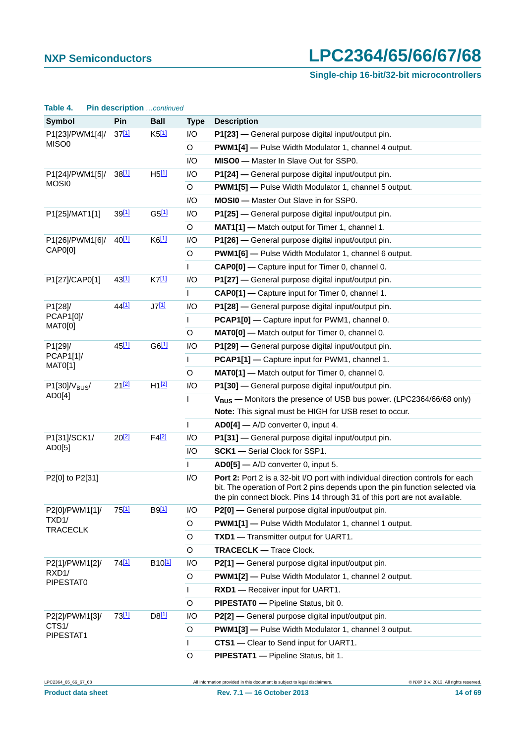### **Single-chip 16-bit/32-bit microcontrollers**

| $1001C$ T.                           | $\blacksquare$ according to the commuted |                     |                                                             |                                                                                                                                                                 |
|--------------------------------------|------------------------------------------|---------------------|-------------------------------------------------------------|-----------------------------------------------------------------------------------------------------------------------------------------------------------------|
| <b>Symbol</b>                        | Pin                                      | <b>Ball</b>         | <b>Type</b>                                                 | <b>Description</b>                                                                                                                                              |
| P1[23]/PWM1[4]/                      | $37^{[1]}$                               | $K5$ <sup>[1]</sup> | I/O                                                         | P1[23] - General purpose digital input/output pin.                                                                                                              |
| MISO0                                |                                          |                     | O                                                           | <b>PWM1[4]</b> - Pulse Width Modulator 1, channel 4 output.                                                                                                     |
|                                      |                                          |                     | I/O                                                         | MISO0 - Master In Slave Out for SSP0.                                                                                                                           |
| P1[24]/PWM1[5]/<br>MOSI <sub>0</sub> | 38[1]                                    | $H5$ <sup>[1]</sup> | I/O                                                         | P1[24] — General purpose digital input/output pin.                                                                                                              |
|                                      |                                          |                     | $\mathsf O$                                                 | <b>PWM1[5]</b> - Pulse Width Modulator 1, channel 5 output.                                                                                                     |
|                                      |                                          |                     | I/O                                                         | <b>MOSI0</b> - Master Out Slave in for SSP0.                                                                                                                    |
| P1[25]/MAT1[1]                       | 39 <sup>[1]</sup>                        | G5[1]               | I/O                                                         | P1[25] - General purpose digital input/output pin.                                                                                                              |
|                                      |                                          |                     | O                                                           | MAT1[1] - Match output for Timer 1, channel 1.                                                                                                                  |
| P1[26]/PWM1[6]/                      | $40^{[1]}$                               | $K6$ <sup>[1]</sup> | I/O                                                         | P1[26] - General purpose digital input/output pin.                                                                                                              |
| CAP0[0]                              |                                          | $\circ$             | <b>PWM1[6]</b> - Pulse Width Modulator 1, channel 6 output. |                                                                                                                                                                 |
|                                      |                                          |                     | $\mathbf{L}$                                                | CAP0[0] - Capture input for Timer 0, channel 0.                                                                                                                 |
| 43[1]<br>P1[27]/CAP0[1]              |                                          | K7[1]               | I/O                                                         | P1[27] - General purpose digital input/output pin.                                                                                                              |
|                                      |                                          |                     | T                                                           | CAP0[1] - Capture input for Timer 0, channel 1.                                                                                                                 |
| P1[28]/                              | 44 <sup>[1]</sup>                        | J7[1]               | I/O                                                         | P1[28] - General purpose digital input/output pin.                                                                                                              |
| PCAP1[0]/<br>MAT0[0]                 |                                          |                     | L                                                           | PCAP1[0] - Capture input for PWM1, channel 0.                                                                                                                   |
|                                      |                                          |                     | $\circ$                                                     | MATO[0] - Match output for Timer 0, channel 0.                                                                                                                  |
| P1[29]/<br>PCAP1[1]<br>MAT0[1]       | 45[1]                                    | $G6$ <sup>[1]</sup> | I/O                                                         | P1[29] - General purpose digital input/output pin.                                                                                                              |
|                                      |                                          |                     | T                                                           | PCAP1[1] - Capture input for PWM1, channel 1.                                                                                                                   |
|                                      |                                          |                     | $\circ$                                                     | MAT0[1] - Match output for Timer 0, channel 0.                                                                                                                  |
| $P1[30]/V_{BUS}$                     | $21^{[2]}$                               | H1 <sup>[2]</sup>   | I/O                                                         | P1[30] - General purpose digital input/output pin.                                                                                                              |
| AD0[4]                               |                                          |                     | $\mathbf{I}$                                                | V <sub>BUS</sub> - Monitors the presence of USB bus power. (LPC2364/66/68 only)                                                                                 |
|                                      |                                          |                     |                                                             | Note: This signal must be HIGH for USB reset to occur.                                                                                                          |
|                                      |                                          |                     | T.                                                          | AD0[4] - A/D converter 0, input 4.                                                                                                                              |
| P1[31]/SCK1/                         | $20^{[2]}$                               | $F4$ <sup>[2]</sup> | I/O                                                         | P1[31] - General purpose digital input/output pin.                                                                                                              |
| AD0[5]                               |                                          |                     | I/O                                                         | <b>SCK1</b> - Serial Clock for SSP1.                                                                                                                            |
|                                      |                                          |                     | $\mathbf{I}$                                                | AD0[5] - A/D converter 0, input 5.                                                                                                                              |
| P2[0] to P2[31]                      |                                          |                     | I/O                                                         | Port 2: Port 2 is a 32-bit I/O port with individual direction controls for each<br>bit. The operation of Port 2 pins depends upon the pin function selected via |
|                                      |                                          |                     |                                                             | the pin connect block. Pins 14 through 31 of this port are not available.                                                                                       |
| P2[0]/PWM1[1]/                       | 75[1]                                    | <b>B</b> 9[1]       | I/O                                                         | P2[0] - General purpose digital input/output pin.                                                                                                               |
| TXD1/<br><b>TRACECLK</b>             |                                          |                     | O                                                           | <b>PWM1[1]</b> - Pulse Width Modulator 1, channel 1 output.                                                                                                     |
|                                      |                                          |                     | O                                                           | TXD1 - Transmitter output for UART1.                                                                                                                            |
|                                      |                                          |                     | O                                                           | <b>TRACECLK - Trace Clock.</b>                                                                                                                                  |
| P2[1]/PWM1[2]/                       | 74 <sup>[1]</sup>                        | B <sub>10[1]</sub>  | I/O                                                         | P2[1] - General purpose digital input/output pin.                                                                                                               |
| RXD1/<br>PIPESTAT0                   |                                          |                     | $\circ$                                                     | <b>PWM1[2]</b> - Pulse Width Modulator 1, channel 2 output.                                                                                                     |
|                                      |                                          |                     | L                                                           | RXD1 - Receiver input for UART1.                                                                                                                                |
|                                      |                                          |                     | O                                                           | PIPESTATO - Pipeline Status, bit 0.                                                                                                                             |
| P2[2]/PWM1[3]/                       | 73 <sup>[1]</sup>                        | D8[1]               | I/O                                                         | P2[2] - General purpose digital input/output pin.                                                                                                               |
| CTS1/                                |                                          |                     | $\circ$                                                     | <b>PWM1[3]</b> - Pulse Width Modulator 1, channel 3 output.                                                                                                     |
| PIPESTAT1                            |                                          |                     | T                                                           | CTS1 - Clear to Send input for UART1.                                                                                                                           |
|                                      |                                          |                     | O                                                           | PIPESTAT1 - Pipeline Status, bit 1.                                                                                                                             |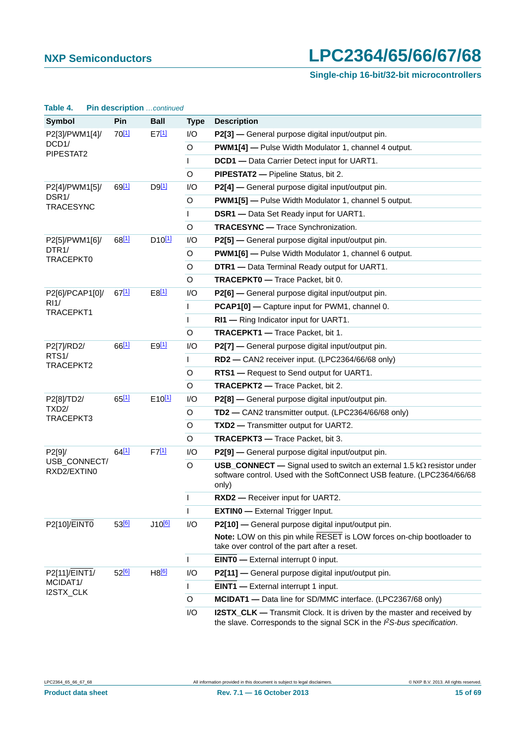### **Single-chip 16-bit/32-bit microcontrollers**

| Ianic T.                               | <u>IIII Gescription commerc</u> |                     |             |                                                                                                                                                                         |
|----------------------------------------|---------------------------------|---------------------|-------------|-------------------------------------------------------------------------------------------------------------------------------------------------------------------------|
| <b>Symbol</b>                          | Pin                             | <b>Ball</b>         | <b>Type</b> | <b>Description</b>                                                                                                                                                      |
| P2[3]/PWM1[4]/                         | $70^{[1]}$                      | $E7$ <sup>[1]</sup> | I/O         | P2[3] - General purpose digital input/output pin.                                                                                                                       |
| DCD <sub>1</sub> /<br>PIPESTAT2        |                                 |                     | O           | <b>PWM1[4]</b> - Pulse Width Modulator 1, channel 4 output.                                                                                                             |
|                                        |                                 |                     | L           | DCD1 - Data Carrier Detect input for UART1.                                                                                                                             |
|                                        |                                 |                     | O           | <b>PIPESTAT2</b> - Pipeline Status, bit 2.                                                                                                                              |
| P2[4]/PWM1[5]/                         | 69[1]                           | $D9$ <sup>[1]</sup> | I/O         | P2[4] - General purpose digital input/output pin.                                                                                                                       |
| DSR <sub>1</sub> /<br><b>TRACESYNC</b> |                                 |                     | O           | <b>PWM1[5]</b> - Pulse Width Modulator 1, channel 5 output.                                                                                                             |
|                                        |                                 |                     | L           | <b>DSR1</b> - Data Set Ready input for UART1.                                                                                                                           |
|                                        |                                 |                     | O           | <b>TRACESYNC</b> - Trace Synchronization.                                                                                                                               |
| P2[5]/PWM1[6]/                         | 68[1]                           | $D10^{[1]}$         | I/O         | P2[5] - General purpose digital input/output pin.                                                                                                                       |
| DTR <sub>1</sub> /<br>TRACEPKT0        |                                 |                     | O           | <b>PWM1[6]</b> - Pulse Width Modulator 1, channel 6 output.                                                                                                             |
|                                        |                                 |                     | O           | DTR1 - Data Terminal Ready output for UART1.                                                                                                                            |
|                                        |                                 |                     | O           | <b>TRACEPKT0</b> - Trace Packet, bit 0.                                                                                                                                 |
| P2[6]/PCAP1[0]/<br>R11/                | 67[1]                           | $E8$ <sup>[1]</sup> | I/O         | P2[6] - General purpose digital input/output pin.                                                                                                                       |
|                                        |                                 |                     | L           | PCAP1[0] - Capture input for PWM1, channel 0.                                                                                                                           |
| TRACEPKT1                              |                                 |                     | T           | RI1 - Ring Indicator input for UART1.                                                                                                                                   |
|                                        |                                 |                     | O           | <b>TRACEPKT1</b> - Trace Packet, bit 1.                                                                                                                                 |
| P2[7]/RD2/                             | 66[1]                           | $E9$ <sup>[1]</sup> | I/O         | P2[7] - General purpose digital input/output pin.                                                                                                                       |
| RTS <sub>1</sub> /<br>TRACEPKT2        |                                 |                     | L           | RD2 - CAN2 receiver input. (LPC2364/66/68 only)                                                                                                                         |
|                                        |                                 |                     | O           | RTS1 - Request to Send output for UART1.                                                                                                                                |
|                                        |                                 |                     | O           | <b>TRACEPKT2</b> - Trace Packet, bit 2.                                                                                                                                 |
| P2[8]/TD2/                             | 65[1]                           | $E10^{[1]}$         | I/O         | P2[8] - General purpose digital input/output pin.                                                                                                                       |
| TXD <sub>2</sub> /<br>TRACEPKT3        |                                 |                     | O           | TD2 - CAN2 transmitter output. (LPC2364/66/68 only)                                                                                                                     |
|                                        |                                 |                     | O           | TXD2 - Transmitter output for UART2.                                                                                                                                    |
|                                        |                                 |                     | O           | <b>TRACEPKT3</b> - Trace Packet, bit 3.                                                                                                                                 |
| P2[9]/                                 | 64[1]                           | $F7$ <sup>[1]</sup> | I/O         | P2[9] - General purpose digital input/output pin.                                                                                                                       |
| USB_CONNECT/<br>RXD2/EXTIN0            |                                 |                     | O           | <b>USB_CONNECT</b> — Signal used to switch an external 1.5 $k\Omega$ resistor under<br>software control. Used with the SoftConnect USB feature. (LPC2364/66/68<br>only) |
|                                        |                                 |                     | I           | RXD2 - Receiver input for UART2.                                                                                                                                        |
|                                        |                                 |                     | ı           | <b>EXTINO</b> - External Trigger Input.                                                                                                                                 |
| P2[10]/EINT0                           | 53 <sup>[6]</sup>               | J10 <sup>[6]</sup>  | I/O         | P2[10] - General purpose digital input/output pin.                                                                                                                      |
|                                        |                                 |                     |             | Note: LOW on this pin while RESET is LOW forces on-chip bootloader to<br>take over control of the part after a reset.                                                   |
|                                        |                                 |                     | T           | <b>EINTO</b> - External interrupt 0 input.                                                                                                                              |
| P2[11]/EINT1/                          | 52 <sup>[6]</sup>               | H8 <sup>[6]</sup>   | I/O         | P2[11] - General purpose digital input/output pin.                                                                                                                      |
| MCIDAT1/<br>I2STX_CLK                  |                                 |                     | L           | <b>EINT1</b> - External interrupt 1 input.                                                                                                                              |
|                                        |                                 |                     | O           | <b>MCIDAT1</b> — Data line for SD/MMC interface. (LPC2367/68 only)                                                                                                      |
|                                        |                                 |                     | I/O         | <b>I2STX_CLK</b> — Transmit Clock. It is driven by the master and received by<br>the slave. Corresponds to the signal SCK in the PS-bus specification.                  |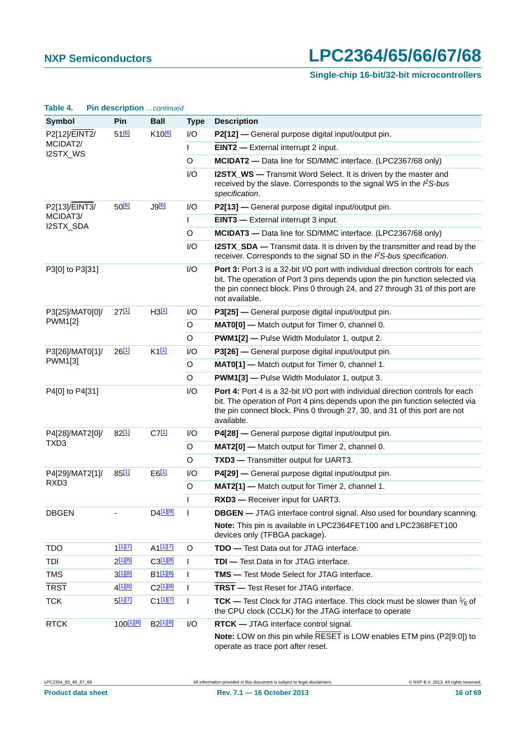### **Single-chip 16-bit/32-bit microcontrollers**

| Table 4.              | <b>PIN description</b> continued |                        |                                                                                                                                                               |                                                                                                                                                                                                                                                                   |
|-----------------------|----------------------------------|------------------------|---------------------------------------------------------------------------------------------------------------------------------------------------------------|-------------------------------------------------------------------------------------------------------------------------------------------------------------------------------------------------------------------------------------------------------------------|
| <b>Symbol</b>         | Pin                              | <b>Ball</b>            | <b>Type</b>                                                                                                                                                   | <b>Description</b>                                                                                                                                                                                                                                                |
| P2[12]/EINT2/         | $51^{6}$                         | K10 <sup>[6]</sup>     | I/O                                                                                                                                                           | P2[12] — General purpose digital input/output pin.                                                                                                                                                                                                                |
| MCIDAT2/<br>I2STX_WS  |                                  |                        | T                                                                                                                                                             | <b>EINT2</b> - External interrupt 2 input.                                                                                                                                                                                                                        |
|                       |                                  |                        | O                                                                                                                                                             | MCIDAT2 - Data line for SD/MMC interface. (LPC2367/68 only)                                                                                                                                                                                                       |
|                       |                                  | I/O                    | <b>I2STX_WS</b> — Transmit Word Select. It is driven by the master and<br>received by the slave. Corresponds to the signal WS in the PS-bus<br>specification. |                                                                                                                                                                                                                                                                   |
| P2[13]/EINT3/         | 50 <sup>[6]</sup>                |                        | I/O                                                                                                                                                           | P2[13] - General purpose digital input/output pin.                                                                                                                                                                                                                |
| MCIDAT3/<br>I2STX_SDA |                                  |                        | L                                                                                                                                                             | <b>EINT3</b> - External interrupt 3 input.                                                                                                                                                                                                                        |
|                       |                                  |                        | $\circ$                                                                                                                                                       | MCIDAT3 - Data line for SD/MMC interface. (LPC2367/68 only)                                                                                                                                                                                                       |
|                       |                                  |                        | I/O                                                                                                                                                           | I2STX_SDA - Transmit data. It is driven by the transmitter and read by the<br>receiver. Corresponds to the signal SD in the PS-bus specification.                                                                                                                 |
| P3[0] to P3[31]       |                                  |                        | I/O                                                                                                                                                           | Port 3: Port 3 is a 32-bit I/O port with individual direction controls for each<br>bit. The operation of Port 3 pins depends upon the pin function selected via<br>the pin connect block. Pins 0 through 24, and 27 through 31 of this port are<br>not available. |
| P3[25]/MAT0[0]/       | 2711                             | H3[1]                  | I/O                                                                                                                                                           | P3[25] - General purpose digital input/output pin.                                                                                                                                                                                                                |
| <b>PWM1[2]</b>        |                                  |                        | O                                                                                                                                                             | MAT0[0] - Match output for Timer 0, channel 0.                                                                                                                                                                                                                    |
|                       |                                  |                        | $\circ$                                                                                                                                                       | <b>PWM1[2]</b> - Pulse Width Modulator 1, output 2.                                                                                                                                                                                                               |
| P3[26]/MAT0[1]/       | 26[1]                            | $K1$ <sup>[1]</sup>    | I/O                                                                                                                                                           | P3[26] - General purpose digital input/output pin.                                                                                                                                                                                                                |
| <b>PWM1[3]</b>        |                                  |                        | $\circ$                                                                                                                                                       | MAT0[1] - Match output for Timer 0, channel 1.                                                                                                                                                                                                                    |
|                       |                                  |                        | O                                                                                                                                                             | <b>PWM1[3] - Pulse Width Modulator 1, output 3.</b>                                                                                                                                                                                                               |
| P4[0] to P4[31]       |                                  |                        | I/O                                                                                                                                                           | Port 4: Port 4 is a 32-bit I/O port with individual direction controls for each<br>bit. The operation of Port 4 pins depends upon the pin function selected via<br>the pin connect block. Pins 0 through 27, 30, and 31 of this port are not<br>available.        |
| P4[28]/MAT2[0]/       | 82[1]                            | $C7$ <sup>[1]</sup>    | I/O                                                                                                                                                           | P4[28] - General purpose digital input/output pin.                                                                                                                                                                                                                |
| TXD3                  |                                  |                        | O                                                                                                                                                             | MAT2[0] - Match output for Timer 2, channel 0.                                                                                                                                                                                                                    |
|                       |                                  |                        | $\circ$                                                                                                                                                       | TXD3 - Transmitter output for UART3.                                                                                                                                                                                                                              |
| P4[29]/MAT2[1]/       | 85[1]                            | $E6$ <sup>[1]</sup>    | I/O                                                                                                                                                           | P4[29] - General purpose digital input/output pin.                                                                                                                                                                                                                |
| RXD3                  |                                  |                        | $\circ$                                                                                                                                                       | MAT2[1] - Match output for Timer 2, channel 1.                                                                                                                                                                                                                    |
|                       |                                  |                        | T                                                                                                                                                             | RXD3 - Receiver input for UART3.                                                                                                                                                                                                                                  |
| <b>DBGEN</b>          |                                  | $D4$ <sup>[1][8]</sup> | T                                                                                                                                                             | <b>DBGEN</b> - JTAG interface control signal. Also used for boundary scanning.                                                                                                                                                                                    |
|                       |                                  |                        |                                                                                                                                                               | Note: This pin is available in LPC2364FET100 and LPC2368FET100<br>devices only (TFBGA package).                                                                                                                                                                   |
| <b>TDO</b>            | $1^{[1][7]}$                     | $A1$ <sup>[1][7]</sup> | O                                                                                                                                                             | <b>TDO</b> - Test Data out for JTAG interface.                                                                                                                                                                                                                    |
| TDI                   | $2^{[1][8]}$                     | C3[1][8]               | T                                                                                                                                                             | <b>TDI</b> - Test Data in for JTAG interface.                                                                                                                                                                                                                     |
| <b>TMS</b>            | 3[1][8]                          | B <sub>1[1][8]</sub>   | I                                                                                                                                                             | <b>TMS</b> — Test Mode Select for JTAG interface.                                                                                                                                                                                                                 |
| <b>TRST</b>           | 4 <sup>[1][8]</sup>              | C <sub>2[1][8]</sub>   | ı                                                                                                                                                             | <b>TRST</b> - Test Reset for JTAG interface.                                                                                                                                                                                                                      |
| <b>TCK</b>            | 5[1][7]                          | C1[1][7]               | I.                                                                                                                                                            | <b>TCK</b> — Test Clock for JTAG interface. This clock must be slower than $\frac{1}{6}$ of<br>the CPU clock (CCLK) for the JTAG interface to operate                                                                                                             |
| <b>RTCK</b>           | 100 <sup>[1][8]</sup>            | B <sub>2[1][8]</sub>   | I/O                                                                                                                                                           | <b>RTCK</b> — JTAG interface control signal.                                                                                                                                                                                                                      |
|                       |                                  |                        |                                                                                                                                                               | Note: LOW on this pin while RESET is LOW enables ETM pins (P2[9:0]) to<br>operate as trace port after reset.                                                                                                                                                      |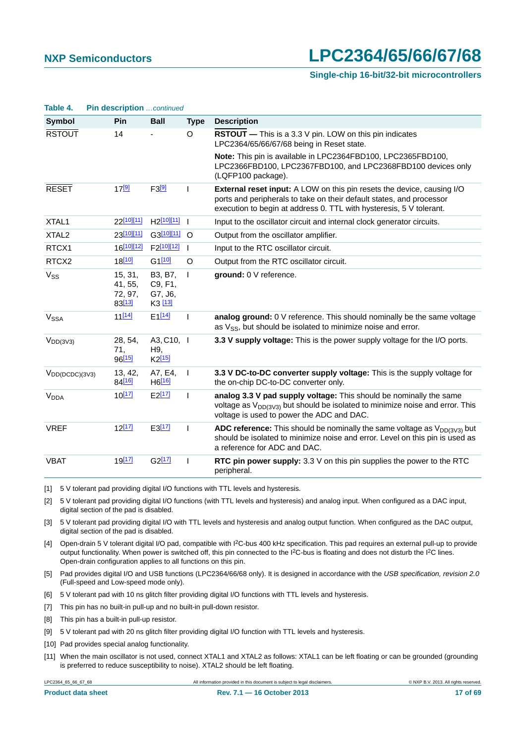**Table 4. Pin description** *…continued*

# **NXP Semiconductors LPC2364/65/66/67/68**

#### **Single-chip 16-bit/32-bit microcontrollers**

| Table 4.               | <b>PIN Gescription</b> <i>continued</i> |                                          |                |                                                                                                                                                                                                                              |
|------------------------|-----------------------------------------|------------------------------------------|----------------|------------------------------------------------------------------------------------------------------------------------------------------------------------------------------------------------------------------------------|
| Symbol                 | Pin                                     | <b>Ball</b>                              | <b>Type</b>    | <b>Description</b>                                                                                                                                                                                                           |
| <b>RSTOUT</b>          | 14                                      |                                          | O              | RSTOUT - This is a 3.3 V pin. LOW on this pin indicates<br>LPC2364/65/66/67/68 being in Reset state.                                                                                                                         |
|                        |                                         |                                          |                | Note: This pin is available in LPC2364FBD100, LPC2365FBD100,<br>LPC2366FBD100, LPC2367FBD100, and LPC2368FBD100 devices only<br>(LQFP100 package).                                                                           |
| <b>RESET</b>           | 17 <sup>[9]</sup>                       | F3[9]                                    | T              | <b>External reset input:</b> A LOW on this pin resets the device, causing I/O<br>ports and peripherals to take on their default states, and processor<br>execution to begin at address 0. TTL with hysteresis, 5 V tolerant. |
| XTAL1                  | 22[10][11]                              | H <sub>2</sub> [10][11]                  |                | Input to the oscillator circuit and internal clock generator circuits.                                                                                                                                                       |
| XTAL <sub>2</sub>      | 23[10][11]                              | G3[10][11] O                             |                | Output from the oscillator amplifier.                                                                                                                                                                                        |
| RTCX1                  | 16[10][12]                              | F <sub>2</sub> [10][12]                  | $\blacksquare$ | Input to the RTC oscillator circuit.                                                                                                                                                                                         |
| RTCX2                  | 18[10]                                  | G1[10]                                   | O              | Output from the RTC oscillator circuit.                                                                                                                                                                                      |
| V <sub>SS</sub>        | 15, 31,<br>41, 55,<br>72, 97,<br>83[13] | B3, B7,<br>C9, F1,<br>G7, J6,<br>K3 [13] | $\mathbf{I}$   | ground: 0 V reference.                                                                                                                                                                                                       |
| <b>V<sub>SSA</sub></b> | $11^{[14]}$                             | $E1^{[14]}$                              | $\mathbf{I}$   | analog ground: 0 V reference. This should nominally be the same voltage<br>as $V_{SS}$ , but should be isolated to minimize noise and error.                                                                                 |
| $V_{DD(3V3)}$          | 28, 54,<br>71,<br>96[15]                | A3, C10, I<br>H9.<br>K2[15]              |                | 3.3 V supply voltage: This is the power supply voltage for the I/O ports.                                                                                                                                                    |
| $V_{DD(DCDC)(3V3)}$    | 13, 42,<br>84 <sup>[16]</sup>           | A7, E4,<br>H6 <sup>[16]</sup>            | $\overline{1}$ | 3.3 V DC-to-DC converter supply voltage: This is the supply voltage for<br>the on-chip DC-to-DC converter only.                                                                                                              |
| <b>V<sub>DDA</sub></b> | $10^{[17]}$                             | $E2$ <sup>[17]</sup>                     | $\mathbf{I}$   | analog 3.3 V pad supply voltage: This should be nominally the same<br>voltage as $V_{DD(3V3)}$ but should be isolated to minimize noise and error. This<br>voltage is used to power the ADC and DAC.                         |
| <b>VREF</b>            | $12^{[17]}$                             | E3[17]                                   | ı              | ADC reference: This should be nominally the same voltage as $V_{DD(3V3)}$ but<br>should be isolated to minimize noise and error. Level on this pin is used as<br>a reference for ADC and DAC.                                |
| <b>VBAT</b>            | $19^{[17]}$                             | $G2^{[17]}$                              | T              | RTC pin power supply: 3.3 V on this pin supplies the power to the RTC<br>peripheral.                                                                                                                                         |

<span id="page-16-0"></span>[1] 5 V tolerant pad providing digital I/O functions with TTL levels and hysteresis.

<span id="page-16-1"></span>[2] 5 V tolerant pad providing digital I/O functions (with TTL levels and hysteresis) and analog input. When configured as a DAC input, digital section of the pad is disabled.

<span id="page-16-2"></span>[3] 5 V tolerant pad providing digital I/O with TTL levels and hysteresis and analog output function. When configured as the DAC output, digital section of the pad is disabled.

<span id="page-16-3"></span>[4] Open-drain 5 V tolerant digital I/O pad, compatible with I2C-bus 400 kHz specification. This pad requires an external pull-up to provide output functionality. When power is switched off, this pin connected to the I<sup>2</sup>C-bus is floating and does not disturb the I<sup>2</sup>C lines. Open-drain configuration applies to all functions on this pin.

<span id="page-16-4"></span>[5] Pad provides digital I/O and USB functions (LPC2364/66/68 only). It is designed in accordance with the *USB specification, revision 2.0* (Full-speed and Low-speed mode only).

<span id="page-16-5"></span>[6] 5 V tolerant pad with 10 ns glitch filter providing digital I/O functions with TTL levels and hysteresis.

<span id="page-16-7"></span>[7] This pin has no built-in pull-up and no built-in pull-down resistor.

<span id="page-16-6"></span>[8] This pin has a built-in pull-up resistor.

<span id="page-16-8"></span>[9] 5 V tolerant pad with 20 ns glitch filter providing digital I/O function with TTL levels and hysteresis.

<span id="page-16-9"></span>[10] Pad provides special analog functionality.

<span id="page-16-10"></span>[11] When the main oscillator is not used, connect XTAL1 and XTAL2 as follows: XTAL1 can be left floating or can be grounded (grounding is preferred to reduce susceptibility to noise). XTAL2 should be left floating.

LPC2364\_65\_66\_67\_68 All information provided in this document is subject to legal disclaimers. © NXP B.V. 2013. All rights reserved.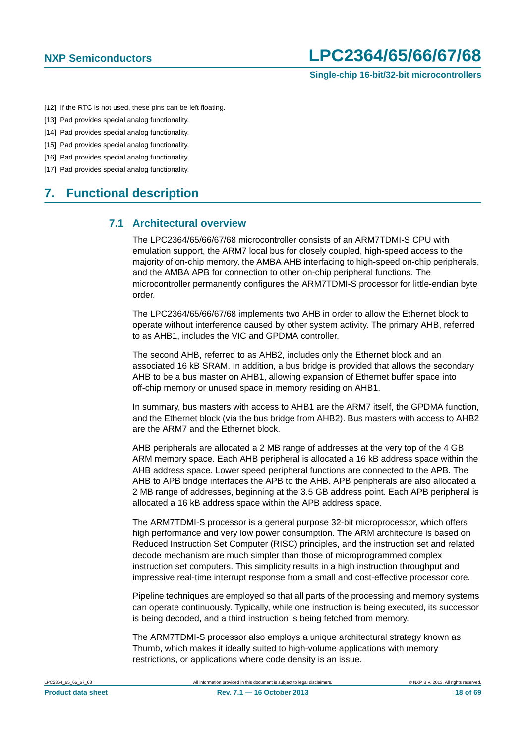- <span id="page-17-0"></span>[12] If the RTC is not used, these pins can be left floating.
- <span id="page-17-1"></span>[13] Pad provides special analog functionality.
- <span id="page-17-2"></span>[14] Pad provides special analog functionality.
- <span id="page-17-3"></span>[15] Pad provides special analog functionality.
- <span id="page-17-4"></span>[16] Pad provides special analog functionality.
- <span id="page-17-5"></span>[17] Pad provides special analog functionality.

## <span id="page-17-7"></span><span id="page-17-6"></span>**7. Functional description**

#### **7.1 Architectural overview**

The LPC2364/65/66/67/68 microcontroller consists of an ARM7TDMI-S CPU with emulation support, the ARM7 local bus for closely coupled, high-speed access to the majority of on-chip memory, the AMBA AHB interfacing to high-speed on-chip peripherals, and the AMBA APB for connection to other on-chip peripheral functions. The microcontroller permanently configures the ARM7TDMI-S processor for little-endian byte order.

The LPC2364/65/66/67/68 implements two AHB in order to allow the Ethernet block to operate without interference caused by other system activity. The primary AHB, referred to as AHB1, includes the VIC and GPDMA controller.

The second AHB, referred to as AHB2, includes only the Ethernet block and an associated 16 kB SRAM. In addition, a bus bridge is provided that allows the secondary AHB to be a bus master on AHB1, allowing expansion of Ethernet buffer space into off-chip memory or unused space in memory residing on AHB1.

In summary, bus masters with access to AHB1 are the ARM7 itself, the GPDMA function, and the Ethernet block (via the bus bridge from AHB2). Bus masters with access to AHB2 are the ARM7 and the Ethernet block.

AHB peripherals are allocated a 2 MB range of addresses at the very top of the 4 GB ARM memory space. Each AHB peripheral is allocated a 16 kB address space within the AHB address space. Lower speed peripheral functions are connected to the APB. The AHB to APB bridge interfaces the APB to the AHB. APB peripherals are also allocated a 2 MB range of addresses, beginning at the 3.5 GB address point. Each APB peripheral is allocated a 16 kB address space within the APB address space.

The ARM7TDMI-S processor is a general purpose 32-bit microprocessor, which offers high performance and very low power consumption. The ARM architecture is based on Reduced Instruction Set Computer (RISC) principles, and the instruction set and related decode mechanism are much simpler than those of microprogrammed complex instruction set computers. This simplicity results in a high instruction throughput and impressive real-time interrupt response from a small and cost-effective processor core.

Pipeline techniques are employed so that all parts of the processing and memory systems can operate continuously. Typically, while one instruction is being executed, its successor is being decoded, and a third instruction is being fetched from memory.

The ARM7TDMI-S processor also employs a unique architectural strategy known as Thumb, which makes it ideally suited to high-volume applications with memory restrictions, or applications where code density is an issue.

|  | LPC2364 65 66 67 68 |  |  |  |  |  |
|--|---------------------|--|--|--|--|--|
|--|---------------------|--|--|--|--|--|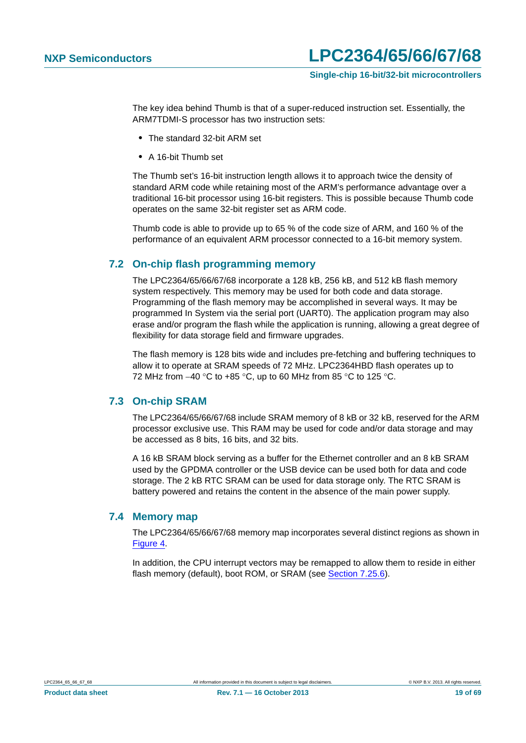The key idea behind Thumb is that of a super-reduced instruction set. Essentially, the ARM7TDMI-S processor has two instruction sets:

- **•** The standard 32-bit ARM set
- **•** A 16-bit Thumb set

The Thumb set's 16-bit instruction length allows it to approach twice the density of standard ARM code while retaining most of the ARM's performance advantage over a traditional 16-bit processor using 16-bit registers. This is possible because Thumb code operates on the same 32-bit register set as ARM code.

Thumb code is able to provide up to 65 % of the code size of ARM, and 160 % of the performance of an equivalent ARM processor connected to a 16-bit memory system.

#### <span id="page-18-0"></span>**7.2 On-chip flash programming memory**

The LPC2364/65/66/67/68 incorporate a 128 kB, 256 kB, and 512 kB flash memory system respectively. This memory may be used for both code and data storage. Programming of the flash memory may be accomplished in several ways. It may be programmed In System via the serial port (UART0). The application program may also erase and/or program the flash while the application is running, allowing a great degree of flexibility for data storage field and firmware upgrades.

The flash memory is 128 bits wide and includes pre-fetching and buffering techniques to allow it to operate at SRAM speeds of 72 MHz. LPC2364HBD flash operates up to 72 MHz from  $-40$  °C to  $+85$  °C, up to 60 MHz from 85 °C to 125 °C.

#### <span id="page-18-1"></span>**7.3 On-chip SRAM**

The LPC2364/65/66/67/68 include SRAM memory of 8 kB or 32 kB, reserved for the ARM processor exclusive use. This RAM may be used for code and/or data storage and may be accessed as 8 bits, 16 bits, and 32 bits.

A 16 kB SRAM block serving as a buffer for the Ethernet controller and an 8 kB SRAM used by the GPDMA controller or the USB device can be used both for data and code storage. The 2 kB RTC SRAM can be used for data storage only. The RTC SRAM is battery powered and retains the content in the absence of the main power supply.

#### <span id="page-18-2"></span>**7.4 Memory map**

The LPC2364/65/66/67/68 memory map incorporates several distinct regions as shown in [Figure 4.](#page-19-0)

In addition, the CPU interrupt vectors may be remapped to allow them to reside in either flash memory (default), boot ROM, or SRAM (see [Section 7.25.6\)](#page-36-0).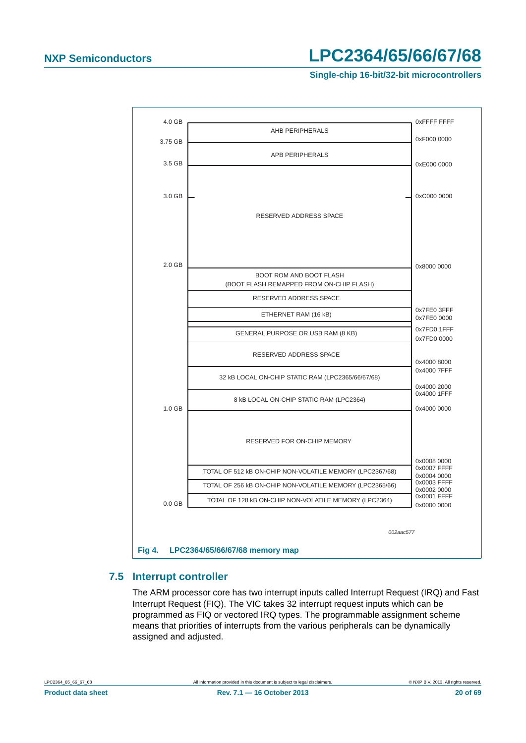#### **Single-chip 16-bit/32-bit microcontrollers**



#### <span id="page-19-1"></span><span id="page-19-0"></span>**7.5 Interrupt controller**

The ARM processor core has two interrupt inputs called Interrupt Request (IRQ) and Fast Interrupt Request (FIQ). The VIC takes 32 interrupt request inputs which can be programmed as FIQ or vectored IRQ types. The programmable assignment scheme means that priorities of interrupts from the various peripherals can be dynamically assigned and adjusted.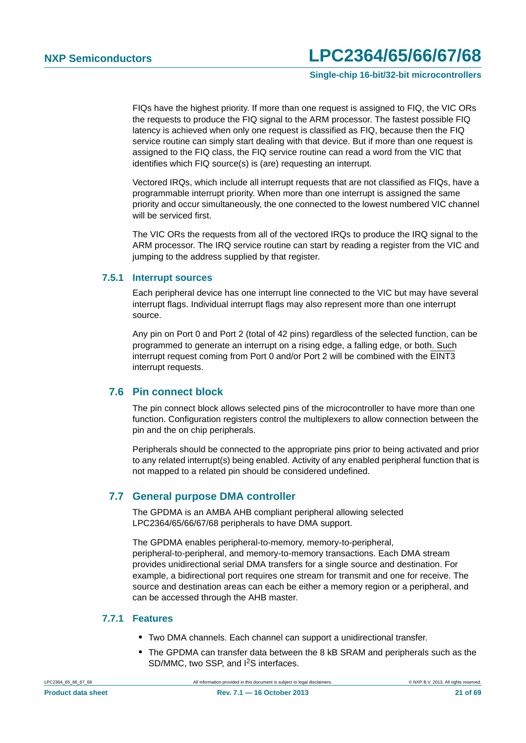**Single-chip 16-bit/32-bit microcontrollers**

FIQs have the highest priority. If more than one request is assigned to FIQ, the VIC ORs the requests to produce the FIQ signal to the ARM processor. The fastest possible FIQ latency is achieved when only one request is classified as FIQ, because then the FIQ service routine can simply start dealing with that device. But if more than one request is assigned to the FIQ class, the FIQ service routine can read a word from the VIC that identifies which FIQ source(s) is (are) requesting an interrupt.

Vectored IRQs, which include all interrupt requests that are not classified as FIQs, have a programmable interrupt priority. When more than one interrupt is assigned the same priority and occur simultaneously, the one connected to the lowest numbered VIC channel will be serviced first.

The VIC ORs the requests from all of the vectored IRQs to produce the IRQ signal to the ARM processor. The IRQ service routine can start by reading a register from the VIC and jumping to the address supplied by that register.

#### <span id="page-20-0"></span>**7.5.1 Interrupt sources**

Each peripheral device has one interrupt line connected to the VIC but may have several interrupt flags. Individual interrupt flags may also represent more than one interrupt source.

Any pin on Port 0 and Port 2 (total of 42 pins) regardless of the selected function, can be programmed to generate an interrupt on a rising edge, a falling edge, or both. Such interrupt request coming from Port 0 and/or Port 2 will be combined with the EINT3 interrupt requests.

#### <span id="page-20-1"></span>**7.6 Pin connect block**

The pin connect block allows selected pins of the microcontroller to have more than one function. Configuration registers control the multiplexers to allow connection between the pin and the on chip peripherals.

Peripherals should be connected to the appropriate pins prior to being activated and prior to any related interrupt(s) being enabled. Activity of any enabled peripheral function that is not mapped to a related pin should be considered undefined.

### <span id="page-20-2"></span>**7.7 General purpose DMA controller**

The GPDMA is an AMBA AHB compliant peripheral allowing selected LPC2364/65/66/67/68 peripherals to have DMA support.

The GPDMA enables peripheral-to-memory, memory-to-peripheral, peripheral-to-peripheral, and memory-to-memory transactions. Each DMA stream provides unidirectional serial DMA transfers for a single source and destination. For example, a bidirectional port requires one stream for transmit and one for receive. The source and destination areas can each be either a memory region or a peripheral, and can be accessed through the AHB master.

### <span id="page-20-3"></span>**7.7.1 Features**

- **•** Two DMA channels. Each channel can support a unidirectional transfer.
- **•** The GPDMA can transfer data between the 8 kB SRAM and peripherals such as the SD/MMC, two SSP, and I2S interfaces.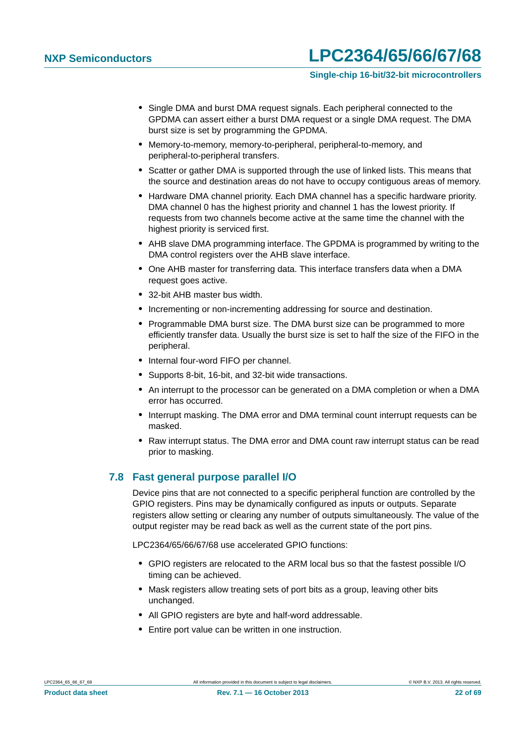#### **Single-chip 16-bit/32-bit microcontrollers**

- **•** Single DMA and burst DMA request signals. Each peripheral connected to the GPDMA can assert either a burst DMA request or a single DMA request. The DMA burst size is set by programming the GPDMA.
- **•** Memory-to-memory, memory-to-peripheral, peripheral-to-memory, and peripheral-to-peripheral transfers.
- **•** Scatter or gather DMA is supported through the use of linked lists. This means that the source and destination areas do not have to occupy contiguous areas of memory.
- **•** Hardware DMA channel priority. Each DMA channel has a specific hardware priority. DMA channel 0 has the highest priority and channel 1 has the lowest priority. If requests from two channels become active at the same time the channel with the highest priority is serviced first.
- **•** AHB slave DMA programming interface. The GPDMA is programmed by writing to the DMA control registers over the AHB slave interface.
- **•** One AHB master for transferring data. This interface transfers data when a DMA request goes active.
- **•** 32-bit AHB master bus width.
- **•** Incrementing or non-incrementing addressing for source and destination.
- **•** Programmable DMA burst size. The DMA burst size can be programmed to more efficiently transfer data. Usually the burst size is set to half the size of the FIFO in the peripheral.
- **•** Internal four-word FIFO per channel.
- **•** Supports 8-bit, 16-bit, and 32-bit wide transactions.
- **•** An interrupt to the processor can be generated on a DMA completion or when a DMA error has occurred.
- **•** Interrupt masking. The DMA error and DMA terminal count interrupt requests can be masked.
- **•** Raw interrupt status. The DMA error and DMA count raw interrupt status can be read prior to masking.

#### <span id="page-21-0"></span>**7.8 Fast general purpose parallel I/O**

Device pins that are not connected to a specific peripheral function are controlled by the GPIO registers. Pins may be dynamically configured as inputs or outputs. Separate registers allow setting or clearing any number of outputs simultaneously. The value of the output register may be read back as well as the current state of the port pins.

LPC2364/65/66/67/68 use accelerated GPIO functions:

- **•** GPIO registers are relocated to the ARM local bus so that the fastest possible I/O timing can be achieved.
- **•** Mask registers allow treating sets of port bits as a group, leaving other bits unchanged.
- **•** All GPIO registers are byte and half-word addressable.
- **•** Entire port value can be written in one instruction.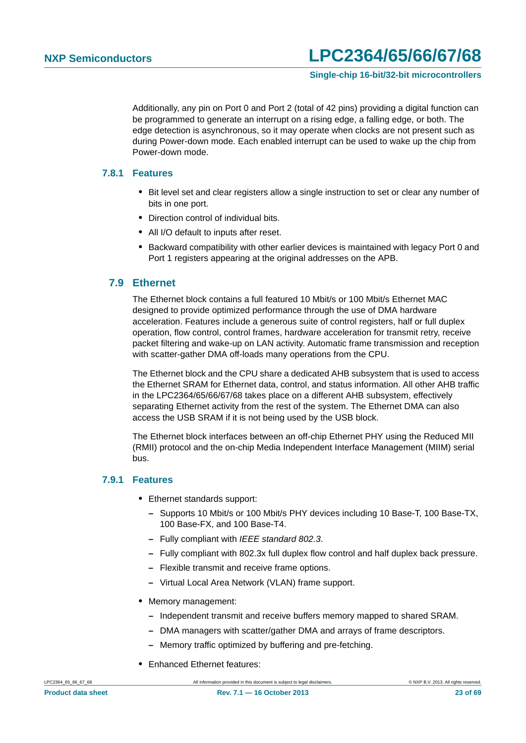Additionally, any pin on Port 0 and Port 2 (total of 42 pins) providing a digital function can be programmed to generate an interrupt on a rising edge, a falling edge, or both. The edge detection is asynchronous, so it may operate when clocks are not present such as during Power-down mode. Each enabled interrupt can be used to wake up the chip from Power-down mode.

#### <span id="page-22-0"></span>**7.8.1 Features**

- **•** Bit level set and clear registers allow a single instruction to set or clear any number of bits in one port.
- **•** Direction control of individual bits.
- **•** All I/O default to inputs after reset.
- **•** Backward compatibility with other earlier devices is maintained with legacy Port 0 and Port 1 registers appearing at the original addresses on the APB.

#### <span id="page-22-1"></span>**7.9 Ethernet**

The Ethernet block contains a full featured 10 Mbit/s or 100 Mbit/s Ethernet MAC designed to provide optimized performance through the use of DMA hardware acceleration. Features include a generous suite of control registers, half or full duplex operation, flow control, control frames, hardware acceleration for transmit retry, receive packet filtering and wake-up on LAN activity. Automatic frame transmission and reception with scatter-gather DMA off-loads many operations from the CPU.

The Ethernet block and the CPU share a dedicated AHB subsystem that is used to access the Ethernet SRAM for Ethernet data, control, and status information. All other AHB traffic in the LPC2364/65/66/67/68 takes place on a different AHB subsystem, effectively separating Ethernet activity from the rest of the system. The Ethernet DMA can also access the USB SRAM if it is not being used by the USB block.

The Ethernet block interfaces between an off-chip Ethernet PHY using the Reduced MII (RMII) protocol and the on-chip Media Independent Interface Management (MIIM) serial bus.

#### <span id="page-22-2"></span>**7.9.1 Features**

- **•** Ethernet standards support:
	- **–** Supports 10 Mbit/s or 100 Mbit/s PHY devices including 10 Base-T, 100 Base-TX, 100 Base-FX, and 100 Base-T4.
	- **–** Fully compliant with *IEEE standard 802.3*.
	- **–** Fully compliant with 802.3x full duplex flow control and half duplex back pressure.
	- **–** Flexible transmit and receive frame options.
	- **–** Virtual Local Area Network (VLAN) frame support.
- **•** Memory management:
	- **–** Independent transmit and receive buffers memory mapped to shared SRAM.
	- **–** DMA managers with scatter/gather DMA and arrays of frame descriptors.
	- **–** Memory traffic optimized by buffering and pre-fetching.
- **•** Enhanced Ethernet features: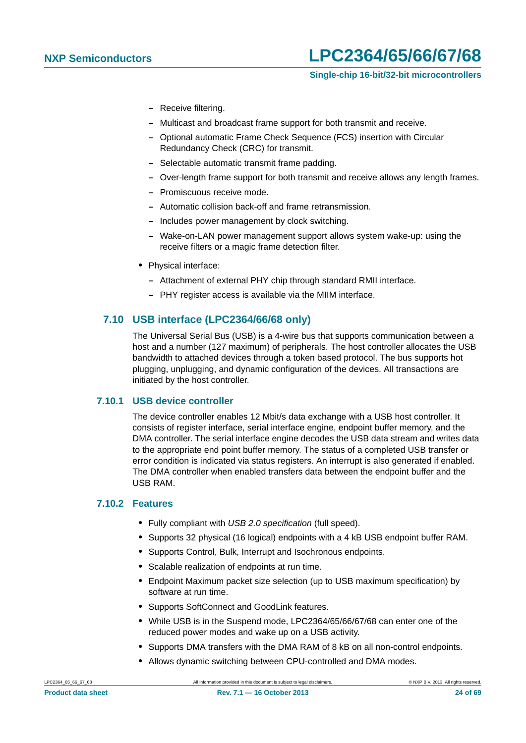- **–** Receive filtering.
- **–** Multicast and broadcast frame support for both transmit and receive.
- **–** Optional automatic Frame Check Sequence (FCS) insertion with Circular Redundancy Check (CRC) for transmit.
- **–** Selectable automatic transmit frame padding.
- **–** Over-length frame support for both transmit and receive allows any length frames.
- **–** Promiscuous receive mode.
- **–** Automatic collision back-off and frame retransmission.
- **–** Includes power management by clock switching.
- **–** Wake-on-LAN power management support allows system wake-up: using the receive filters or a magic frame detection filter.
- **•** Physical interface:
	- **–** Attachment of external PHY chip through standard RMII interface.
	- **–** PHY register access is available via the MIIM interface.

#### <span id="page-23-0"></span>**7.10 USB interface (LPC2364/66/68 only)**

The Universal Serial Bus (USB) is a 4-wire bus that supports communication between a host and a number (127 maximum) of peripherals. The host controller allocates the USB bandwidth to attached devices through a token based protocol. The bus supports hot plugging, unplugging, and dynamic configuration of the devices. All transactions are initiated by the host controller.

#### <span id="page-23-1"></span>**7.10.1 USB device controller**

The device controller enables 12 Mbit/s data exchange with a USB host controller. It consists of register interface, serial interface engine, endpoint buffer memory, and the DMA controller. The serial interface engine decodes the USB data stream and writes data to the appropriate end point buffer memory. The status of a completed USB transfer or error condition is indicated via status registers. An interrupt is also generated if enabled. The DMA controller when enabled transfers data between the endpoint buffer and the USB RAM.

#### <span id="page-23-2"></span>**7.10.2 Features**

- **•** Fully compliant with *USB 2.0 specification* (full speed).
- **•** Supports 32 physical (16 logical) endpoints with a 4 kB USB endpoint buffer RAM.
- **•** Supports Control, Bulk, Interrupt and Isochronous endpoints.
- **•** Scalable realization of endpoints at run time.
- **•** Endpoint Maximum packet size selection (up to USB maximum specification) by software at run time.
- **•** Supports SoftConnect and GoodLink features.
- **•** While USB is in the Suspend mode, LPC2364/65/66/67/68 can enter one of the reduced power modes and wake up on a USB activity.
- **•** Supports DMA transfers with the DMA RAM of 8 kB on all non-control endpoints.
- **•** Allows dynamic switching between CPU-controlled and DMA modes.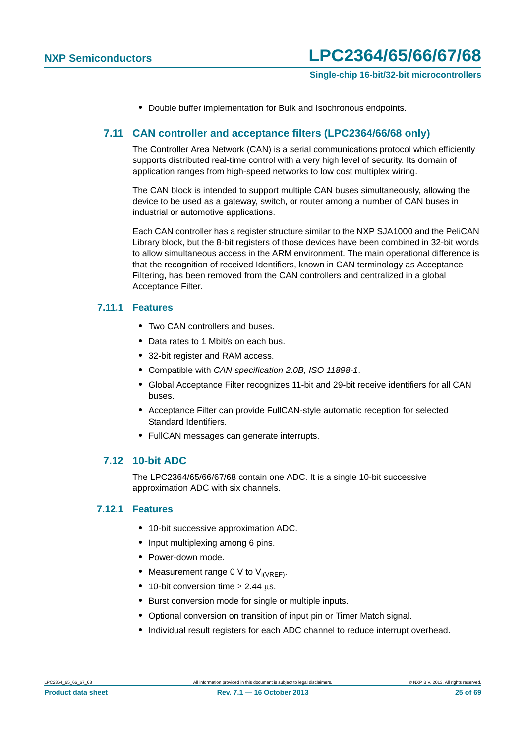**•** Double buffer implementation for Bulk and Isochronous endpoints.

### <span id="page-24-0"></span>**7.11 CAN controller and acceptance filters (LPC2364/66/68 only)**

The Controller Area Network (CAN) is a serial communications protocol which efficiently supports distributed real-time control with a very high level of security. Its domain of application ranges from high-speed networks to low cost multiplex wiring.

The CAN block is intended to support multiple CAN buses simultaneously, allowing the device to be used as a gateway, switch, or router among a number of CAN buses in industrial or automotive applications.

Each CAN controller has a register structure similar to the NXP SJA1000 and the PeliCAN Library block, but the 8-bit registers of those devices have been combined in 32-bit words to allow simultaneous access in the ARM environment. The main operational difference is that the recognition of received Identifiers, known in CAN terminology as Acceptance Filtering, has been removed from the CAN controllers and centralized in a global Acceptance Filter.

#### <span id="page-24-1"></span>**7.11.1 Features**

- **•** Two CAN controllers and buses.
- **•** Data rates to 1 Mbit/s on each bus.
- **•** 32-bit register and RAM access.
- **•** Compatible with *CAN specification 2.0B, ISO 11898-1*.
- **•** Global Acceptance Filter recognizes 11-bit and 29-bit receive identifiers for all CAN buses.
- **•** Acceptance Filter can provide FullCAN-style automatic reception for selected Standard Identifiers.
- **•** FullCAN messages can generate interrupts.

### <span id="page-24-2"></span>**7.12 10-bit ADC**

The LPC2364/65/66/67/68 contain one ADC. It is a single 10-bit successive approximation ADC with six channels.

#### <span id="page-24-3"></span>**7.12.1 Features**

- **•** 10-bit successive approximation ADC.
- **•** Input multiplexing among 6 pins.
- **•** Power-down mode.
- Measurement range 0 V to V<sub>i(VREF)</sub>.
- 10-bit conversion time  $\geq 2.44$  us.
- **•** Burst conversion mode for single or multiple inputs.
- **•** Optional conversion on transition of input pin or Timer Match signal.
- **•** Individual result registers for each ADC channel to reduce interrupt overhead.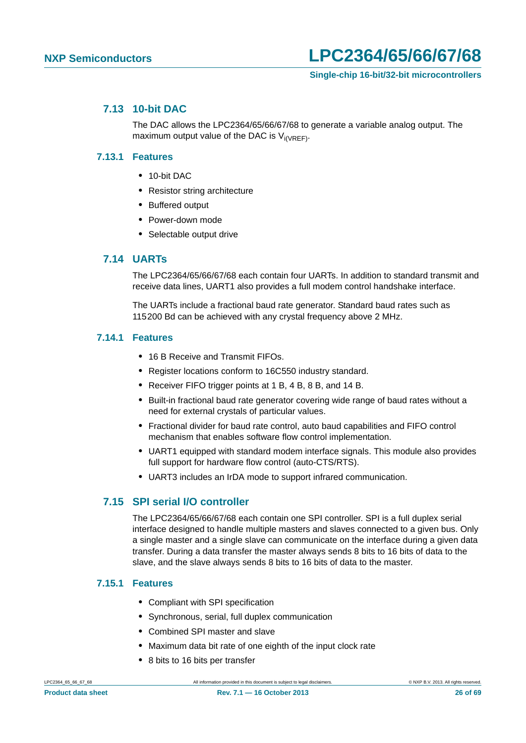#### <span id="page-25-0"></span>**7.13 10-bit DAC**

The DAC allows the LPC2364/65/66/67/68 to generate a variable analog output. The maximum output value of the DAC is  $V_{i(VREF)}$ .

#### <span id="page-25-1"></span>**7.13.1 Features**

- **•** 10-bit DAC
- **•** Resistor string architecture
- **•** Buffered output
- **•** Power-down mode
- **•** Selectable output drive

### <span id="page-25-2"></span>**7.14 UARTs**

The LPC2364/65/66/67/68 each contain four UARTs. In addition to standard transmit and receive data lines, UART1 also provides a full modem control handshake interface.

The UARTs include a fractional baud rate generator. Standard baud rates such as 115200 Bd can be achieved with any crystal frequency above 2 MHz.

#### <span id="page-25-3"></span>**7.14.1 Features**

- **•** 16 B Receive and Transmit FIFOs.
- **•** Register locations conform to 16C550 industry standard.
- **•** Receiver FIFO trigger points at 1 B, 4 B, 8 B, and 14 B.
- **•** Built-in fractional baud rate generator covering wide range of baud rates without a need for external crystals of particular values.
- **•** Fractional divider for baud rate control, auto baud capabilities and FIFO control mechanism that enables software flow control implementation.
- **•** UART1 equipped with standard modem interface signals. This module also provides full support for hardware flow control (auto-CTS/RTS).
- **•** UART3 includes an IrDA mode to support infrared communication.

### <span id="page-25-4"></span>**7.15 SPI serial I/O controller**

The LPC2364/65/66/67/68 each contain one SPI controller. SPI is a full duplex serial interface designed to handle multiple masters and slaves connected to a given bus. Only a single master and a single slave can communicate on the interface during a given data transfer. During a data transfer the master always sends 8 bits to 16 bits of data to the slave, and the slave always sends 8 bits to 16 bits of data to the master.

#### <span id="page-25-5"></span>**7.15.1 Features**

- **•** Compliant with SPI specification
- **•** Synchronous, serial, full duplex communication
- **•** Combined SPI master and slave
- **•** Maximum data bit rate of one eighth of the input clock rate
- **•** 8 bits to 16 bits per transfer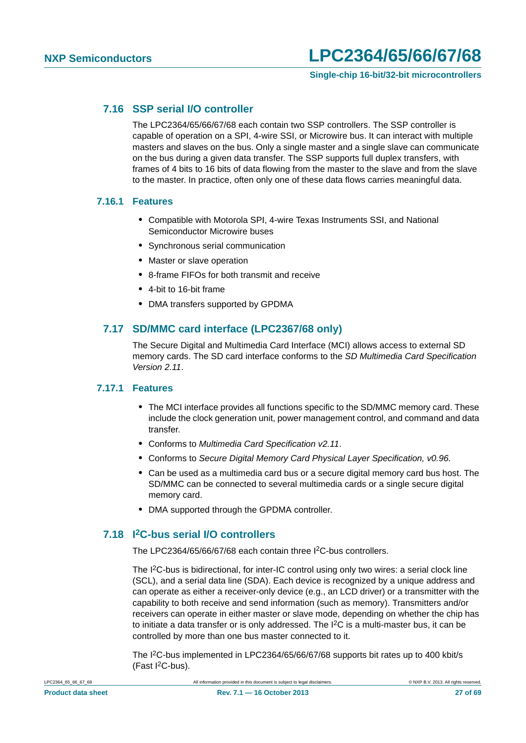#### **Single-chip 16-bit/32-bit microcontrollers**

#### <span id="page-26-0"></span>**7.16 SSP serial I/O controller**

The LPC2364/65/66/67/68 each contain two SSP controllers. The SSP controller is capable of operation on a SPI, 4-wire SSI, or Microwire bus. It can interact with multiple masters and slaves on the bus. Only a single master and a single slave can communicate on the bus during a given data transfer. The SSP supports full duplex transfers, with frames of 4 bits to 16 bits of data flowing from the master to the slave and from the slave to the master. In practice, often only one of these data flows carries meaningful data.

#### <span id="page-26-1"></span>**7.16.1 Features**

- **•** Compatible with Motorola SPI, 4-wire Texas Instruments SSI, and National Semiconductor Microwire buses
- **•** Synchronous serial communication
- **•** Master or slave operation
- **•** 8-frame FIFOs for both transmit and receive
- **•** 4-bit to 16-bit frame
- **•** DMA transfers supported by GPDMA

#### <span id="page-26-2"></span>**7.17 SD/MMC card interface (LPC2367/68 only)**

The Secure Digital and Multimedia Card Interface (MCI) allows access to external SD memory cards. The SD card interface conforms to the *SD Multimedia Card Specification Version 2.11*.

#### <span id="page-26-3"></span>**7.17.1 Features**

- **•** The MCI interface provides all functions specific to the SD/MMC memory card. These include the clock generation unit, power management control, and command and data transfer.
- **•** Conforms to *Multimedia Card Specification v2.11*.
- **•** Conforms to *Secure Digital Memory Card Physical Layer Specification, v0.96.*
- **•** Can be used as a multimedia card bus or a secure digital memory card bus host. The SD/MMC can be connected to several multimedia cards or a single secure digital memory card.
- **•** DMA supported through the GPDMA controller.

### <span id="page-26-4"></span>**7.18 I2C-bus serial I/O controllers**

The LPC2364/65/66/67/68 each contain three I<sup>2</sup>C-bus controllers.

The I<sup>2</sup>C-bus is bidirectional, for inter-IC control using only two wires: a serial clock line (SCL), and a serial data line (SDA). Each device is recognized by a unique address and can operate as either a receiver-only device (e.g., an LCD driver) or a transmitter with the capability to both receive and send information (such as memory). Transmitters and/or receivers can operate in either master or slave mode, depending on whether the chip has to initiate a data transfer or is only addressed. The I2C is a multi-master bus, it can be controlled by more than one bus master connected to it.

The I2C-bus implemented in LPC2364/65/66/67/68 supports bit rates up to 400 kbit/s  $(Fast I<sup>2</sup>C-bus).$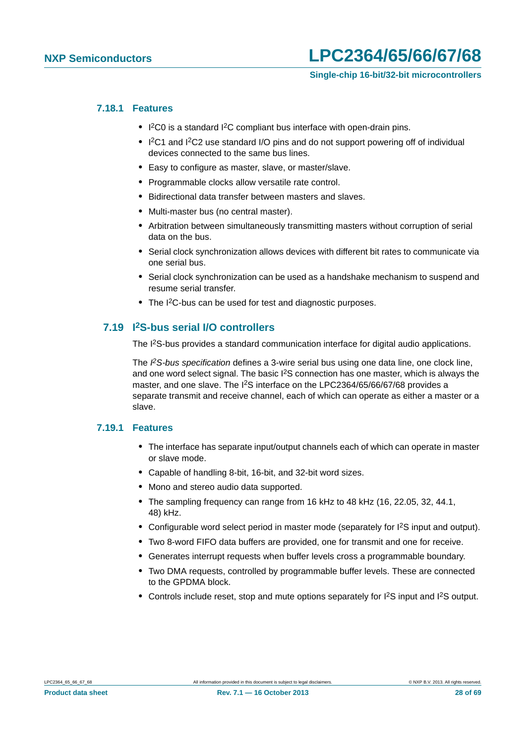#### <span id="page-27-0"></span>**7.18.1 Features**

- **•** I 2C0 is a standard I2C compliant bus interface with open-drain pins.
- I<sup>2</sup>C1 and I<sup>2</sup>C2 use standard I/O pins and do not support powering off of individual devices connected to the same bus lines.
- **•** Easy to configure as master, slave, or master/slave.
- **•** Programmable clocks allow versatile rate control.
- **•** Bidirectional data transfer between masters and slaves.
- **•** Multi-master bus (no central master).
- **•** Arbitration between simultaneously transmitting masters without corruption of serial data on the bus.
- **•** Serial clock synchronization allows devices with different bit rates to communicate via one serial bus.
- **•** Serial clock synchronization can be used as a handshake mechanism to suspend and resume serial transfer.
- **•** The I2C-bus can be used for test and diagnostic purposes.

### <span id="page-27-1"></span>**7.19 I2S-bus serial I/O controllers**

The I2S-bus provides a standard communication interface for digital audio applications.

The *I 2S-bus specification* defines a 3-wire serial bus using one data line, one clock line, and one word select signal. The basic  $1<sup>2</sup>S$  connection has one master, which is always the master, and one slave. The I<sup>2</sup>S interface on the LPC2364/65/66/67/68 provides a separate transmit and receive channel, each of which can operate as either a master or a slave.

#### <span id="page-27-2"></span>**7.19.1 Features**

- **•** The interface has separate input/output channels each of which can operate in master or slave mode.
- **•** Capable of handling 8-bit, 16-bit, and 32-bit word sizes.
- **•** Mono and stereo audio data supported.
- **•** The sampling frequency can range from 16 kHz to 48 kHz (16, 22.05, 32, 44.1, 48) kHz.
- Configurable word select period in master mode (separately for I<sup>2</sup>S input and output).
- **•** Two 8-word FIFO data buffers are provided, one for transmit and one for receive.
- **•** Generates interrupt requests when buffer levels cross a programmable boundary.
- **•** Two DMA requests, controlled by programmable buffer levels. These are connected to the GPDMA block.
- Controls include reset, stop and mute options separately for I<sup>2</sup>S input and I<sup>2</sup>S output.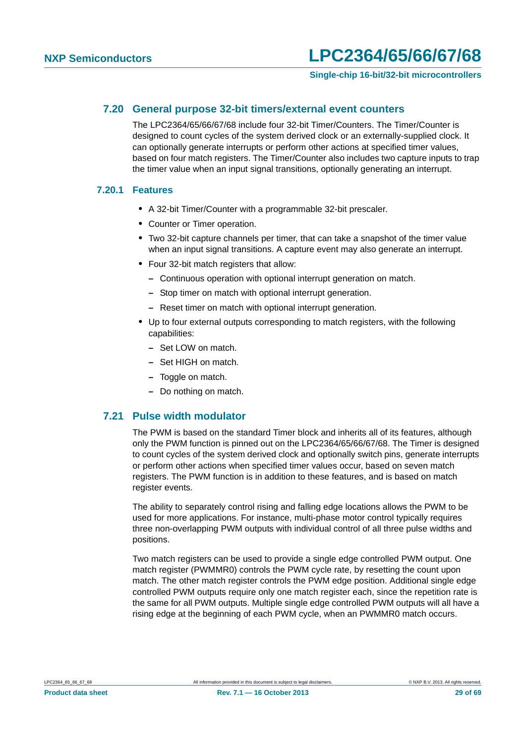#### <span id="page-28-0"></span>**7.20 General purpose 32-bit timers/external event counters**

The LPC2364/65/66/67/68 include four 32-bit Timer/Counters. The Timer/Counter is designed to count cycles of the system derived clock or an externally-supplied clock. It can optionally generate interrupts or perform other actions at specified timer values, based on four match registers. The Timer/Counter also includes two capture inputs to trap the timer value when an input signal transitions, optionally generating an interrupt.

#### <span id="page-28-1"></span>**7.20.1 Features**

- **•** A 32-bit Timer/Counter with a programmable 32-bit prescaler.
- **•** Counter or Timer operation.
- **•** Two 32-bit capture channels per timer, that can take a snapshot of the timer value when an input signal transitions. A capture event may also generate an interrupt.
- **•** Four 32-bit match registers that allow:
	- **–** Continuous operation with optional interrupt generation on match.
	- **–** Stop timer on match with optional interrupt generation.
	- **–** Reset timer on match with optional interrupt generation.
- **•** Up to four external outputs corresponding to match registers, with the following capabilities:
	- **–** Set LOW on match.
	- **–** Set HIGH on match.
	- **–** Toggle on match.
	- **–** Do nothing on match.

#### <span id="page-28-2"></span>**7.21 Pulse width modulator**

The PWM is based on the standard Timer block and inherits all of its features, although only the PWM function is pinned out on the LPC2364/65/66/67/68. The Timer is designed to count cycles of the system derived clock and optionally switch pins, generate interrupts or perform other actions when specified timer values occur, based on seven match registers. The PWM function is in addition to these features, and is based on match register events.

The ability to separately control rising and falling edge locations allows the PWM to be used for more applications. For instance, multi-phase motor control typically requires three non-overlapping PWM outputs with individual control of all three pulse widths and positions.

Two match registers can be used to provide a single edge controlled PWM output. One match register (PWMMR0) controls the PWM cycle rate, by resetting the count upon match. The other match register controls the PWM edge position. Additional single edge controlled PWM outputs require only one match register each, since the repetition rate is the same for all PWM outputs. Multiple single edge controlled PWM outputs will all have a rising edge at the beginning of each PWM cycle, when an PWMMR0 match occurs.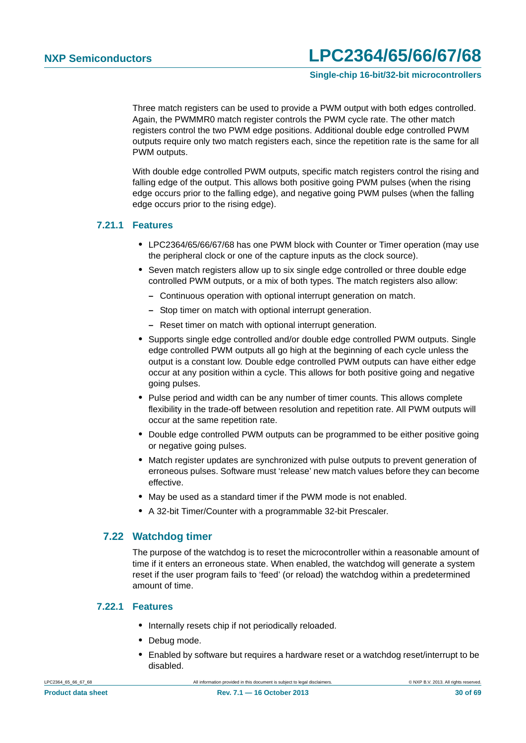**Single-chip 16-bit/32-bit microcontrollers**

Three match registers can be used to provide a PWM output with both edges controlled. Again, the PWMMR0 match register controls the PWM cycle rate. The other match registers control the two PWM edge positions. Additional double edge controlled PWM outputs require only two match registers each, since the repetition rate is the same for all PWM outputs.

With double edge controlled PWM outputs, specific match registers control the rising and falling edge of the output. This allows both positive going PWM pulses (when the rising edge occurs prior to the falling edge), and negative going PWM pulses (when the falling edge occurs prior to the rising edge).

#### <span id="page-29-0"></span>**7.21.1 Features**

- **•** LPC2364/65/66/67/68 has one PWM block with Counter or Timer operation (may use the peripheral clock or one of the capture inputs as the clock source).
- **•** Seven match registers allow up to six single edge controlled or three double edge controlled PWM outputs, or a mix of both types. The match registers also allow:
	- **–** Continuous operation with optional interrupt generation on match.
	- **–** Stop timer on match with optional interrupt generation.
	- **–** Reset timer on match with optional interrupt generation.
- **•** Supports single edge controlled and/or double edge controlled PWM outputs. Single edge controlled PWM outputs all go high at the beginning of each cycle unless the output is a constant low. Double edge controlled PWM outputs can have either edge occur at any position within a cycle. This allows for both positive going and negative going pulses.
- **•** Pulse period and width can be any number of timer counts. This allows complete flexibility in the trade-off between resolution and repetition rate. All PWM outputs will occur at the same repetition rate.
- **•** Double edge controlled PWM outputs can be programmed to be either positive going or negative going pulses.
- **•** Match register updates are synchronized with pulse outputs to prevent generation of erroneous pulses. Software must 'release' new match values before they can become effective.
- **•** May be used as a standard timer if the PWM mode is not enabled.
- **•** A 32-bit Timer/Counter with a programmable 32-bit Prescaler.

#### <span id="page-29-1"></span>**7.22 Watchdog timer**

The purpose of the watchdog is to reset the microcontroller within a reasonable amount of time if it enters an erroneous state. When enabled, the watchdog will generate a system reset if the user program fails to 'feed' (or reload) the watchdog within a predetermined amount of time.

#### <span id="page-29-2"></span>**7.22.1 Features**

- **•** Internally resets chip if not periodically reloaded.
- **•** Debug mode.
- **•** Enabled by software but requires a hardware reset or a watchdog reset/interrupt to be disabled.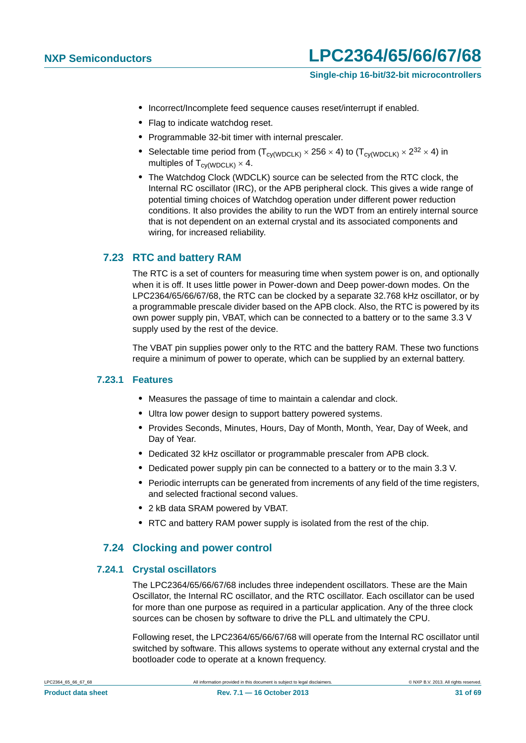- **•** Incorrect/Incomplete feed sequence causes reset/interrupt if enabled.
- **•** Flag to indicate watchdog reset.
- **•** Programmable 32-bit timer with internal prescaler.
- Selectable time period from  $(T_{\text{cv(WDCLK)}} \times 256 \times 4)$  to  $(T_{\text{cv(WDCLK)}} \times 2^{32} \times 4)$  in multiples of  $T_{\text{cv(WDCLK)}} \times 4$ .
- **•** The Watchdog Clock (WDCLK) source can be selected from the RTC clock, the Internal RC oscillator (IRC), or the APB peripheral clock. This gives a wide range of potential timing choices of Watchdog operation under different power reduction conditions. It also provides the ability to run the WDT from an entirely internal source that is not dependent on an external crystal and its associated components and wiring, for increased reliability.

### <span id="page-30-0"></span>**7.23 RTC and battery RAM**

The RTC is a set of counters for measuring time when system power is on, and optionally when it is off. It uses little power in Power-down and Deep power-down modes. On the LPC2364/65/66/67/68, the RTC can be clocked by a separate 32.768 kHz oscillator, or by a programmable prescale divider based on the APB clock. Also, the RTC is powered by its own power supply pin, VBAT, which can be connected to a battery or to the same 3.3 V supply used by the rest of the device.

The VBAT pin supplies power only to the RTC and the battery RAM. These two functions require a minimum of power to operate, which can be supplied by an external battery.

#### <span id="page-30-1"></span>**7.23.1 Features**

- **•** Measures the passage of time to maintain a calendar and clock.
- **•** Ultra low power design to support battery powered systems.
- **•** Provides Seconds, Minutes, Hours, Day of Month, Month, Year, Day of Week, and Day of Year.
- **•** Dedicated 32 kHz oscillator or programmable prescaler from APB clock.
- **•** Dedicated power supply pin can be connected to a battery or to the main 3.3 V.
- Periodic interrupts can be generated from increments of any field of the time registers, and selected fractional second values.
- **•** 2 kB data SRAM powered by VBAT.
- **•** RTC and battery RAM power supply is isolated from the rest of the chip.

### **7.24 Clocking and power control**

#### <span id="page-30-3"></span><span id="page-30-2"></span>**7.24.1 Crystal oscillators**

The LPC2364/65/66/67/68 includes three independent oscillators. These are the Main Oscillator, the Internal RC oscillator, and the RTC oscillator. Each oscillator can be used for more than one purpose as required in a particular application. Any of the three clock sources can be chosen by software to drive the PLL and ultimately the CPU.

Following reset, the LPC2364/65/66/67/68 will operate from the Internal RC oscillator until switched by software. This allows systems to operate without any external crystal and the bootloader code to operate at a known frequency.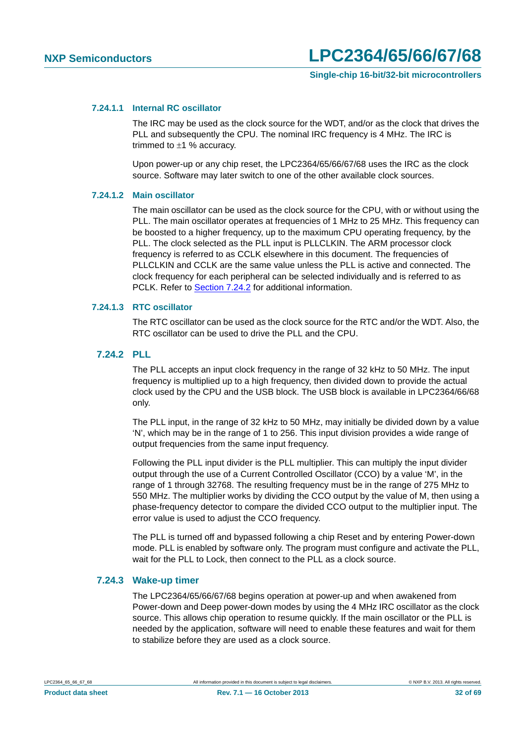#### <span id="page-31-2"></span>**7.24.1.1 Internal RC oscillator**

The IRC may be used as the clock source for the WDT, and/or as the clock that drives the PLL and subsequently the CPU. The nominal IRC frequency is 4 MHz. The IRC is trimmed to  $\pm 1$  % accuracy.

Upon power-up or any chip reset, the LPC2364/65/66/67/68 uses the IRC as the clock source. Software may later switch to one of the other available clock sources.

#### <span id="page-31-3"></span>**7.24.1.2 Main oscillator**

The main oscillator can be used as the clock source for the CPU, with or without using the PLL. The main oscillator operates at frequencies of 1 MHz to 25 MHz. This frequency can be boosted to a higher frequency, up to the maximum CPU operating frequency, by the PLL. The clock selected as the PLL input is PLLCLKIN. The ARM processor clock frequency is referred to as CCLK elsewhere in this document. The frequencies of PLLCLKIN and CCLK are the same value unless the PLL is active and connected. The clock frequency for each peripheral can be selected individually and is referred to as PCLK. Refer to [Section 7.24.2](#page-31-0) for additional information.

#### <span id="page-31-4"></span>**7.24.1.3 RTC oscillator**

The RTC oscillator can be used as the clock source for the RTC and/or the WDT. Also, the RTC oscillator can be used to drive the PLL and the CPU.

#### <span id="page-31-0"></span>**7.24.2 PLL**

The PLL accepts an input clock frequency in the range of 32 kHz to 50 MHz. The input frequency is multiplied up to a high frequency, then divided down to provide the actual clock used by the CPU and the USB block. The USB block is available in LPC2364/66/68 only.

The PLL input, in the range of 32 kHz to 50 MHz, may initially be divided down by a value 'N', which may be in the range of 1 to 256. This input division provides a wide range of output frequencies from the same input frequency.

Following the PLL input divider is the PLL multiplier. This can multiply the input divider output through the use of a Current Controlled Oscillator (CCO) by a value 'M', in the range of 1 through 32768. The resulting frequency must be in the range of 275 MHz to 550 MHz. The multiplier works by dividing the CCO output by the value of M, then using a phase-frequency detector to compare the divided CCO output to the multiplier input. The error value is used to adjust the CCO frequency.

The PLL is turned off and bypassed following a chip Reset and by entering Power-down mode. PLL is enabled by software only. The program must configure and activate the PLL, wait for the PLL to Lock, then connect to the PLL as a clock source.

#### <span id="page-31-1"></span>**7.24.3 Wake-up timer**

The LPC2364/65/66/67/68 begins operation at power-up and when awakened from Power-down and Deep power-down modes by using the 4 MHz IRC oscillator as the clock source. This allows chip operation to resume quickly. If the main oscillator or the PLL is needed by the application, software will need to enable these features and wait for them to stabilize before they are used as a clock source.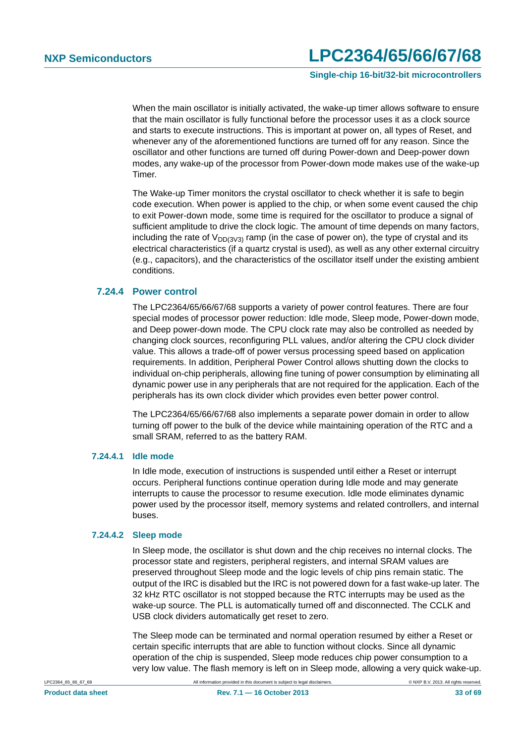**Single-chip 16-bit/32-bit microcontrollers**

When the main oscillator is initially activated, the wake-up timer allows software to ensure that the main oscillator is fully functional before the processor uses it as a clock source and starts to execute instructions. This is important at power on, all types of Reset, and whenever any of the aforementioned functions are turned off for any reason. Since the oscillator and other functions are turned off during Power-down and Deep-power down modes, any wake-up of the processor from Power-down mode makes use of the wake-up Timer.

The Wake-up Timer monitors the crystal oscillator to check whether it is safe to begin code execution. When power is applied to the chip, or when some event caused the chip to exit Power-down mode, some time is required for the oscillator to produce a signal of sufficient amplitude to drive the clock logic. The amount of time depends on many factors, including the rate of  $V_{DD/3V3}$  ramp (in the case of power on), the type of crystal and its electrical characteristics (if a quartz crystal is used), as well as any other external circuitry (e.g., capacitors), and the characteristics of the oscillator itself under the existing ambient conditions.

#### <span id="page-32-0"></span>**7.24.4 Power control**

The LPC2364/65/66/67/68 supports a variety of power control features. There are four special modes of processor power reduction: Idle mode, Sleep mode, Power-down mode, and Deep power-down mode. The CPU clock rate may also be controlled as needed by changing clock sources, reconfiguring PLL values, and/or altering the CPU clock divider value. This allows a trade-off of power versus processing speed based on application requirements. In addition, Peripheral Power Control allows shutting down the clocks to individual on-chip peripherals, allowing fine tuning of power consumption by eliminating all dynamic power use in any peripherals that are not required for the application. Each of the peripherals has its own clock divider which provides even better power control.

The LPC2364/65/66/67/68 also implements a separate power domain in order to allow turning off power to the bulk of the device while maintaining operation of the RTC and a small SRAM, referred to as the battery RAM.

#### <span id="page-32-1"></span>**7.24.4.1 Idle mode**

In Idle mode, execution of instructions is suspended until either a Reset or interrupt occurs. Peripheral functions continue operation during Idle mode and may generate interrupts to cause the processor to resume execution. Idle mode eliminates dynamic power used by the processor itself, memory systems and related controllers, and internal buses.

#### <span id="page-32-2"></span>**7.24.4.2 Sleep mode**

In Sleep mode, the oscillator is shut down and the chip receives no internal clocks. The processor state and registers, peripheral registers, and internal SRAM values are preserved throughout Sleep mode and the logic levels of chip pins remain static. The output of the IRC is disabled but the IRC is not powered down for a fast wake-up later. The 32 kHz RTC oscillator is not stopped because the RTC interrupts may be used as the wake-up source. The PLL is automatically turned off and disconnected. The CCLK and USB clock dividers automatically get reset to zero.

The Sleep mode can be terminated and normal operation resumed by either a Reset or certain specific interrupts that are able to function without clocks. Since all dynamic operation of the chip is suspended, Sleep mode reduces chip power consumption to a very low value. The flash memory is left on in Sleep mode, allowing a very quick wake-up.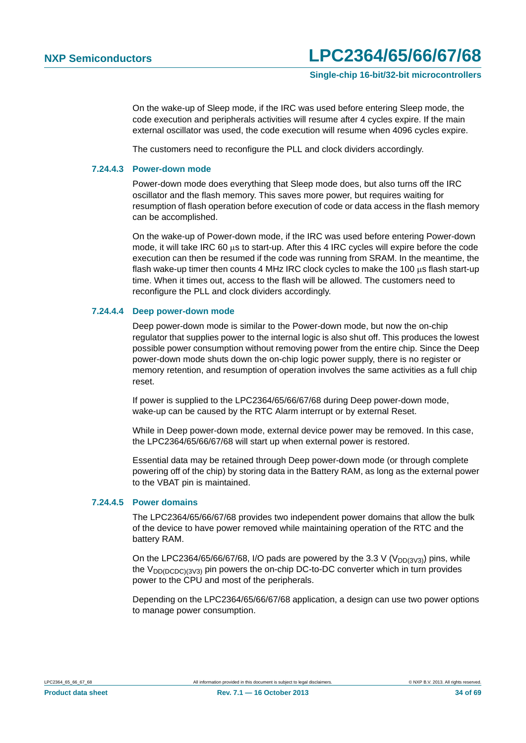**Single-chip 16-bit/32-bit microcontrollers**

On the wake-up of Sleep mode, if the IRC was used before entering Sleep mode, the code execution and peripherals activities will resume after 4 cycles expire. If the main external oscillator was used, the code execution will resume when 4096 cycles expire.

The customers need to reconfigure the PLL and clock dividers accordingly.

#### <span id="page-33-0"></span>**7.24.4.3 Power-down mode**

Power-down mode does everything that Sleep mode does, but also turns off the IRC oscillator and the flash memory. This saves more power, but requires waiting for resumption of flash operation before execution of code or data access in the flash memory can be accomplished.

On the wake-up of Power-down mode, if the IRC was used before entering Power-down mode, it will take IRC 60 us to start-up. After this 4 IRC cycles will expire before the code execution can then be resumed if the code was running from SRAM. In the meantime, the flash wake-up timer then counts 4 MHz IRC clock cycles to make the 100  $\mu$ s flash start-up time. When it times out, access to the flash will be allowed. The customers need to reconfigure the PLL and clock dividers accordingly.

#### <span id="page-33-1"></span>**7.24.4.4 Deep power-down mode**

Deep power-down mode is similar to the Power-down mode, but now the on-chip regulator that supplies power to the internal logic is also shut off. This produces the lowest possible power consumption without removing power from the entire chip. Since the Deep power-down mode shuts down the on-chip logic power supply, there is no register or memory retention, and resumption of operation involves the same activities as a full chip reset.

If power is supplied to the LPC2364/65/66/67/68 during Deep power-down mode, wake-up can be caused by the RTC Alarm interrupt or by external Reset.

While in Deep power-down mode, external device power may be removed. In this case, the LPC2364/65/66/67/68 will start up when external power is restored.

Essential data may be retained through Deep power-down mode (or through complete powering off of the chip) by storing data in the Battery RAM, as long as the external power to the VBAT pin is maintained.

#### <span id="page-33-2"></span>**7.24.4.5 Power domains**

The LPC2364/65/66/67/68 provides two independent power domains that allow the bulk of the device to have power removed while maintaining operation of the RTC and the battery RAM.

On the LPC2364/65/66/67/68, I/O pads are powered by the 3.3 V ( $V_{DD(3V3)}$ ) pins, while the  $V_{DD(DCDC)(3V3)}$  pin powers the on-chip DC-to-DC converter which in turn provides power to the CPU and most of the peripherals.

Depending on the LPC2364/65/66/67/68 application, a design can use two power options to manage power consumption.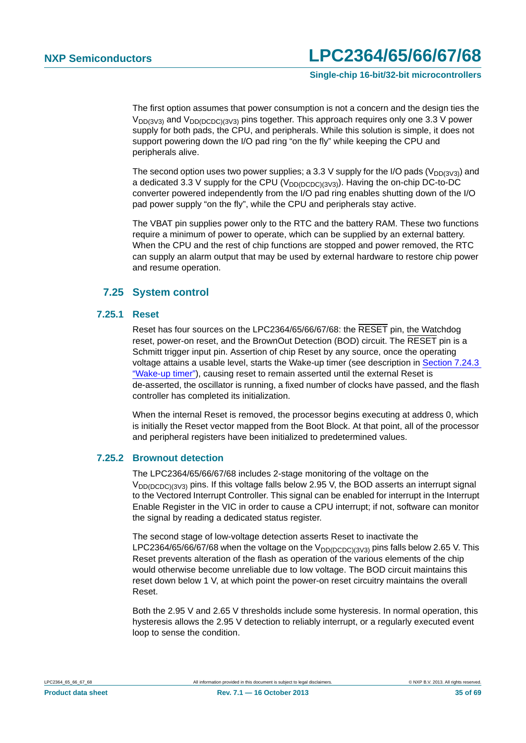**Single-chip 16-bit/32-bit microcontrollers**

The first option assumes that power consumption is not a concern and the design ties the  $V_{DD(3V3)}$  and  $V_{DD(DCDC)(3V3)}$  pins together. This approach requires only one 3.3 V power supply for both pads, the CPU, and peripherals. While this solution is simple, it does not support powering down the I/O pad ring "on the fly" while keeping the CPU and peripherals alive.

The second option uses two power supplies; a 3.3 V supply for the I/O pads ( $V_{DD(3V3)}$ ) and a dedicated 3.3 V supply for the CPU ( $V_{DD(DCDC)(3V3)}$ ). Having the on-chip DC-to-DC converter powered independently from the I/O pad ring enables shutting down of the I/O pad power supply "on the fly", while the CPU and peripherals stay active.

The VBAT pin supplies power only to the RTC and the battery RAM. These two functions require a minimum of power to operate, which can be supplied by an external battery. When the CPU and the rest of chip functions are stopped and power removed, the RTC can supply an alarm output that may be used by external hardware to restore chip power and resume operation.

### **7.25 System control**

#### <span id="page-34-1"></span><span id="page-34-0"></span>**7.25.1 Reset**

Reset has four sources on the LPC2364/65/66/67/68: the RESET pin, the Watchdog reset, power-on reset, and the BrownOut Detection (BOD) circuit. The RESET pin is a Schmitt trigger input pin. Assertion of chip Reset by any source, once the operating voltage attains a usable level, starts the Wake-up timer (see description in [Section 7.24.3](#page-31-1)  ["Wake-up timer"](#page-31-1)), causing reset to remain asserted until the external Reset is de-asserted, the oscillator is running, a fixed number of clocks have passed, and the flash controller has completed its initialization.

When the internal Reset is removed, the processor begins executing at address 0, which is initially the Reset vector mapped from the Boot Block. At that point, all of the processor and peripheral registers have been initialized to predetermined values.

#### <span id="page-34-2"></span>**7.25.2 Brownout detection**

The LPC2364/65/66/67/68 includes 2-stage monitoring of the voltage on the  $V_{DD(DCDC)(3V3)}$  pins. If this voltage falls below 2.95 V, the BOD asserts an interrupt signal to the Vectored Interrupt Controller. This signal can be enabled for interrupt in the Interrupt Enable Register in the VIC in order to cause a CPU interrupt; if not, software can monitor the signal by reading a dedicated status register.

The second stage of low-voltage detection asserts Reset to inactivate the LPC2364/65/66/67/68 when the voltage on the  $V_{DD(DCDC)(3V3)}$  pins falls below 2.65 V. This Reset prevents alteration of the flash as operation of the various elements of the chip would otherwise become unreliable due to low voltage. The BOD circuit maintains this reset down below 1 V, at which point the power-on reset circuitry maintains the overall Reset.

Both the 2.95 V and 2.65 V thresholds include some hysteresis. In normal operation, this hysteresis allows the 2.95 V detection to reliably interrupt, or a regularly executed event loop to sense the condition.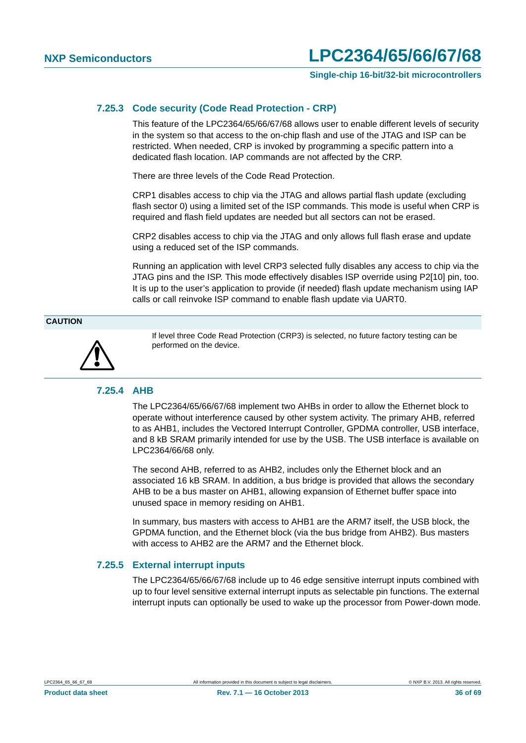**Single-chip 16-bit/32-bit microcontrollers**

#### <span id="page-35-0"></span>**7.25.3 Code security (Code Read Protection - CRP)**

This feature of the LPC2364/65/66/67/68 allows user to enable different levels of security in the system so that access to the on-chip flash and use of the JTAG and ISP can be restricted. When needed, CRP is invoked by programming a specific pattern into a dedicated flash location. IAP commands are not affected by the CRP.

There are three levels of the Code Read Protection.

CRP1 disables access to chip via the JTAG and allows partial flash update (excluding flash sector 0) using a limited set of the ISP commands. This mode is useful when CRP is required and flash field updates are needed but all sectors can not be erased.

CRP2 disables access to chip via the JTAG and only allows full flash erase and update using a reduced set of the ISP commands.

Running an application with level CRP3 selected fully disables any access to chip via the JTAG pins and the ISP. This mode effectively disables ISP override using P2[10] pin, too. It is up to the user's application to provide (if needed) flash update mechanism using IAP calls or call reinvoke ISP command to enable flash update via UART0.

#### **CAUTION**



If level three Code Read Protection (CRP3) is selected, no future factory testing can be performed on the device.

#### <span id="page-35-1"></span>**7.25.4 AHB**

The LPC2364/65/66/67/68 implement two AHBs in order to allow the Ethernet block to operate without interference caused by other system activity. The primary AHB, referred to as AHB1, includes the Vectored Interrupt Controller, GPDMA controller, USB interface, and 8 kB SRAM primarily intended for use by the USB. The USB interface is available on LPC2364/66/68 only.

The second AHB, referred to as AHB2, includes only the Ethernet block and an associated 16 kB SRAM. In addition, a bus bridge is provided that allows the secondary AHB to be a bus master on AHB1, allowing expansion of Ethernet buffer space into unused space in memory residing on AHB1.

In summary, bus masters with access to AHB1 are the ARM7 itself, the USB block, the GPDMA function, and the Ethernet block (via the bus bridge from AHB2). Bus masters with access to AHB2 are the ARM7 and the Ethernet block.

#### <span id="page-35-2"></span>**7.25.5 External interrupt inputs**

The LPC2364/65/66/67/68 include up to 46 edge sensitive interrupt inputs combined with up to four level sensitive external interrupt inputs as selectable pin functions. The external interrupt inputs can optionally be used to wake up the processor from Power-down mode.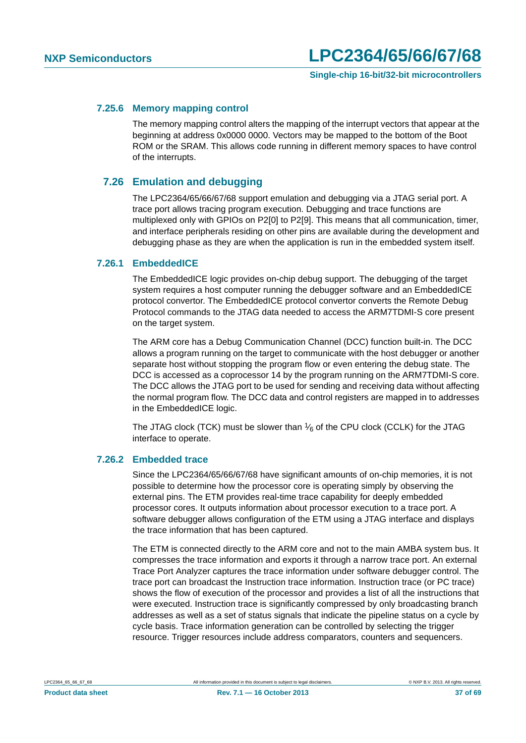#### <span id="page-36-0"></span>**7.25.6 Memory mapping control**

The memory mapping control alters the mapping of the interrupt vectors that appear at the beginning at address 0x0000 0000. Vectors may be mapped to the bottom of the Boot ROM or the SRAM. This allows code running in different memory spaces to have control of the interrupts.

#### <span id="page-36-1"></span>**7.26 Emulation and debugging**

The LPC2364/65/66/67/68 support emulation and debugging via a JTAG serial port. A trace port allows tracing program execution. Debugging and trace functions are multiplexed only with GPIOs on P2[0] to P2[9]. This means that all communication, timer, and interface peripherals residing on other pins are available during the development and debugging phase as they are when the application is run in the embedded system itself.

#### <span id="page-36-2"></span>**7.26.1 EmbeddedICE**

The EmbeddedICE logic provides on-chip debug support. The debugging of the target system requires a host computer running the debugger software and an EmbeddedICE protocol convertor. The EmbeddedICE protocol convertor converts the Remote Debug Protocol commands to the JTAG data needed to access the ARM7TDMI-S core present on the target system.

The ARM core has a Debug Communication Channel (DCC) function built-in. The DCC allows a program running on the target to communicate with the host debugger or another separate host without stopping the program flow or even entering the debug state. The DCC is accessed as a coprocessor 14 by the program running on the ARM7TDMI-S core. The DCC allows the JTAG port to be used for sending and receiving data without affecting the normal program flow. The DCC data and control registers are mapped in to addresses in the EmbeddedICE logic.

The JTAG clock (TCK) must be slower than  $\frac{1}{6}$  of the CPU clock (CCLK) for the JTAG interface to operate.

#### <span id="page-36-3"></span>**7.26.2 Embedded trace**

Since the LPC2364/65/66/67/68 have significant amounts of on-chip memories, it is not possible to determine how the processor core is operating simply by observing the external pins. The ETM provides real-time trace capability for deeply embedded processor cores. It outputs information about processor execution to a trace port. A software debugger allows configuration of the ETM using a JTAG interface and displays the trace information that has been captured.

The ETM is connected directly to the ARM core and not to the main AMBA system bus. It compresses the trace information and exports it through a narrow trace port. An external Trace Port Analyzer captures the trace information under software debugger control. The trace port can broadcast the Instruction trace information. Instruction trace (or PC trace) shows the flow of execution of the processor and provides a list of all the instructions that were executed. Instruction trace is significantly compressed by only broadcasting branch addresses as well as a set of status signals that indicate the pipeline status on a cycle by cycle basis. Trace information generation can be controlled by selecting the trigger resource. Trigger resources include address comparators, counters and sequencers.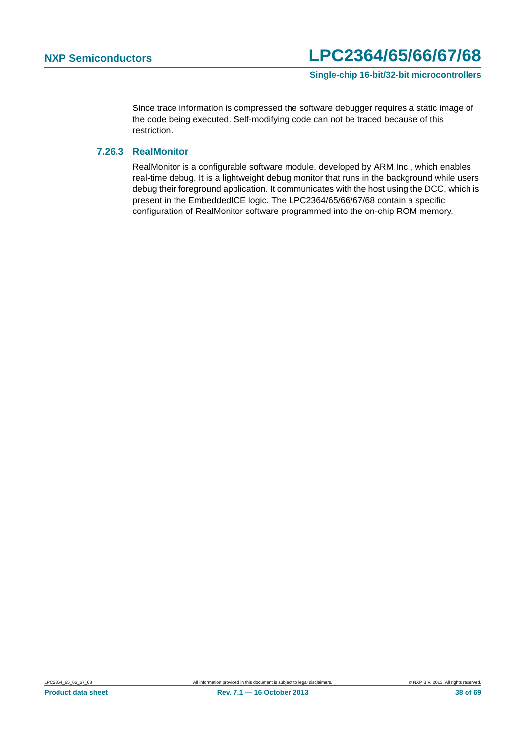Since trace information is compressed the software debugger requires a static image of the code being executed. Self-modifying code can not be traced because of this restriction.

#### <span id="page-37-0"></span>**7.26.3 RealMonitor**

RealMonitor is a configurable software module, developed by ARM Inc., which enables real-time debug. It is a lightweight debug monitor that runs in the background while users debug their foreground application. It communicates with the host using the DCC, which is present in the EmbeddedICE logic. The LPC2364/65/66/67/68 contain a specific configuration of RealMonitor software programmed into the on-chip ROM memory.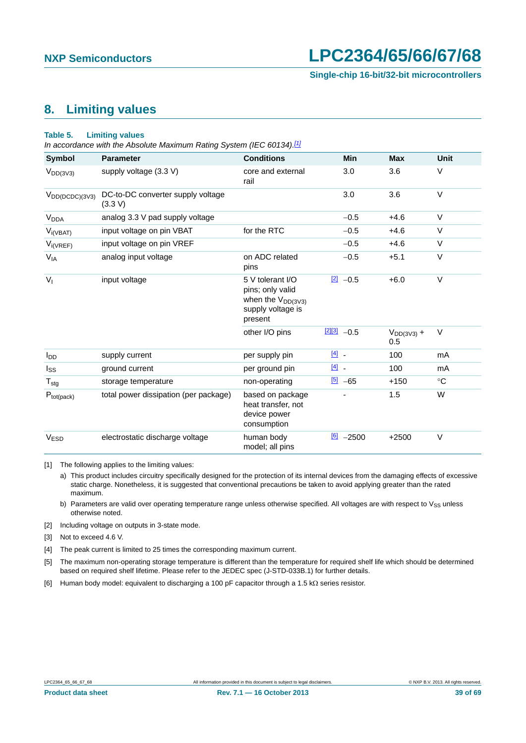**Single-chip 16-bit/32-bit microcontrollers**

### <span id="page-38-6"></span>**8. Limiting values**

#### **Table 5. Limiting values**

*In accordance with the Absolute Maximum Rating System (IEC 60134)[.\[1\]](#page-38-0)*

| <b>Symbol</b>          | <b>Parameter</b>                             | <b>Conditions</b>                                                                              | <b>Min</b>                        | <b>Max</b>             | <b>Unit</b> |
|------------------------|----------------------------------------------|------------------------------------------------------------------------------------------------|-----------------------------------|------------------------|-------------|
| $V_{DD(3V3)}$          | supply voltage (3.3 V)                       | core and external<br>rail                                                                      | 3.0                               | 3.6                    | V           |
| $V_{DD(DCDC)(3V3)}$    | DC-to-DC converter supply voltage<br>(3.3 V) |                                                                                                | 3.0                               | 3.6                    | $\vee$      |
| V <sub>DDA</sub>       | analog 3.3 V pad supply voltage              |                                                                                                | $-0.5$                            | $+4.6$                 | $\vee$      |
| $V_{i(VBAT)}$          | input voltage on pin VBAT                    | for the RTC                                                                                    | $-0.5$                            | $+4.6$                 | $\vee$      |
| $V_{i(VREF)}$          | input voltage on pin VREF                    |                                                                                                | $-0.5$                            | $+4.6$                 | V           |
| $V_{IA}$               | analog input voltage                         | on ADC related<br>pins                                                                         | $-0.5$                            | $+5.1$                 | V           |
| $V_{I}$                | input voltage                                | 5 V tolerant I/O<br>pins; only valid<br>when the $V_{DD(3V3)}$<br>supply voltage is<br>present | $\boxed{2}$<br>$-0.5$             | $+6.0$                 | $\vee$      |
|                        |                                              | other I/O pins                                                                                 | $213 - 0.5$                       | $V_{DD(3V3)} +$<br>0.5 | $\vee$      |
| <b>I</b> <sub>DD</sub> | supply current                               | per supply pin                                                                                 | $\boxed{4}$                       | 100                    | mA          |
| $I_{SS}$               | ground current                               | per ground pin                                                                                 | $\begin{bmatrix} 4 \end{bmatrix}$ | 100                    | mA          |
| $T_{\text{stg}}$       | storage temperature                          | non-operating                                                                                  | [5]<br>$-65$                      | $+150$                 | $^{\circ}C$ |
| $P_{tot(pack)}$        | total power dissipation (per package)        | based on package<br>heat transfer, not<br>device power<br>consumption                          |                                   | 1.5                    | W           |
| V <sub>ESD</sub>       | electrostatic discharge voltage              | human body<br>model; all pins                                                                  | [6]<br>$-2500$                    | $+2500$                | $\vee$      |

<span id="page-38-0"></span>[1] The following applies to the limiting values:

a) This product includes circuitry specifically designed for the protection of its internal devices from the damaging effects of excessive static charge. Nonetheless, it is suggested that conventional precautions be taken to avoid applying greater than the rated maximum.

b) Parameters are valid over operating temperature range unless otherwise specified. All voltages are with respect to  $V_{SS}$  unless otherwise noted.

<span id="page-38-1"></span>[2] Including voltage on outputs in 3-state mode.

<span id="page-38-2"></span>[3] Not to exceed 4.6 V.

<span id="page-38-3"></span>[4] The peak current is limited to 25 times the corresponding maximum current.

<span id="page-38-4"></span>[5] The maximum non-operating storage temperature is different than the temperature for required shelf life which should be determined based on required shelf lifetime. Please refer to the JEDEC spec (J-STD-033B.1) for further details.

<span id="page-38-5"></span>[6] Human body model: equivalent to discharging a 100 pF capacitor through a 1.5 k $\Omega$  series resistor.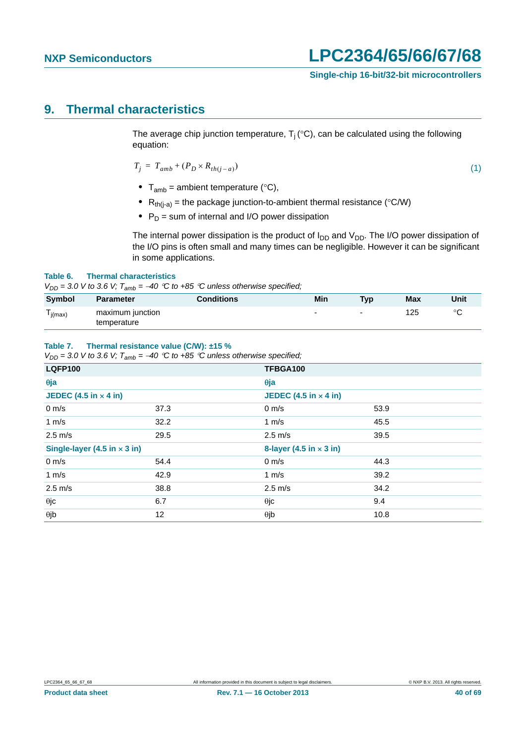### <span id="page-39-0"></span>**9. Thermal characteristics**

The average chip junction temperature,  $T_i$  (°C), can be calculated using the following equation:

$$
T_j = T_{amb} + (P_D \times R_{th(j-a)}) \tag{1}
$$

- $T_{amb}$  = ambient temperature ( $°C$ ),
- $R_{th(i-a)}$  = the package junction-to-ambient thermal resistance (°C/W)
- P<sub>D</sub> = sum of internal and I/O power dissipation

The internal power dissipation is the product of  $I_{DD}$  and  $V_{DD}$ . The I/O power dissipation of the I/O pins is often small and many times can be negligible. However it can be significant in some applications.

#### **Table 6. Thermal characteristics**

 $V_{DD}$  = 3.0 V to 3.6 V;  $T_{amb}$  = -40 °C to +85 °C unless otherwise specified;

| Symbol                               | <b>Parameter</b>                | <b>Conditions</b> | Min                      | <b>Typ</b> | <b>Max</b> | Unit    |
|--------------------------------------|---------------------------------|-------------------|--------------------------|------------|------------|---------|
| $\overline{\phantom{a}}$<br>l j(max) | maximum junction<br>temperature |                   | $\overline{\phantom{0}}$ | -          | 125        | $\circ$ |

#### **Table 7. Thermal resistance value (C/W): ±15 %**

 $V_{DD}$  = 3.0 V to 3.6 V;  $T_{amb}$  = -40 °C to +85 °C unless otherwise specified;

| <b>LQFP100</b>                      |      | TFBGA100                     |                                |  |  |  |
|-------------------------------------|------|------------------------------|--------------------------------|--|--|--|
| $\theta$ ja                         |      | $\theta$ ja                  |                                |  |  |  |
| JEDEC (4.5 in $\times$ 4 in)        |      | JEDEC (4.5 in $\times$ 4 in) |                                |  |  |  |
| $0 \text{ m/s}$                     | 37.3 | $0 \text{ m/s}$              | 53.9                           |  |  |  |
| 1 m/s                               | 32.2 | $1 \text{ m/s}$              | 45.5                           |  |  |  |
| $2.5 \text{ m/s}$                   | 29.5 | $2.5 \text{ m/s}$            | 39.5                           |  |  |  |
| Single-layer (4.5 in $\times$ 3 in) |      |                              | 8-layer (4.5 in $\times$ 3 in) |  |  |  |
| $0 \text{ m/s}$                     | 54.4 | $0 \text{ m/s}$              | 44.3                           |  |  |  |
| 1 m/s                               | 42.9 | 1 m/s                        | 39.2                           |  |  |  |
| $2.5 \text{ m/s}$                   | 38.8 | $2.5 \text{ m/s}$            | 34.2                           |  |  |  |
| $\theta$ jc                         | 6.7  | $\theta$ jc                  | 9.4                            |  |  |  |
| $\theta$ jb                         |      | $\theta$ jb                  | 10.8                           |  |  |  |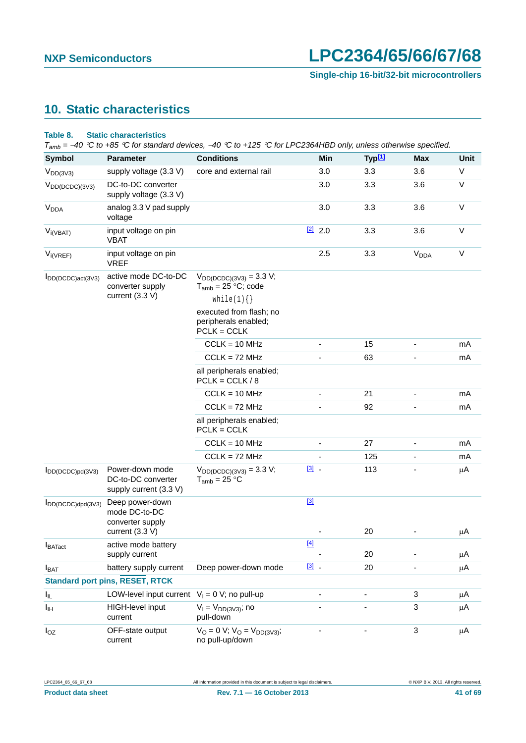**Single-chip 16-bit/32-bit microcontrollers**

# <span id="page-40-0"></span>**10. Static characteristics**

#### **Table 8. Static characteristics**

*Tamb = 40 C to +85 C for standard devices, 40 C to +125 C for LPC2364HBD only, unless otherwise specified.*

| Symbol                 | <b>Parameter</b>                                                | <b>Conditions</b>                                                                   | Min                      | Typ <sup>[1]</sup> | Max                      | <b>Unit</b> |
|------------------------|-----------------------------------------------------------------|-------------------------------------------------------------------------------------|--------------------------|--------------------|--------------------------|-------------|
| $V_{DD(3V3)}$          | supply voltage (3.3 V)                                          | core and external rail                                                              | 3.0                      | 3.3                | 3.6                      | V           |
| $V_{DD(DCDC)(3V3)}$    | DC-to-DC converter<br>supply voltage (3.3 V)                    |                                                                                     | 3.0                      | 3.3                | 3.6                      | $\vee$      |
| V <sub>DDA</sub>       | analog 3.3 V pad supply<br>voltage                              |                                                                                     | 3.0                      | 3.3                | 3.6                      | V           |
| $V_{i(VBAT)}$          | input voltage on pin<br><b>VBAT</b>                             |                                                                                     | $[2]$ 2.0                | 3.3                | 3.6                      | V           |
| $V_{i(VREF)}$          | input voltage on pin<br><b>VREF</b>                             |                                                                                     | 2.5                      | 3.3                | <b>V<sub>DDA</sub></b>   | $\vee$      |
| IDD(DCDC)act(3V3)      | active mode DC-to-DC<br>converter supply<br>current (3.3 V)     | $V_{DD(DCDC)(3V3)} = 3.3 V;$<br>$T_{amb}$ = 25 °C; code                             |                          |                    |                          |             |
|                        |                                                                 | while(1) $\{\}$<br>executed from flash; no<br>peripherals enabled;<br>$PCLK = CCLK$ |                          |                    |                          |             |
|                        |                                                                 | $CCLK = 10 MHz$                                                                     |                          | 15                 |                          | mA          |
|                        |                                                                 | $CCLK = 72 MHz$                                                                     |                          | 63                 |                          | mA          |
|                        |                                                                 | all peripherals enabled;<br>$PCLK = CCLK / 8$                                       |                          |                    |                          |             |
|                        |                                                                 | $CCLK = 10 MHz$                                                                     | $\overline{\phantom{0}}$ | 21                 | $\overline{\phantom{a}}$ | mA          |
|                        |                                                                 | $CCLK = 72 MHz$                                                                     |                          | 92                 |                          | mA          |
|                        |                                                                 | all peripherals enabled;<br>$PCLK = CCLK$                                           |                          |                    |                          |             |
|                        |                                                                 | $CCLK = 10 MHz$                                                                     | ä,                       | 27                 | $\overline{\phantom{a}}$ | mA          |
|                        |                                                                 | $CCLK = 72 MHz$                                                                     |                          | 125                |                          | mA          |
| $I_{DD(DCDC)pd(3V3)}$  | Power-down mode<br>DC-to-DC converter<br>supply current (3.3 V) | $V_{DD(DCDC)(3V3)} = 3.3 V;$<br>$T_{amb} = 25 °C$                                   | $\boxed{3}$ .            | 113                |                          | μA          |
| $I_{DD(DCDC)dpd(3V3)}$ | Deep power-down<br>mode DC-to-DC<br>converter supply            |                                                                                     | $[3]$                    |                    |                          |             |
|                        | current (3.3 V)                                                 |                                                                                     |                          | 20                 |                          | μA          |
| $I_{\text{BATact}}$    | active mode battery<br>supply current                           |                                                                                     | $[4]$                    | 20                 |                          | μA          |
| <b>I</b> BAT           | battery supply current                                          | Deep power-down mode                                                                | $\boxed{3}$              | 20                 |                          | μA          |
|                        | <b>Standard port pins, RESET, RTCK</b>                          |                                                                                     |                          |                    |                          |             |
| I <sub>IL</sub>        | LOW-level input current $V_1 = 0 V$ ; no pull-up                |                                                                                     |                          |                    | 3                        | μA          |
| Iщ                     | <b>HIGH-level input</b><br>current                              | $V_1 = V_{DD(3V3)}$ ; no<br>pull-down                                               |                          |                    | 3                        | μA          |
| $I_{OZ}$               | OFF-state output<br>current                                     | $V_O = 0 V$ ; $V_O = V_{DD(3V3)}$ ;<br>no pull-up/down                              |                          |                    | $\mathbf{3}$             | $\mu$ A     |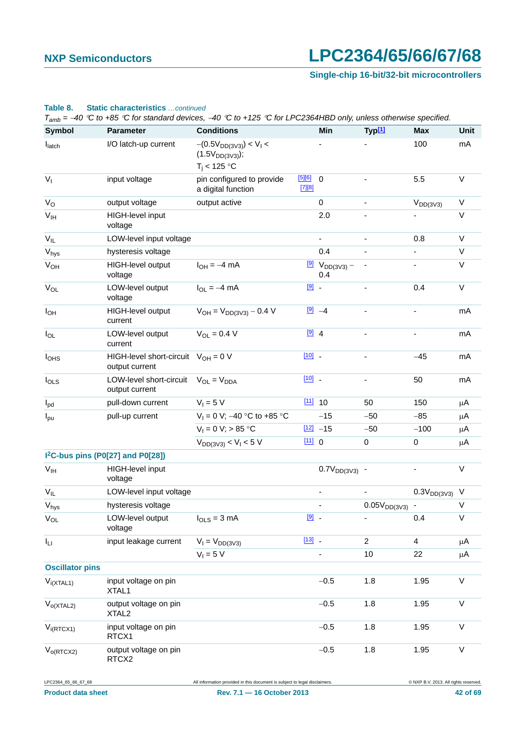**Single-chip 16-bit/32-bit microcontrollers**

|                            |                                                           | $T_{amb} = -40$ °C to +85 °C for standard devices, -40 °C to +125 °C for LPC2364HBD only, unless otherwise specified. |               |                                               |                          |                    |              |
|----------------------------|-----------------------------------------------------------|-----------------------------------------------------------------------------------------------------------------------|---------------|-----------------------------------------------|--------------------------|--------------------|--------------|
| <b>Symbol</b>              | <b>Parameter</b>                                          | <b>Conditions</b>                                                                                                     |               | Min                                           | Typ <sup>[1]</sup>       | Max                | <b>Unit</b>  |
| latch                      | I/O latch-up current                                      | $-(0.5V_{DD(3V3)}) < V_1 <$<br>$(1.5V_{DD(3V3)})$ ;<br>$T_i$ < 125 °C                                                 |               |                                               |                          | 100                | mA           |
| $V_{I}$                    | input voltage                                             | pin configured to provide<br>a digital function                                                                       | 56<br>[7][8]  | $\mathbf 0$                                   |                          | 5.5                | V            |
| $V_{\rm O}$                | output voltage                                            | output active                                                                                                         |               | $\mathbf 0$                                   |                          | $V_{DD(3V3)}$      | V            |
| $\mathsf{V}_{\mathsf{IH}}$ | HIGH-level input<br>voltage                               |                                                                                                                       |               | 2.0                                           |                          |                    | $\vee$       |
| $V_{IL}$                   | LOW-level input voltage                                   |                                                                                                                       |               | $\blacksquare$                                | ä,                       | 0.8                | $\vee$       |
| $V_{\text{hys}}$           | hysteresis voltage                                        |                                                                                                                       |               | 0.4                                           |                          |                    | V            |
| $V_{OH}$                   | HIGH-level output<br>voltage                              | $I_{OH} = -4$ mA                                                                                                      |               | $\frac{[9]}{9}$ V <sub>DD(3V3)</sub> –<br>0.4 |                          |                    | V            |
| $V_{OL}$                   | LOW-level output<br>voltage                               | $I_{OL} = -4$ mA                                                                                                      | $[9]$ .       |                                               |                          | 0.4                | V            |
| $I_{OH}$                   | HIGH-level output<br>current                              | $V_{OH} = V_{DD(3V3)} - 0.4 V$                                                                                        |               | $[9] -4$                                      |                          |                    | mA           |
| $I_{OL}$                   | LOW-level output<br>current                               | $V_{\text{OI}} = 0.4 V$                                                                                               | $\boxed{9}$ 4 |                                               |                          |                    | mA           |
| <b>l</b> <sub>OHS</sub>    | HIGH-level short-circuit $V_{OH} = 0 V$<br>output current |                                                                                                                       | $[10]$ _      |                                               | $\overline{\phantom{a}}$ | $-45$              | mA           |
| $I_{OLS}$                  | LOW-level short-circuit<br>output current                 | $V_{OL} = V_{DDA}$                                                                                                    | $[10]$ $-$    |                                               |                          | 50                 | mA           |
| $I_{\text{pd}}$            | pull-down current                                         | $V_1 = 5 V$                                                                                                           | $111$ 10      |                                               | 50                       | 150                | μA           |
| $I_{\text{pu}}$            | pull-up current                                           | $V_1 = 0$ V; -40 °C to +85 °C                                                                                         |               | $-15$                                         | $-50$                    | $-85$              | $\mu$ A      |
|                            |                                                           | $V_1 = 0 V$ ; > 85 °C                                                                                                 |               | $[12] -15$                                    | $-50$                    | $-100$             | $\mu$ A      |
|                            |                                                           | $V_{DD(3V3)} < V_1 < 5 V$                                                                                             | [11] 0        |                                               | $\mathbf 0$              | $\mathbf 0$        | $\mu$ A      |
|                            | I <sup>2</sup> C-bus pins (P0[27] and P0[28])             |                                                                                                                       |               |                                               |                          |                    |              |
| V <sub>IH</sub>            | HIGH-level input<br>voltage                               |                                                                                                                       |               | $0.7V_{DD(3V3)}$ -                            |                          |                    | $\vee$       |
| $V_{IL}$                   | LOW-level input voltage                                   |                                                                                                                       |               |                                               |                          | $0.3V_{DD(3V3)}$ V |              |
| $\rm V_{hys}$              | hysteresis voltage                                        |                                                                                                                       |               |                                               | $0.05V_{DD(3V3)}$ -      |                    | V            |
| $V_{OL}$                   | LOW-level output<br>voltage                               | $I_{OLS} = 3 mA$                                                                                                      | $[9]$ .       |                                               |                          | 0.4                | $\vee$       |
| Ιu                         | input leakage current                                     | $V_1 = V_{DD(3V3)}$                                                                                                   | $[13]$ $-$    |                                               | $\overline{2}$           | $\overline{4}$     | $\mu$ A      |
|                            |                                                           | $V_1 = 5 V$                                                                                                           |               | ÷,                                            | 10                       | 22                 | $\mu$ A      |
| <b>Oscillator pins</b>     |                                                           |                                                                                                                       |               |                                               |                          |                    |              |
| $V_{i(XTAL1)}$             | input voltage on pin<br>XTAL1                             |                                                                                                                       |               | $-0.5$                                        | 1.8                      | 1.95               | $\mathsf{V}$ |
| $V_{o(XTAL2)}$             | output voltage on pin<br>XTAL <sub>2</sub>                |                                                                                                                       |               | $-0.5$                                        | 1.8                      | 1.95               | $\vee$       |
| $V_{i(RTCX1)}$             | input voltage on pin<br>RTCX1                             |                                                                                                                       |               | $-0.5$                                        | 1.8                      | 1.95               | V            |
| $V_{O(RTCX2)}$             | output voltage on pin<br>RTCX2                            |                                                                                                                       |               | $-0.5$                                        | 1.8                      | 1.95               | $\mathsf V$  |

#### **Table 8. Static characteristics** *…continued*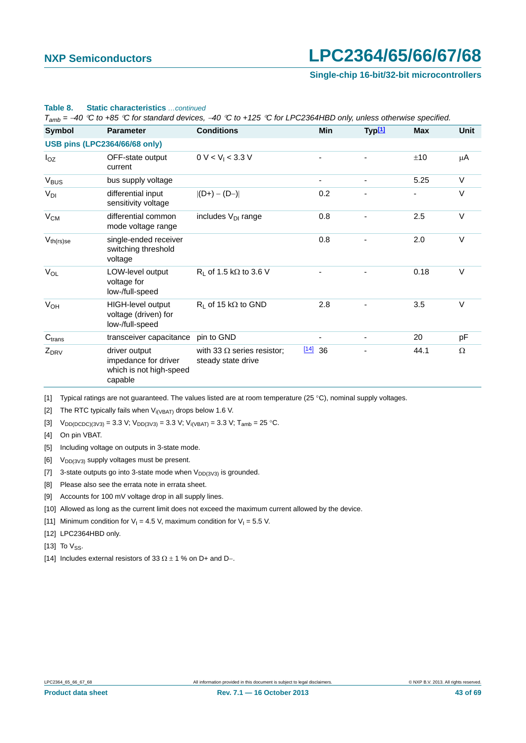**Single-chip 16-bit/32-bit microcontrollers**

| Symbol             | <b>Parameter</b>                                                            | <b>Conditions</b>                                       | Min          | Typ <sup>[1]</sup> | <b>Max</b> | Unit   |
|--------------------|-----------------------------------------------------------------------------|---------------------------------------------------------|--------------|--------------------|------------|--------|
|                    | <b>USB pins (LPC2364/66/68 only)</b>                                        |                                                         |              |                    |            |        |
| $I_{OZ}$           | OFF-state output<br>current                                                 | 0 V < V <sub>1</sub> < 3.3 V                            |              |                    | ±10        | μA     |
| $V_{\text{BUS}}$   | bus supply voltage                                                          |                                                         |              |                    | 5.25       | $\vee$ |
| $V_{DI}$           | differential input<br>sensitivity voltage                                   | $ (D+) - (D-) $                                         | 0.2          |                    |            | V      |
| $V_{CM}$           | differential common<br>mode voltage range                                   | includes V <sub>DI</sub> range                          | 0.8          |                    | 2.5        | $\vee$ |
| $V_{th(rs)se}$     | single-ended receiver<br>switching threshold<br>voltage                     |                                                         | 0.8          |                    | 2.0        | $\vee$ |
| $V_{OL}$           | LOW-level output<br>voltage for<br>low-/full-speed                          | $R_L$ of 1.5 k $\Omega$ to 3.6 V                        |              |                    | 0.18       | $\vee$ |
| V <sub>OH</sub>    | HIGH-level output<br>voltage (driven) for<br>low-/full-speed                | $R_1$ of 15 k $\Omega$ to GND                           | 2.8          |                    | 3.5        | $\vee$ |
| C <sub>trans</sub> | transceiver capacitance                                                     | pin to GND                                              |              |                    | 20         | pF     |
| $Z_{DRV}$          | driver output<br>impedance for driver<br>which is not high-speed<br>capable | with 33 $\Omega$ series resistor;<br>steady state drive | $[14]$<br>36 |                    | 44.1       | Ω      |

#### **Table 8. Static characteristics** *…continued*

*Tamb = 40 C to +85 C for standard devices, 40 C to +125 C for LPC2364HBD only, unless otherwise specified.*

<span id="page-42-0"></span>[1] Typical ratings are not guaranteed. The values listed are at room temperature (25 °C), nominal supply voltages.

<span id="page-42-1"></span>[2] The RTC typically fails when  $V_{i(VBAT)}$  drops below 1.6 V.

<span id="page-42-2"></span>[3]  $V_{DD(DCDC)(3V3)} = 3.3 V; V_{DD(3V3)} = 3.3 V; V_{i(VBAT)} = 3.3 V; T_{amb} = 25 °C.$ 

<span id="page-42-3"></span>[4] On pin VBAT.

<span id="page-42-4"></span>[5] Including voltage on outputs in 3-state mode.

<span id="page-42-5"></span>[6]  $V_{DD(3V3)}$  supply voltages must be present.

<span id="page-42-6"></span>[7] 3-state outputs go into 3-state mode when  $V_{DD(3V3)}$  is grounded.

<span id="page-42-7"></span>[8] Please also see the errata note in errata sheet.

<span id="page-42-8"></span>[9] Accounts for 100 mV voltage drop in all supply lines.

<span id="page-42-9"></span>[10] Allowed as long as the current limit does not exceed the maximum current allowed by the device.

<span id="page-42-10"></span>[11] Minimum condition for  $V_1 = 4.5$  V, maximum condition for  $V_1 = 5.5$  V.

<span id="page-42-11"></span>[12] LPC2364HBD only.

<span id="page-42-12"></span>[13] To  $V_{SS}$ .

<span id="page-42-13"></span><sup>[14]</sup> Includes external resistors of 33  $\Omega \pm 1$  % on D+ and D-.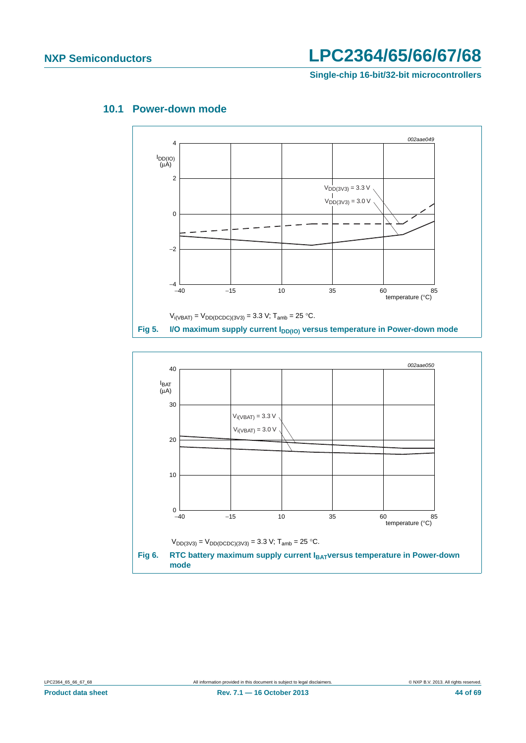**Single-chip 16-bit/32-bit microcontrollers**



### <span id="page-43-0"></span>**10.1 Power-down mode**

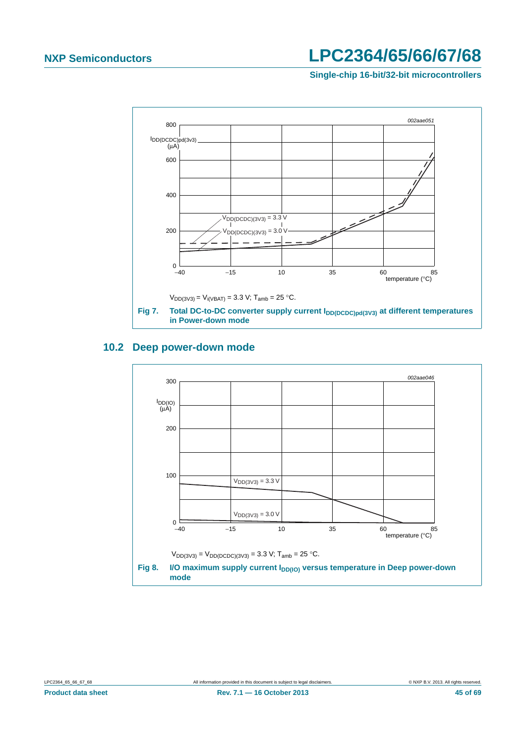**Single-chip 16-bit/32-bit microcontrollers**



### <span id="page-44-0"></span>**10.2 Deep power-down mode**

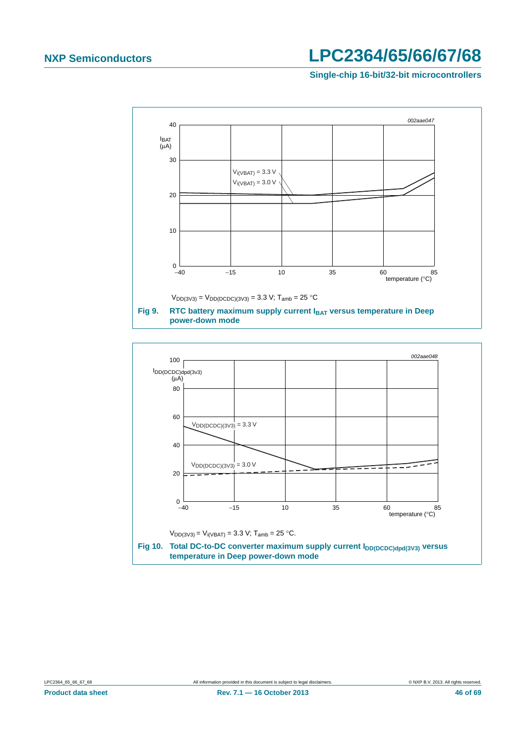**Single-chip 16-bit/32-bit microcontrollers**



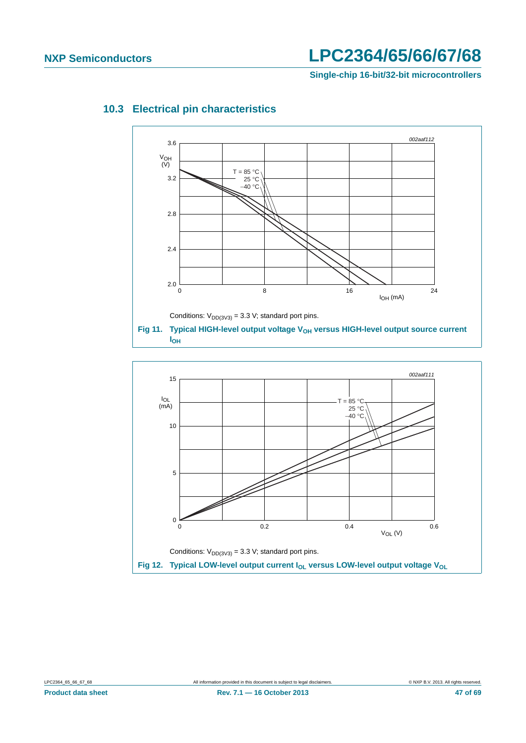**Single-chip 16-bit/32-bit microcontrollers**



### <span id="page-46-0"></span>**10.3 Electrical pin characteristics**

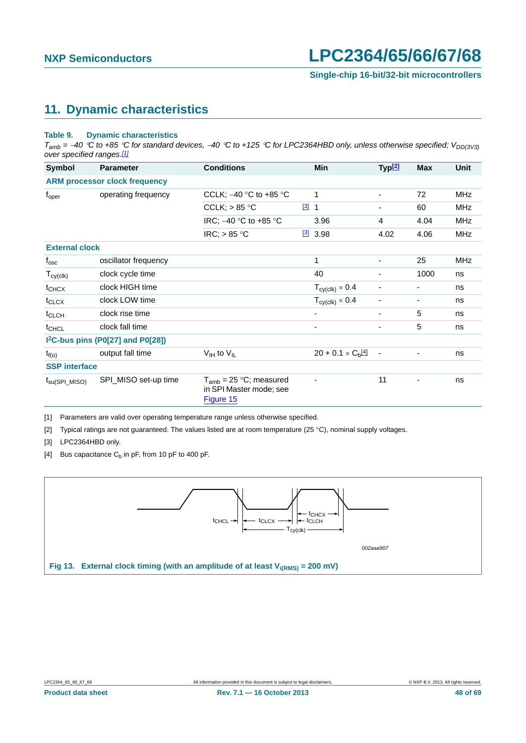### <span id="page-47-5"></span>**11. Dynamic characteristics**

#### <span id="page-47-4"></span>**Table 9. Dynamic characteristics**

 $T_{amb}$  = -40 °C to +85 °C for standard devices, -40 °C to +125 °C for LPC2364HBD only, unless otherwise specified; V<sub>DD(3V3)</sub> *over specified ranges[.\[1\]](#page-47-0)*

| Symbol                     | <b>Parameter</b>                              | <b>Conditions</b>                                                   |               | Min                                    | Typ <sup>[2]</sup>           | <b>Max</b> | <b>Unit</b> |
|----------------------------|-----------------------------------------------|---------------------------------------------------------------------|---------------|----------------------------------------|------------------------------|------------|-------------|
|                            | <b>ARM processor clock frequency</b>          |                                                                     |               |                                        |                              |            |             |
| $f_{\rm oper}$             | operating frequency                           | CCLK; $-40$ °C to +85 °C                                            |               | 1                                      | ۰                            | 72         | MHz         |
|                            |                                               | CCLK; $> 85$ °C                                                     | $\boxed{3}$ 1 |                                        |                              | 60         | <b>MHz</b>  |
|                            |                                               | IRC; -40 °C to +85 °C                                               |               | 3.96                                   | 4                            | 4.04       | MHz         |
|                            |                                               | IRC; $> 85 °C$                                                      |               | $\frac{3}{3}$ 3.98                     | 4.02                         | 4.06       | <b>MHz</b>  |
| <b>External clock</b>      |                                               |                                                                     |               |                                        |                              |            |             |
| $f_{\rm osc}$              | oscillator frequency                          |                                                                     |               | 1                                      | ۰                            | 25         | MHz         |
| $T_{cy(clk)}$              | clock cycle time                              |                                                                     |               | 40                                     |                              | 1000       | ns          |
| $t_{CHCX}$                 | clock HIGH time                               |                                                                     |               | $T_{\text{cy}(\text{clk})} \times 0.4$ |                              |            | ns          |
| $t_{CLCX}$                 | clock LOW time                                |                                                                     |               | $T_{\text{cy}(\text{clk})} \times 0.4$ |                              |            | ns          |
| $t_{CLCH}$                 | clock rise time                               |                                                                     |               |                                        | ۰                            | 5          | ns          |
| $t_{CHCL}$                 | clock fall time                               |                                                                     |               |                                        | ۰                            | 5          | ns          |
|                            | I <sup>2</sup> C-bus pins (P0[27] and P0[28]) |                                                                     |               |                                        |                              |            |             |
| $t_{f(o)}$                 | output fall time                              | $V_{IH}$ to $V_{IL}$                                                |               | $20 + 0.1 \times C_h$ <sup>[4]</sup>   | $\qquad \qquad \blacksquare$ |            | ns          |
| <b>SSP</b> interface       |                                               |                                                                     |               |                                        |                              |            |             |
| $t_{\text{su(SPI\_MISO)}}$ | SPI_MISO set-up time                          | $T_{amb}$ = 25 °C; measured<br>in SPI Master mode; see<br>Figure 15 |               |                                        | 11                           |            | ns          |

<span id="page-47-0"></span>[1] Parameters are valid over operating temperature range unless otherwise specified.

<span id="page-47-1"></span>[2] Typical ratings are not guaranteed. The values listed are at room temperature (25 °C), nominal supply voltages.

<span id="page-47-2"></span>[3] LPC2364HBD only.

<span id="page-47-3"></span>[4] Bus capacitance  $C_b$  in pF, from 10 pF to 400 pF.

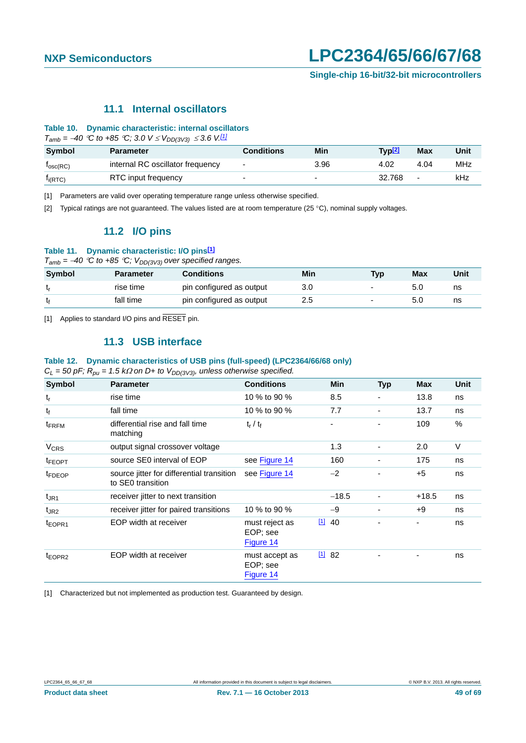### **11.1 Internal oscillators**

#### <span id="page-48-4"></span>**Table 10. Dynamic characteristic: internal oscillators**

 $T_{amb} = -40$  °C to +85 °C; 3.0  $V \le V_{DD(3V3)} \le 3.6$  V.<sup>[\[1\]](#page-48-0)</sup>

| <b>Symbol</b>        | <b>Parameter</b>                 | Conditions               | Min                      | Typ <u>[2]</u> | Max                      | Unit |
|----------------------|----------------------------------|--------------------------|--------------------------|----------------|--------------------------|------|
| $I_{\text{osc}(RC)}$ | internal RC oscillator frequency | ٠                        | 3.96                     | 4.02           | 4.04                     | MHz  |
| $I_{i(RTC)}$         | RTC input frequency              | $\overline{\phantom{0}}$ | $\overline{\phantom{0}}$ | 32.768         | $\overline{\phantom{0}}$ | kHz  |

<span id="page-48-0"></span>[1] Parameters are valid over operating temperature range unless otherwise specified.

<span id="page-48-5"></span><span id="page-48-1"></span>[2] Typical ratings are not guaranteed. The values listed are at room temperature (25 °C), nominal supply voltages.

### **11.2 I/O pins**

#### **Table 11. Dynamic characteristic: I/O pins[\[1\]](#page-48-2)**

 $T_{amb} = -40$  *°C to +85 °C;*  $V_{DD(3V3)}$  over specified ranges.

| Symbol | <b>Parameter</b> | <b>Conditions</b>        | Min | <b>Typ</b>               | <b>Max</b> | Unit |
|--------|------------------|--------------------------|-----|--------------------------|------------|------|
| եր     | rise time        | pin configured as output |     | $\overline{\phantom{0}}$ | 5.0        | ns   |
| t٤     | fall time        | pin configured as output | 2.5 | $\overline{\phantom{0}}$ | 5.0        | ns   |

<span id="page-48-6"></span><span id="page-48-2"></span>[1] Applies to standard I/O pins and RESET pin.

### **11.3 USB interface**

#### **Table 12. Dynamic characteristics of USB pins (full-speed) (LPC2364/66/68 only)**

 $C_L$  = 50 pF;  $R_{pu}$  = 1.5 k $\Omega$  on D+ to V<sub>DD(3V3)</sub>, unless otherwise specified.

| Symbol                   | <b>Parameter</b>                                               | <b>Conditions</b>                       |                 | <b>Min</b> | <b>Typ</b>               | <b>Max</b> | <b>Unit</b>   |
|--------------------------|----------------------------------------------------------------|-----------------------------------------|-----------------|------------|--------------------------|------------|---------------|
| $t_{r}$                  | rise time                                                      | 10 % to 90 %                            |                 | 8.5        |                          | 13.8       | ns            |
| $t_{f}$                  | fall time                                                      | 10 % to 90 %                            |                 | 7.7        | $\blacksquare$           | 13.7       | ns            |
| <b>t</b> <sub>FRFM</sub> | differential rise and fall time<br>matching                    | $t_r / t_f$                             |                 |            |                          | 109        | $\frac{0}{0}$ |
| <b>V<sub>CRS</sub></b>   | output signal crossover voltage                                |                                         |                 | 1.3        |                          | 2.0        | $\vee$        |
| <sup>t</sup> FEOPT       | source SE0 interval of EOP                                     | see Figure 14                           |                 | 160        | $\blacksquare$           | 175        | ns            |
| <sup>t</sup> FDEOP       | source jitter for differential transition<br>to SE0 transition | see Figure 14                           |                 | $-2$       |                          | $+5$       | ns            |
| $t_{JR1}$                | receiver jitter to next transition                             |                                         |                 | $-18.5$    |                          | $+18.5$    | ns            |
| $t_{JR2}$                | receiver jitter for paired transitions                         | 10 % to 90 %                            |                 | $-9$       | $\overline{\phantom{a}}$ | $+9$       | ns            |
| t <sub>EOPR1</sub>       | EOP width at receiver                                          | must reject as<br>EOP; see<br>Figure 14 | $\boxed{11}$ 40 |            |                          | ۰          | ns            |
| t <sub>EOPR2</sub>       | EOP width at receiver                                          | must accept as<br>EOP; see<br>Figure 14 | 1182            |            |                          |            | ns            |

<span id="page-48-3"></span>[1] Characterized but not implemented as production test. Guaranteed by design.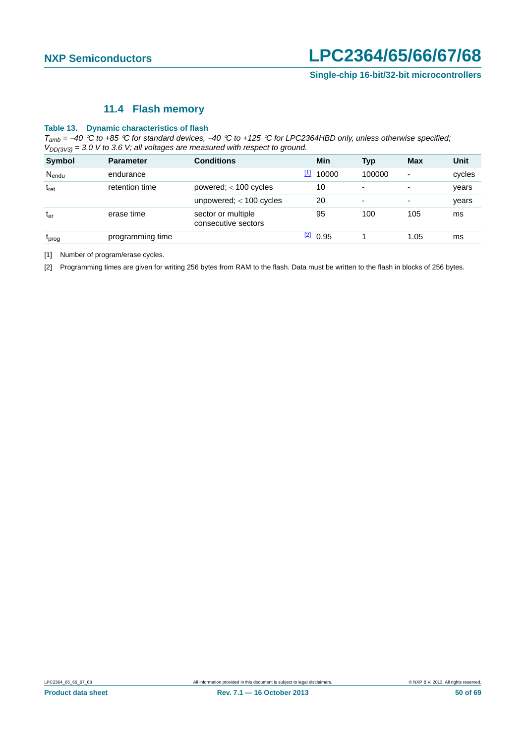### **11.4 Flash memory**

#### <span id="page-49-2"></span>**Table 13. Dynamic characteristics of flash**

*Tamb = 40 C to +85 C for standard devices, 40 C to +125 C for LPC2364HBD only, unless otherwise specified; VDD(3V3) = 3.0 V to 3.6 V; all voltages are measured with respect to ground.*

| Symbol            | <b>Parameter</b> | <b>Conditions</b>                         | Min              | <b>Typ</b>               | <b>Max</b>               | <b>Unit</b> |
|-------------------|------------------|-------------------------------------------|------------------|--------------------------|--------------------------|-------------|
| $N_{endu}$        | endurance        |                                           | $[1]$<br>10000   | 100000                   | $\overline{\phantom{a}}$ | cycles      |
| $t_{\rm ret}$     | retention time   | powered; $<$ 100 cycles                   | 10               | $\overline{\phantom{a}}$ | $\overline{\phantom{a}}$ | years       |
|                   |                  | unpowered; $<$ 100 cycles                 | 20               | $\overline{\phantom{a}}$ | $\overline{\phantom{a}}$ | years       |
| $t_{er}$          | erase time       | sector or multiple<br>consecutive sectors | 95               | 100                      | 105                      | ms          |
| <sup>L</sup> prog | programming time |                                           | $\boxed{2}$ 0.95 |                          | 1.05                     | ms          |

<span id="page-49-0"></span>[1] Number of program/erase cycles.

<span id="page-49-1"></span>[2] Programming times are given for writing 256 bytes from RAM to the flash. Data must be written to the flash in blocks of 256 bytes.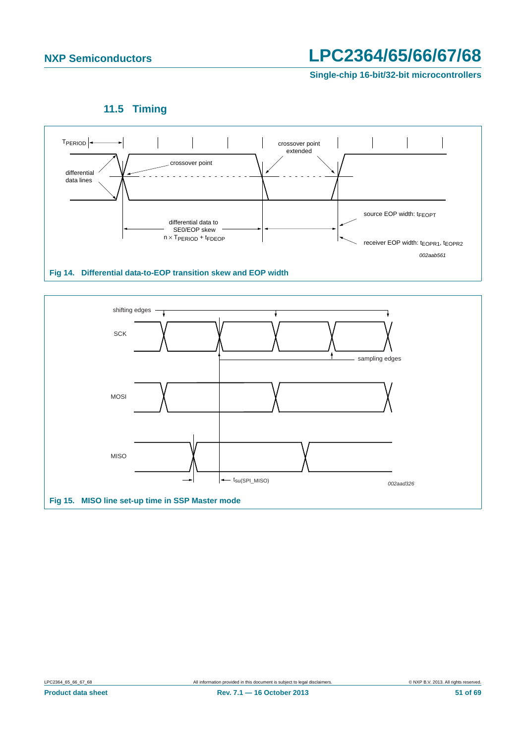**Single-chip 16-bit/32-bit microcontrollers**

**11.5 Timing**

<span id="page-50-2"></span>

<span id="page-50-1"></span><span id="page-50-0"></span>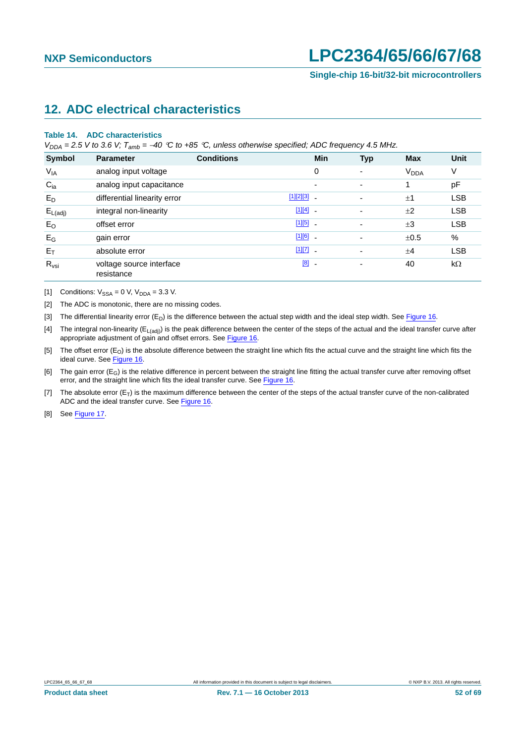## <span id="page-51-8"></span>**12. ADC electrical characteristics**

#### **Table 14. ADC characteristics**

*VDDA = 2.5 V to 3.6 V; Tamb = 40 C to +85 C, unless otherwise specified; ADC frequency 4.5 MHz.*

| Symbol              | <b>Parameter</b>                       | <b>Conditions</b> |               | <b>Min</b>               | <b>Typ</b>               | <b>Max</b>             | <b>Unit</b> |
|---------------------|----------------------------------------|-------------------|---------------|--------------------------|--------------------------|------------------------|-------------|
| $V_{IA}$            | analog input voltage                   |                   |               | $\mathbf 0$              | ٠                        | <b>V<sub>DDA</sub></b> | ٧           |
| $C_{ia}$            | analog input capacitance               |                   |               | ٠                        | ٠                        |                        | pF          |
| $E_D$               | differential linearity error           |                   | $[1][2][3]$ . |                          | $\overline{\phantom{a}}$ | ±1                     | <b>LSB</b>  |
| $E_{L(\text{adj})}$ | integral non-linearity                 |                   | $[1][4]$ -    |                          | $\overline{\phantom{a}}$ | ±2                     | <b>LSB</b>  |
| $E_{O}$             | offset error                           |                   | $[1][5]$ $-$  |                          | $\overline{\phantom{a}}$ | $\pm 3$                | <b>LSB</b>  |
| $E_G$               | gain error                             |                   | $[1][6]$ $-$  |                          | ٠                        | ±0.5                   | $\%$        |
| $E_T$               | absolute error                         |                   | $[1][7]$ -    |                          | $\overline{\phantom{0}}$ | ±4                     | <b>LSB</b>  |
| $R_{\text{vsi}}$    | voltage source interface<br>resistance |                   | [8]           | $\overline{\phantom{a}}$ | $\overline{\phantom{a}}$ | 40                     | $k\Omega$   |

<span id="page-51-0"></span>[1] Conditions:  $V_{SSA} = 0$  V,  $V_{DDA} = 3.3$  V.

<span id="page-51-1"></span>[2] The ADC is monotonic, there are no missing codes.

<span id="page-51-2"></span>[3] The differential linearity error  $(E_D)$  is the difference between the actual step width and the ideal step width. See [Figure 16.](#page-52-0)

<span id="page-51-3"></span>[4] The integral non-linearity ( $E_{L(adi)}$ ) is the peak difference between the center of the steps of the actual and the ideal transfer curve after appropriate adjustment of gain and offset errors. See [Figure 16](#page-52-0).

<span id="page-51-4"></span>[5] The offset error (E<sub>O</sub>) is the absolute difference between the straight line which fits the actual curve and the straight line which fits the ideal curve. See [Figure 16](#page-52-0).

<span id="page-51-5"></span>[6] The gain error  $(E_G)$  is the relative difference in percent between the straight line fitting the actual transfer curve after removing offset error, and the straight line which fits the ideal transfer curve. See [Figure 16.](#page-52-0)

<span id="page-51-6"></span>[7] The absolute error  $(E_T)$  is the maximum difference between the center of the steps of the actual transfer curve of the non-calibrated ADC and the ideal transfer curve. See [Figure 16.](#page-52-0)

<span id="page-51-7"></span>[8] See [Figure 17](#page-53-0).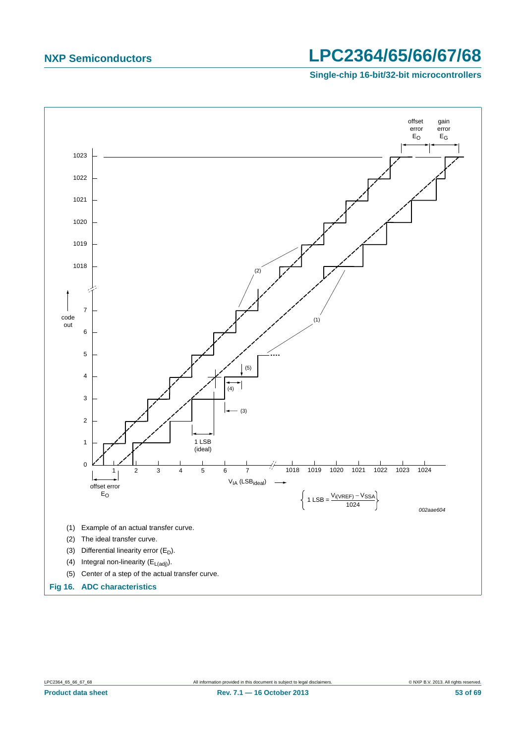**Single-chip 16-bit/32-bit microcontrollers**



<span id="page-52-0"></span>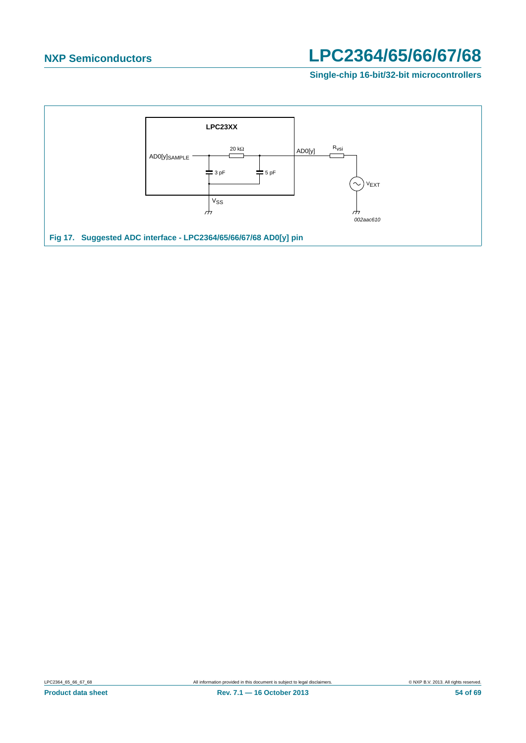**Single-chip 16-bit/32-bit microcontrollers**

<span id="page-53-0"></span>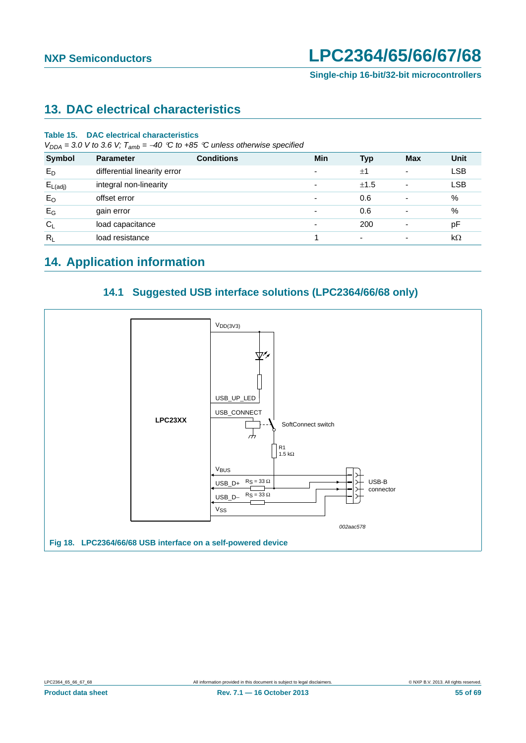# <span id="page-54-0"></span>**13. DAC electrical characteristics**

#### **Table 15. DAC electrical characteristics**

 $V_{DDA} = 3.0$  V to 3.6 V;  $T_{amb} = -40$  °C to +85 °C unless otherwise specified

| <b>Symbol</b>       | <b>Parameter</b>             | <b>Conditions</b> | Min                      | Typ                      | <b>Max</b> | Unit       |
|---------------------|------------------------------|-------------------|--------------------------|--------------------------|------------|------------|
| $E_D$               | differential linearity error |                   | ۰                        | ±1                       | -          | <b>LSB</b> |
| $E_{L(\text{adj})}$ | integral non-linearity       |                   | ٠                        | ±1.5                     | ۰          | <b>LSB</b> |
| $E_{O}$             | offset error                 |                   | $\overline{\phantom{a}}$ | 0.6                      |            | %          |
| $E_G$               | gain error                   |                   | $\overline{\phantom{a}}$ | 0.6                      |            | %          |
| $C_L$               | load capacitance             |                   | $\overline{\phantom{a}}$ | 200                      |            | pF         |
| $R_L$               | load resistance              |                   |                          | $\overline{\phantom{a}}$ |            | $k\Omega$  |

## <span id="page-54-1"></span>**14. Application information**

### **14.1 Suggested USB interface solutions (LPC2364/66/68 only)**

<span id="page-54-2"></span>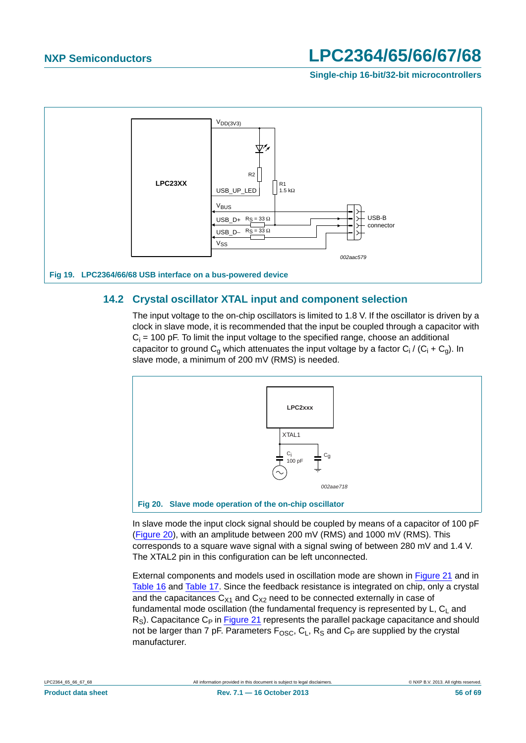**Single-chip 16-bit/32-bit microcontrollers**



### <span id="page-55-1"></span>**14.2 Crystal oscillator XTAL input and component selection**

The input voltage to the on-chip oscillators is limited to 1.8 V. If the oscillator is driven by a clock in slave mode, it is recommended that the input be coupled through a capacitor with  $C_i$  = 100 pF. To limit the input voltage to the specified range, choose an additional capacitor to ground C<sub>g</sub> which attenuates the input voltage by a factor C<sub>i</sub> / (C<sub>i</sub> + C<sub>g</sub>). In slave mode, a minimum of 200 mV (RMS) is needed.



<span id="page-55-0"></span>In slave mode the input clock signal should be coupled by means of a capacitor of 100 pF [\(Figure 20\)](#page-55-0), with an amplitude between 200 mV (RMS) and 1000 mV (RMS). This corresponds to a square wave signal with a signal swing of between 280 mV and 1.4 V. The XTAL2 pin in this configuration can be left unconnected.

External components and models used in oscillation mode are shown in [Figure 21](#page-56-0) and in [Table 16](#page-56-1) and [Table 17.](#page-56-2) Since the feedback resistance is integrated on chip, only a crystal and the capacitances  $C_{X1}$  and  $C_{X2}$  need to be connected externally in case of fundamental mode oscillation (the fundamental frequency is represented by  $L, C<sub>1</sub>$  and  $R<sub>S</sub>$ ). Capacitance C<sub>P</sub> in **Figure 21** represents the parallel package capacitance and should not be larger than 7 pF. Parameters  $F_{\text{OSC}}$ ,  $C_L$ ,  $R_S$  and  $C_P$  are supplied by the crystal manufacturer.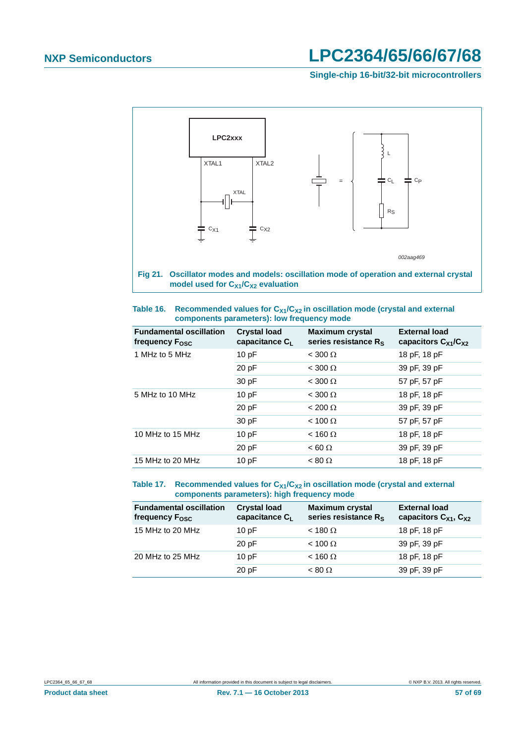**Single-chip 16-bit/32-bit microcontrollers**



<span id="page-56-1"></span><span id="page-56-0"></span>

| Table 16. | Recommended values for $C_{X1}/C_{X2}$ in oscillation mode (crystal and external |
|-----------|----------------------------------------------------------------------------------|
|           | components parameters): low frequency mode                                       |

| <b>Fundamental oscillation</b><br>frequency F <sub>OSC</sub> | <b>Crystal load</b><br>capacitance $C_L$ | <b>Maximum crystal</b><br>series resistance $R_s$ | <b>External load</b><br>capacitors $C_{X1}/C_{X2}$ |
|--------------------------------------------------------------|------------------------------------------|---------------------------------------------------|----------------------------------------------------|
| 1 MHz to 5 MHz                                               | 10pF                                     | $<$ 300 $\Omega$                                  | 18 pF, 18 pF                                       |
|                                                              | 20 pF                                    | $< 300 \Omega$                                    | 39 pF, 39 pF                                       |
|                                                              | 30 pF                                    | $<$ 300 $\Omega$                                  | 57 pF, 57 pF                                       |
| 5 MHz to 10 MHz                                              | 10pF                                     | $<$ 300 $\Omega$                                  | 18 pF, 18 pF                                       |
|                                                              | 20 pF                                    | $< 200 \Omega$                                    | 39 pF, 39 pF                                       |
|                                                              | 30 pF                                    | $< 100 \Omega$                                    | 57 pF, 57 pF                                       |
| 10 MHz to 15 MHz                                             | 10pF                                     | $<$ 160 $\Omega$                                  | 18 pF, 18 pF                                       |
|                                                              | 20 pF                                    | $< 60 \Omega$                                     | 39 pF, 39 pF                                       |
| 15 MHz to 20 MHz                                             | 10pF                                     | $< 80 \Omega$                                     | 18 pF, 18 pF                                       |

#### <span id="page-56-2"></span>Table 17. Recommended values for C<sub>X1</sub>/C<sub>X2</sub> in oscillation mode (crystal and external **components parameters): high frequency mode**

| <b>Fundamental oscillation</b><br>frequency F <sub>osc</sub> | <b>Crystal load</b><br>capacitance CL | <b>Maximum crystal</b><br>series resistance R <sub>S</sub> | <b>External load</b><br>capacitors $C_{X1}$ , $C_{X2}$ |
|--------------------------------------------------------------|---------------------------------------|------------------------------------------------------------|--------------------------------------------------------|
| 15 MHz to 20 MHz                                             | 10pF                                  | $<$ 180 $\Omega$                                           | 18 pF, 18 pF                                           |
|                                                              | 20pF                                  | $< 100 \Omega$                                             | 39 pF, 39 pF                                           |
| 20 MHz to 25 MHz                                             | 10pF                                  | $<$ 160 $\Omega$                                           | 18 pF, 18 pF                                           |
|                                                              | 20pF                                  | $< 80 \Omega$                                              | 39 pF, 39 pF                                           |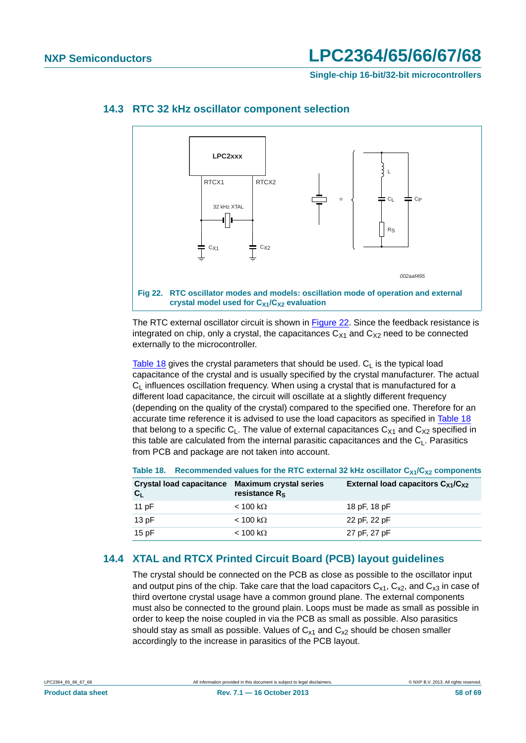**Single-chip 16-bit/32-bit microcontrollers**



#### <span id="page-57-2"></span>**14.3 RTC 32 kHz oscillator component selection**

<span id="page-57-0"></span>The RTC external oscillator circuit is shown in [Figure 22](#page-57-0). Since the feedback resistance is integrated on chip, only a crystal, the capacitances  $C_{X1}$  and  $C_{X2}$  need to be connected externally to the microcontroller.

[Table 18](#page-57-1) gives the crystal parameters that should be used.  $C<sub>1</sub>$  is the typical load capacitance of the crystal and is usually specified by the crystal manufacturer. The actual  $C<sub>l</sub>$  influences oscillation frequency. When using a crystal that is manufactured for a different load capacitance, the circuit will oscillate at a slightly different frequency (depending on the quality of the crystal) compared to the specified one. Therefore for an accurate time reference it is advised to use the load capacitors as specified in [Table 18](#page-57-1) that belong to a specific  $C_1$ . The value of external capacitances  $C_{X1}$  and  $C_{X2}$  specified in this table are calculated from the internal parasitic capacitances and the  $C_1$ . Parasitics from PCB and package are not taken into account.

<span id="page-57-1"></span>

|                           |                                                                                         | Table 18. Recommended values for the RTC external 32 kHz oscillator $C_{X1}/C_{X2}$ components |
|---------------------------|-----------------------------------------------------------------------------------------|------------------------------------------------------------------------------------------------|
| $\mathbf{C}_{\mathsf{L}}$ | Crystal load capacitance Maximum crystal series<br>resistance $\mathsf{R}_{\mathsf{S}}$ | External load capacitors $C_{X1}/C_{X2}$                                                       |

### 11 pF  $< 100 \text{ k}\Omega$  18 pF, 18 pF 13 pF  $< 100 \text{ k}\Omega$  22 pF, 22 pF  $15 pF$   $< 100 k\Omega$   $27 pF, 27 pF$

#### <span id="page-57-3"></span>**14.4 XTAL and RTCX Printed Circuit Board (PCB) layout guidelines**

The crystal should be connected on the PCB as close as possible to the oscillator input and output pins of the chip. Take care that the load capacitors  $C_{x1}$ ,  $C_{x2}$ , and  $C_{x3}$  in case of third overtone crystal usage have a common ground plane. The external components must also be connected to the ground plain. Loops must be made as small as possible in order to keep the noise coupled in via the PCB as small as possible. Also parasitics should stay as small as possible. Values of  $C_{x1}$  and  $C_{x2}$  should be chosen smaller accordingly to the increase in parasitics of the PCB layout.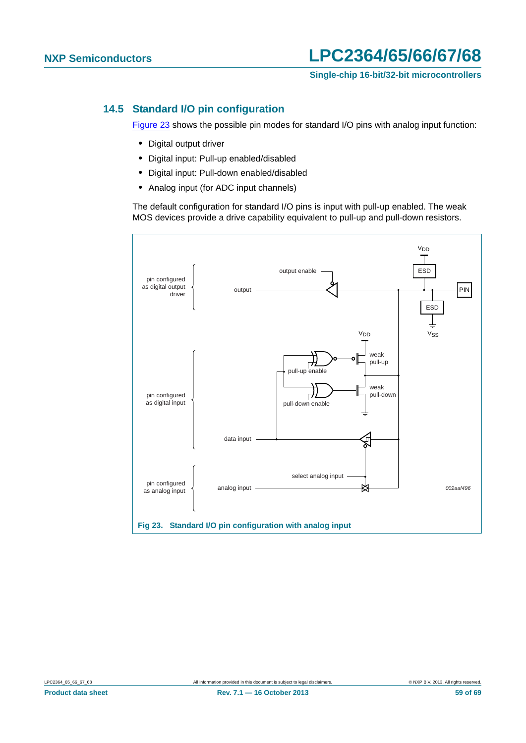**Single-chip 16-bit/32-bit microcontrollers**

### <span id="page-58-1"></span>**14.5 Standard I/O pin configuration**

[Figure 23](#page-58-0) shows the possible pin modes for standard I/O pins with analog input function:

- **•** Digital output driver
- **•** Digital input: Pull-up enabled/disabled
- **•** Digital input: Pull-down enabled/disabled
- **•** Analog input (for ADC input channels)

The default configuration for standard I/O pins is input with pull-up enabled. The weak MOS devices provide a drive capability equivalent to pull-up and pull-down resistors.

<span id="page-58-0"></span>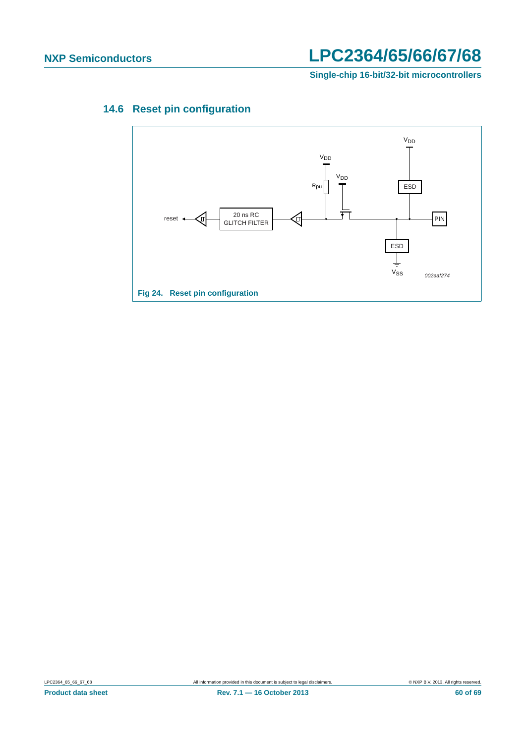**Single-chip 16-bit/32-bit microcontrollers**

## <span id="page-59-0"></span>**14.6 Reset pin configuration**

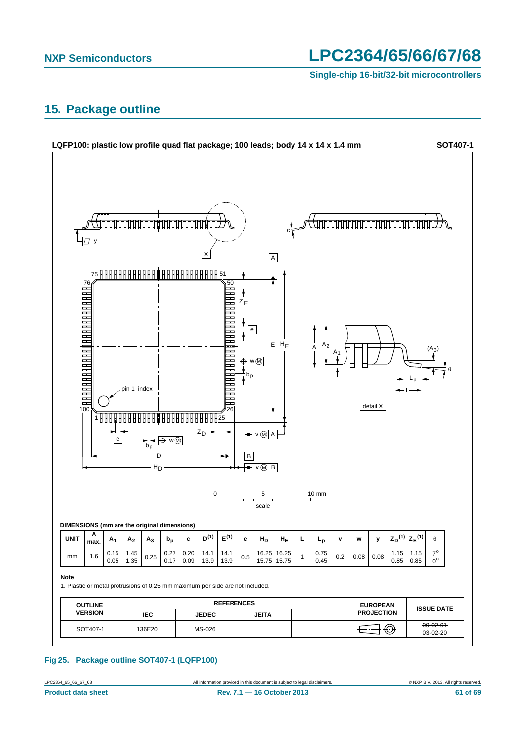**Single-chip 16-bit/32-bit microcontrollers**

### <span id="page-60-0"></span>**15. Package outline**



#### **Fig 25. Package outline SOT407-1 (LQFP100)**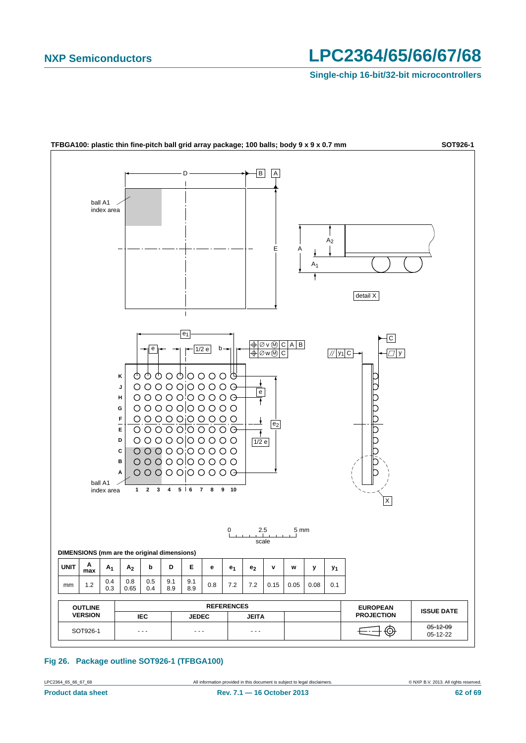**Single-chip 16-bit/32-bit microcontrollers**



**Fig 26. Package outline SOT926-1 (TFBGA100)**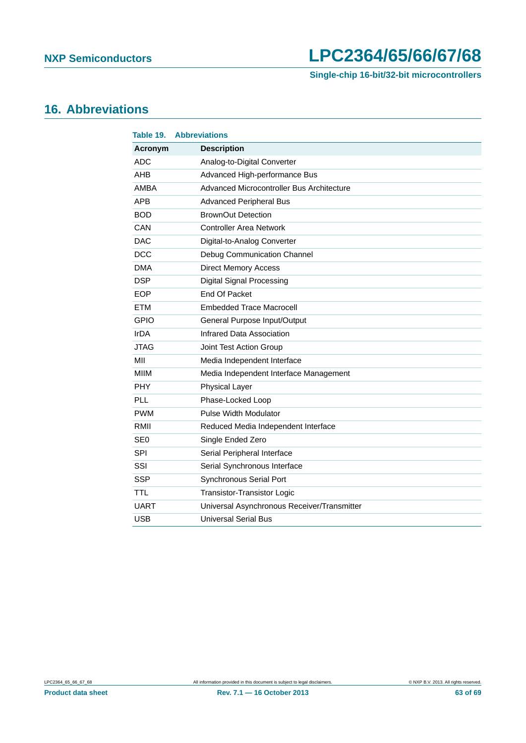**Single-chip 16-bit/32-bit microcontrollers**

# <span id="page-62-0"></span>**16. Abbreviations**

| Table 19.       | <b>Abbreviations</b>                        |
|-----------------|---------------------------------------------|
| Acronym         | <b>Description</b>                          |
| <b>ADC</b>      | Analog-to-Digital Converter                 |
| <b>AHB</b>      | Advanced High-performance Bus               |
| <b>AMBA</b>     | Advanced Microcontroller Bus Architecture   |
| <b>APB</b>      | <b>Advanced Peripheral Bus</b>              |
| <b>BOD</b>      | <b>BrownOut Detection</b>                   |
| CAN             | <b>Controller Area Network</b>              |
| <b>DAC</b>      | Digital-to-Analog Converter                 |
| <b>DCC</b>      | Debug Communication Channel                 |
| <b>DMA</b>      | <b>Direct Memory Access</b>                 |
| <b>DSP</b>      | Digital Signal Processing                   |
| <b>EOP</b>      | End Of Packet                               |
| <b>ETM</b>      | <b>Embedded Trace Macrocell</b>             |
| <b>GPIO</b>     | General Purpose Input/Output                |
| <b>IrDA</b>     | Infrared Data Association                   |
| <b>JTAG</b>     | Joint Test Action Group                     |
| MII             | Media Independent Interface                 |
| <b>MIIM</b>     | Media Independent Interface Management      |
| <b>PHY</b>      | <b>Physical Layer</b>                       |
| PLL             | Phase-Locked Loop                           |
| <b>PWM</b>      | <b>Pulse Width Modulator</b>                |
| RMII            | Reduced Media Independent Interface         |
| SE <sub>0</sub> | Single Ended Zero                           |
| SPI             | Serial Peripheral Interface                 |
| SSI             | Serial Synchronous Interface                |
| <b>SSP</b>      | Synchronous Serial Port                     |
| <b>TTL</b>      | <b>Transistor-Transistor Logic</b>          |
| <b>UART</b>     | Universal Asynchronous Receiver/Transmitter |
| <b>USB</b>      | <b>Universal Serial Bus</b>                 |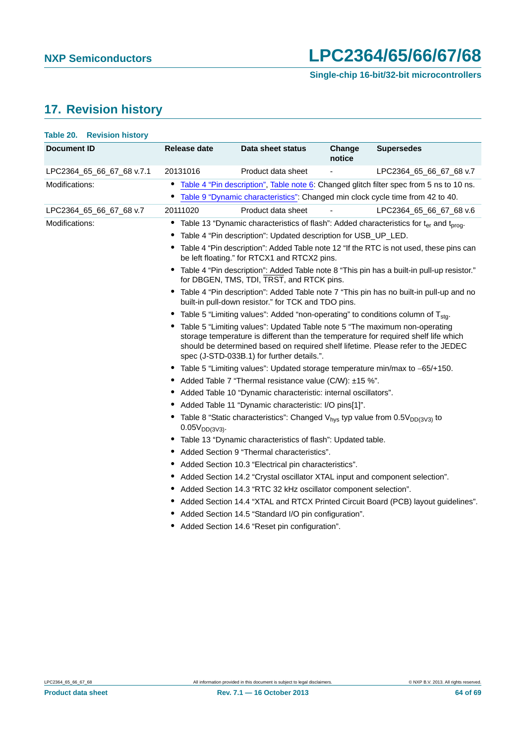# <span id="page-63-0"></span>**17. Revision history**

| Table 20. Revision history |                                                                                                                                                                                                                                                                                                     |                                                                                             |                  |                                                                                                                |  |  |
|----------------------------|-----------------------------------------------------------------------------------------------------------------------------------------------------------------------------------------------------------------------------------------------------------------------------------------------------|---------------------------------------------------------------------------------------------|------------------|----------------------------------------------------------------------------------------------------------------|--|--|
| <b>Document ID</b>         | Release date                                                                                                                                                                                                                                                                                        | Data sheet status                                                                           | Change<br>notice | <b>Supersedes</b>                                                                                              |  |  |
| LPC2364_65_66_67_68 v.7.1  | 20131016                                                                                                                                                                                                                                                                                            | Product data sheet                                                                          |                  | LPC2364_65_66_67_68 v.7                                                                                        |  |  |
| Modifications:             | $\bullet$                                                                                                                                                                                                                                                                                           |                                                                                             |                  | Table 4 "Pin description", Table note 6: Changed glitch filter spec from 5 ns to 10 ns.                        |  |  |
|                            | $\bullet$                                                                                                                                                                                                                                                                                           | Table 9 "Dynamic characteristics": Changed min clock cycle time from 42 to 40.              |                  |                                                                                                                |  |  |
| LPC2364_65_66_67_68 v.7    | 20111020                                                                                                                                                                                                                                                                                            | Product data sheet                                                                          |                  | LPC2364 65 66 67 68 v.6                                                                                        |  |  |
| Modifications:             |                                                                                                                                                                                                                                                                                                     |                                                                                             |                  | Table 13 "Dynamic characteristics of flash": Added characteristics for t <sub>er</sub> and t <sub>prog</sub> . |  |  |
|                            |                                                                                                                                                                                                                                                                                                     | Table 4 "Pin description": Updated description for USB_UP_LED.                              |                  |                                                                                                                |  |  |
|                            |                                                                                                                                                                                                                                                                                                     | be left floating." for RTCX1 and RTCX2 pins.                                                |                  | Table 4 "Pin description": Added Table note 12 "If the RTC is not used, these pins can                         |  |  |
|                            |                                                                                                                                                                                                                                                                                                     | for DBGEN, TMS, TDI, TRST, and RTCK pins.                                                   |                  | • Table 4 "Pin description": Added Table note 8 "This pin has a built-in pull-up resistor."                    |  |  |
|                            | $\bullet$                                                                                                                                                                                                                                                                                           | built-in pull-down resistor." for TCK and TDO pins.                                         |                  | Table 4 "Pin description": Added Table note 7 "This pin has no built-in pull-up and no                         |  |  |
|                            |                                                                                                                                                                                                                                                                                                     | Table 5 "Limiting values": Added "non-operating" to conditions column of T <sub>sta</sub> . |                  |                                                                                                                |  |  |
|                            | Table 5 "Limiting values": Updated Table note 5 "The maximum non-operating<br>storage temperature is different than the temperature for required shelf life which<br>should be determined based on required shelf lifetime. Please refer to the JEDEC<br>spec (J-STD-033B.1) for further details.". |                                                                                             |                  |                                                                                                                |  |  |
|                            |                                                                                                                                                                                                                                                                                                     | Table 5 "Limiting values": Updated storage temperature min/max to -65/+150.                 |                  |                                                                                                                |  |  |
|                            | Added Table 7 "Thermal resistance value (C/W): ±15 %".                                                                                                                                                                                                                                              |                                                                                             |                  |                                                                                                                |  |  |
|                            |                                                                                                                                                                                                                                                                                                     | Added Table 10 "Dynamic characteristic: internal oscillators".                              |                  |                                                                                                                |  |  |
|                            | Added Table 11 "Dynamic characteristic: I/O pins[1]".                                                                                                                                                                                                                                               |                                                                                             |                  |                                                                                                                |  |  |
|                            | • Table 8 "Static characteristics": Changed $V_{hvs}$ typ value from 0.5 $V_{DD(3V3)}$ to<br>$0.05V_{DD(3V3)}$ .                                                                                                                                                                                    |                                                                                             |                  |                                                                                                                |  |  |
|                            |                                                                                                                                                                                                                                                                                                     | • Table 13 "Dynamic characteristics of flash": Updated table.                               |                  |                                                                                                                |  |  |
|                            |                                                                                                                                                                                                                                                                                                     | • Added Section 9 "Thermal characteristics".                                                |                  |                                                                                                                |  |  |
|                            |                                                                                                                                                                                                                                                                                                     | Added Section 10.3 "Electrical pin characteristics".                                        |                  |                                                                                                                |  |  |
|                            |                                                                                                                                                                                                                                                                                                     | Added Section 14.2 "Crystal oscillator XTAL input and component selection".                 |                  |                                                                                                                |  |  |
|                            |                                                                                                                                                                                                                                                                                                     | Added Section 14.3 "RTC 32 kHz oscillator component selection".                             |                  |                                                                                                                |  |  |
|                            |                                                                                                                                                                                                                                                                                                     |                                                                                             |                  | Added Section 14.4 "XTAL and RTCX Printed Circuit Board (PCB) layout guidelines".                              |  |  |
|                            |                                                                                                                                                                                                                                                                                                     | Added Section 14.5 "Standard I/O pin configuration".                                        |                  |                                                                                                                |  |  |
|                            |                                                                                                                                                                                                                                                                                                     | Added Section 14.6 "Reset pin configuration".                                               |                  |                                                                                                                |  |  |
|                            |                                                                                                                                                                                                                                                                                                     |                                                                                             |                  |                                                                                                                |  |  |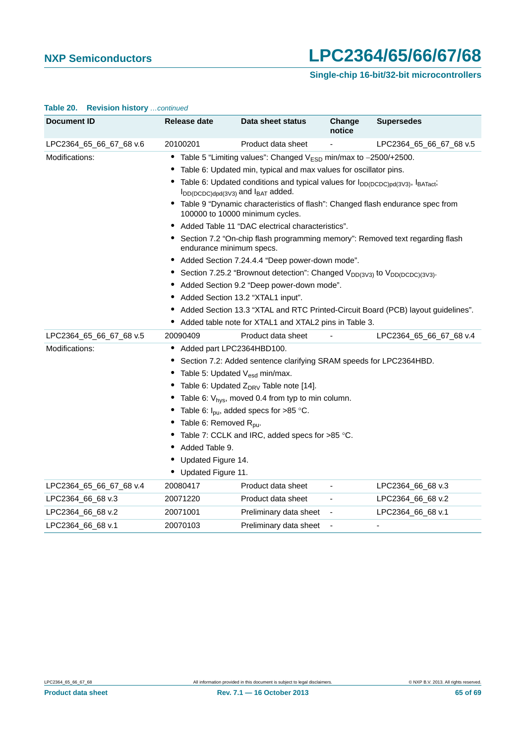### **Single-chip 16-bit/32-bit microcontrollers**

| Document ID             | Release date                               | Data sheet status                                                                                                                                      | Change<br>notice         | <b>Supersedes</b>                                                                |
|-------------------------|--------------------------------------------|--------------------------------------------------------------------------------------------------------------------------------------------------------|--------------------------|----------------------------------------------------------------------------------|
| LPC2364_65_66_67_68 v.6 | 20100201                                   | Product data sheet                                                                                                                                     |                          | LPC2364_65_66_67_68 v.5                                                          |
| Modifications:          |                                            | Table 5 "Limiting values": Changed $V_{ESD}$ min/max to $-2500/+2500$ .                                                                                |                          |                                                                                  |
|                         |                                            | Table 6: Updated min, typical and max values for oscillator pins.                                                                                      |                          |                                                                                  |
|                         |                                            | Table 6: Updated conditions and typical values for I <sub>DD(DCDC)pd(3V3)</sub> , I <sub>BATact</sub> ;<br>$I_{DD(DCDC)dpd(3V3)}$ and $I_{BAT}$ added. |                          |                                                                                  |
|                         |                                            | Table 9 "Dynamic characteristics of flash": Changed flash endurance spec from<br>100000 to 10000 minimum cycles.                                       |                          |                                                                                  |
|                         |                                            | Added Table 11 "DAC electrical characteristics".                                                                                                       |                          |                                                                                  |
|                         | endurance minimum specs.                   |                                                                                                                                                        |                          | Section 7.2 "On-chip flash programming memory": Removed text regarding flash     |
|                         |                                            | • Added Section 7.24.4.4 "Deep power-down mode".                                                                                                       |                          |                                                                                  |
|                         |                                            | • Section 7.25.2 "Brownout detection": Changed V <sub>DD(3V3)</sub> to V <sub>DD(DCDC)(3V3)</sub> .                                                    |                          |                                                                                  |
|                         |                                            | Added Section 9.2 "Deep power-down mode".                                                                                                              |                          |                                                                                  |
|                         |                                            | Added Section 13.2 "XTAL1 input".                                                                                                                      |                          |                                                                                  |
|                         |                                            |                                                                                                                                                        |                          | Added Section 13.3 "XTAL and RTC Printed-Circuit Board (PCB) layout guidelines". |
|                         |                                            | Added table note for XTAL1 and XTAL2 pins in Table 3.                                                                                                  |                          |                                                                                  |
| LPC2364_65_66_67_68 v.5 | 20090409                                   | Product data sheet                                                                                                                                     |                          | LPC2364 65 66 67 68 v.4                                                          |
| Modifications:          | Added part LPC2364HBD100.                  |                                                                                                                                                        |                          |                                                                                  |
|                         |                                            | Section 7.2: Added sentence clarifying SRAM speeds for LPC2364HBD.                                                                                     |                          |                                                                                  |
|                         | Table 5: Updated V <sub>esd</sub> min/max. |                                                                                                                                                        |                          |                                                                                  |
|                         |                                            | Table 6: Updated $Z_{DRV}$ Table note [14].                                                                                                            |                          |                                                                                  |
|                         |                                            | Table 6: $V_{hys}$ , moved 0.4 from typ to min column.                                                                                                 |                          |                                                                                  |
|                         |                                            | Table 6: $I_{\text{pu}}$ , added specs for >85 °C.                                                                                                     |                          |                                                                                  |
|                         | Table 6: Removed R <sub>pu</sub> .         |                                                                                                                                                        |                          |                                                                                  |
|                         |                                            | Table 7: CCLK and IRC, added specs for >85 °C.                                                                                                         |                          |                                                                                  |
|                         | Added Table 9.                             |                                                                                                                                                        |                          |                                                                                  |
|                         | Updated Figure 14.                         |                                                                                                                                                        |                          |                                                                                  |
|                         | Updated Figure 11.                         |                                                                                                                                                        |                          |                                                                                  |
| LPC2364_65_66_67_68 v.4 | 20080417                                   | Product data sheet                                                                                                                                     |                          | LPC2364_66_68 v.3                                                                |
| LPC2364_66_68 v.3       | 20071220                                   | Product data sheet                                                                                                                                     | $\overline{\phantom{a}}$ | LPC2364_66_68 v.2                                                                |
| LPC2364_66_68 v.2       | 20071001                                   | Preliminary data sheet                                                                                                                                 | $\overline{\phantom{a}}$ | LPC2364_66_68 v.1                                                                |
| LPC2364_66_68 v.1       | 20070103                                   | Preliminary data sheet                                                                                                                                 |                          | ٠                                                                                |

#### **Table 20. Revision history** *…continued*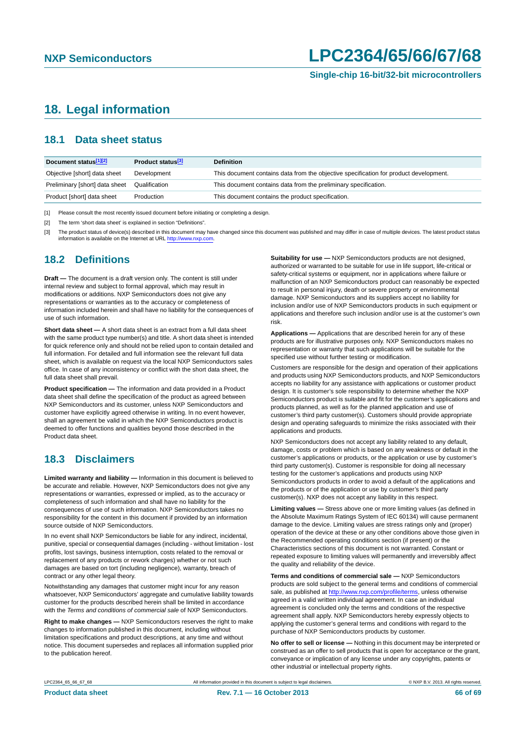### <span id="page-65-3"></span>**18. Legal information**

### <span id="page-65-4"></span>**18.1 Data sheet status**

| Document status[1][2]          | <b>Product status</b> <sup>[3]</sup> | <b>Definition</b>                                                                     |
|--------------------------------|--------------------------------------|---------------------------------------------------------------------------------------|
| Objective [short] data sheet   | Development                          | This document contains data from the objective specification for product development. |
| Preliminary [short] data sheet | Qualification                        | This document contains data from the preliminary specification.                       |
| Product [short] data sheet     | Production                           | This document contains the product specification.                                     |

<span id="page-65-0"></span>[1] Please consult the most recently issued document before initiating or completing a design.

<span id="page-65-1"></span>[2] The term 'short data sheet' is explained in section "Definitions".

<span id="page-65-2"></span>[3] The product status of device(s) described in this document may have changed since this document was published and may differ in case of multiple devices. The latest product status<br>information is available on the Intern

#### <span id="page-65-5"></span>**18.2 Definitions**

**Draft —** The document is a draft version only. The content is still under internal review and subject to formal approval, which may result in modifications or additions. NXP Semiconductors does not give any representations or warranties as to the accuracy or completeness of information included herein and shall have no liability for the consequences of use of such information.

**Short data sheet —** A short data sheet is an extract from a full data sheet with the same product type number(s) and title. A short data sheet is intended for quick reference only and should not be relied upon to contain detailed and full information. For detailed and full information see the relevant full data sheet, which is available on request via the local NXP Semiconductors sales office. In case of any inconsistency or conflict with the short data sheet, the full data sheet shall prevail.

**Product specification —** The information and data provided in a Product data sheet shall define the specification of the product as agreed between NXP Semiconductors and its customer, unless NXP Semiconductors and customer have explicitly agreed otherwise in writing. In no event however, shall an agreement be valid in which the NXP Semiconductors product is deemed to offer functions and qualities beyond those described in the Product data sheet.

### <span id="page-65-6"></span>**18.3 Disclaimers**

**Limited warranty and liability —** Information in this document is believed to be accurate and reliable. However, NXP Semiconductors does not give any representations or warranties, expressed or implied, as to the accuracy or completeness of such information and shall have no liability for the consequences of use of such information. NXP Semiconductors takes no responsibility for the content in this document if provided by an information source outside of NXP Semiconductors.

In no event shall NXP Semiconductors be liable for any indirect, incidental, punitive, special or consequential damages (including - without limitation - lost profits, lost savings, business interruption, costs related to the removal or replacement of any products or rework charges) whether or not such damages are based on tort (including negligence), warranty, breach of contract or any other legal theory.

Notwithstanding any damages that customer might incur for any reason whatsoever, NXP Semiconductors' aggregate and cumulative liability towards customer for the products described herein shall be limited in accordance with the *Terms and conditions of commercial sale* of NXP Semiconductors.

**Right to make changes —** NXP Semiconductors reserves the right to make changes to information published in this document, including without limitation specifications and product descriptions, at any time and without notice. This document supersedes and replaces all information supplied prior to the publication hereof.

**Suitability for use —** NXP Semiconductors products are not designed, authorized or warranted to be suitable for use in life support, life-critical or safety-critical systems or equipment, nor in applications where failure or malfunction of an NXP Semiconductors product can reasonably be expected to result in personal injury, death or severe property or environmental damage. NXP Semiconductors and its suppliers accept no liability for inclusion and/or use of NXP Semiconductors products in such equipment or applications and therefore such inclusion and/or use is at the customer's own risk.

**Applications —** Applications that are described herein for any of these products are for illustrative purposes only. NXP Semiconductors makes no representation or warranty that such applications will be suitable for the specified use without further testing or modification.

Customers are responsible for the design and operation of their applications and products using NXP Semiconductors products, and NXP Semiconductors accepts no liability for any assistance with applications or customer product design. It is customer's sole responsibility to determine whether the NXP Semiconductors product is suitable and fit for the customer's applications and products planned, as well as for the planned application and use of customer's third party customer(s). Customers should provide appropriate design and operating safeguards to minimize the risks associated with their applications and products.

NXP Semiconductors does not accept any liability related to any default, damage, costs or problem which is based on any weakness or default in the customer's applications or products, or the application or use by customer's third party customer(s). Customer is responsible for doing all necessary testing for the customer's applications and products using NXP Semiconductors products in order to avoid a default of the applications and the products or of the application or use by customer's third party customer(s). NXP does not accept any liability in this respect.

**Limiting values —** Stress above one or more limiting values (as defined in the Absolute Maximum Ratings System of IEC 60134) will cause permanent damage to the device. Limiting values are stress ratings only and (proper) operation of the device at these or any other conditions above those given in the Recommended operating conditions section (if present) or the Characteristics sections of this document is not warranted. Constant or repeated exposure to limiting values will permanently and irreversibly affect the quality and reliability of the device.

**Terms and conditions of commercial sale —** NXP Semiconductors products are sold subject to the general terms and conditions of commercial sale, as published at<http://www.nxp.com/profile/terms>, unless otherwise agreed in a valid written individual agreement. In case an individual agreement is concluded only the terms and conditions of the respective agreement shall apply. NXP Semiconductors hereby expressly objects to applying the customer's general terms and conditions with regard to the purchase of NXP Semiconductors products by customer.

**No offer to sell or license —** Nothing in this document may be interpreted or construed as an offer to sell products that is open for acceptance or the grant, conveyance or implication of any license under any copyrights, patents or other industrial or intellectual property rights.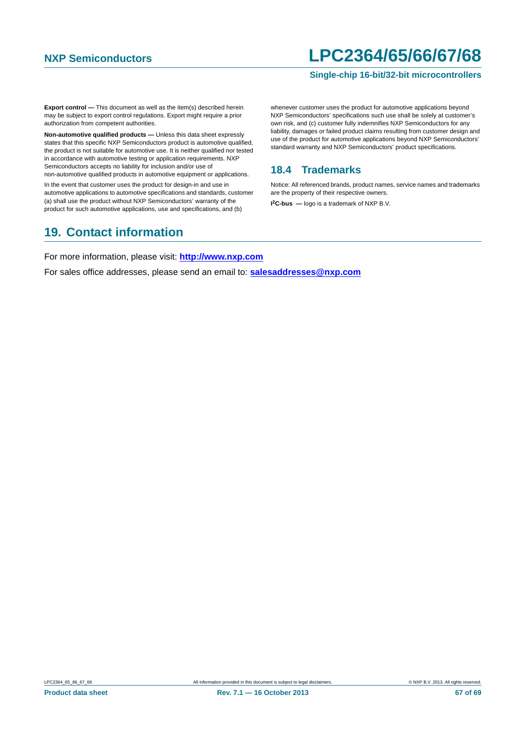#### **Single-chip 16-bit/32-bit microcontrollers**

**Export control —** This document as well as the item(s) described herein may be subject to export control regulations. Export might require a prior authorization from competent authorities.

**Non-automotive qualified products —** Unless this data sheet expressly states that this specific NXP Semiconductors product is automotive qualified, the product is not suitable for automotive use. It is neither qualified nor tested in accordance with automotive testing or application requirements. NXP Semiconductors accepts no liability for inclusion and/or use of non-automotive qualified products in automotive equipment or applications.

In the event that customer uses the product for design-in and use in automotive applications to automotive specifications and standards, customer (a) shall use the product without NXP Semiconductors' warranty of the product for such automotive applications, use and specifications, and (b)

### <span id="page-66-1"></span>**19. Contact information**

whenever customer uses the product for automotive applications beyond NXP Semiconductors' specifications such use shall be solely at customer's own risk, and (c) customer fully indemnifies NXP Semiconductors for any liability, damages or failed product claims resulting from customer design and use of the product for automotive applications beyond NXP Semiconductors' standard warranty and NXP Semiconductors' product specifications.

### <span id="page-66-0"></span>**18.4 Trademarks**

Notice: All referenced brands, product names, service names and trademarks are the property of their respective owners. **I 2C-bus —** logo is a trademark of NXP B.V.

For more information, please visit: **http://www.nxp.com**

For sales office addresses, please send an email to: **salesaddresses@nxp.com**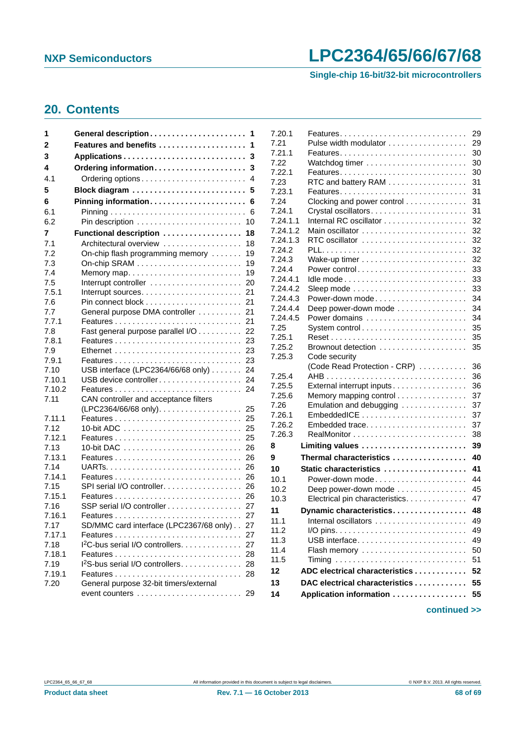**Single-chip 16-bit/32-bit microcontrollers**

### <span id="page-67-0"></span>**20. Contents**

| 1              | General description<br>-1                                             |
|----------------|-----------------------------------------------------------------------|
| 2              | Features and benefits<br>1                                            |
| 3              | 3                                                                     |
| 4              | Ordering information<br>3                                             |
| 4.1            | Ordering options<br>4                                                 |
| 5              | Block diagram<br>5                                                    |
| 6              | Pinning information<br>6                                              |
| 6.1            | 6                                                                     |
| 6.2            | 10                                                                    |
| 7              | Functional description<br>18                                          |
| 7.1            | Architectural overview<br>18                                          |
| 7.2            | On-chip flash programming memory<br>19                                |
| 7.3            | 19<br>On-chip SRAM $\ldots \ldots \ldots \ldots \ldots \ldots \ldots$ |
| 7.4            | 19<br>Memory map                                                      |
| 7.5            | 20                                                                    |
| 7.5.1          | 21                                                                    |
| 7.6            | 21                                                                    |
| 7.7            | 21<br>General purpose DMA controller                                  |
| 7.7.1          | 21                                                                    |
| 7.8            | Fast general purpose parallel I/O<br>22                               |
| 7.8.1          | Features<br>23                                                        |
| 7.9            | 23                                                                    |
| 7.9.1          | 23<br>Features                                                        |
| 7.10           | USB interface (LPC2364/66/68 only)<br>24                              |
| 7.10.1         | USB device controller<br>24                                           |
| 7.10.2         | 24                                                                    |
| 7.11           | CAN controller and acceptance filters                                 |
|                | (LPC2364/66/68 only).<br>25                                           |
| 7.11.1         | 25                                                                    |
| 7.12<br>7.12.1 | 25                                                                    |
| 7.13           | 25<br>26                                                              |
| 7.13.1         | 26                                                                    |
| 7.14           | 26                                                                    |
| 7.14.1         | 26<br>Features                                                        |
| 7.15           | SPI serial I/O controller.<br>26                                      |
| 7.15.1         | 26                                                                    |
| 7.16           | SSP serial I/O controller<br>27                                       |
| 7.16.1         | 27                                                                    |
| 7.17           | SD/MMC card interface (LPC2367/68 only)<br>27                         |
| 7.17.1         | 27                                                                    |
| 7.18           | I <sup>2</sup> C-bus serial I/O controllers.<br>27                    |
| 7.18.1         | 28                                                                    |
| 7.19           | 1 <sup>2</sup> S-bus serial I/O controllers<br>28                     |
| 7.19.1         | 28                                                                    |
| 7.20           | General purpose 32-bit timers/external                                |
|                | $event$ counters $\ldots \ldots \ldots \ldots \ldots \ldots$<br>29    |
|                |                                                                       |

| 7.20.1               |                                 | 29       |
|----------------------|---------------------------------|----------|
| 7.21                 | Pulse width modulator           | 29       |
| 7.21.1               | Features                        | 30       |
| 7.22                 |                                 | 30       |
| 7.22.1               |                                 | 30       |
| 7.23                 | RTC and battery RAM             | 31       |
| 7.23.1               |                                 | 31       |
| 7.24                 | Clocking and power control      | 31       |
| 7.24.1               |                                 | 31       |
| 7.24.1.1             |                                 | 32       |
| 7.24.1.2             |                                 | 32       |
| 7.24.1.3             | RTC oscillator                  | 32       |
| 7.24.2               |                                 | 32       |
| 7.24.3               |                                 | 32       |
| 7.24.4               | Power control                   | 33       |
| 7.24.4.1             |                                 | 33       |
| 7.24.4.2             |                                 | 33       |
| 7.24.4.3<br>7.24.4.4 | Power-down mode                 | 34       |
|                      | Deep power-down mode            | 34       |
| 7.24.4.5<br>7.25     | Power domains<br>System control | 34<br>35 |
| 7.25.1               |                                 | 35       |
| 7.25.2               |                                 | 35       |
| 7.25.3               | Code security                   |          |
|                      | (Code Read Protection - CRP)    | 36       |
| 7.25.4               |                                 | 36       |
| 7.25.5               | External interrupt inputs       | 36       |
| 7.25.6               | Memory mapping control          | 37       |
| 7.26                 | Emulation and debugging         | 37       |
| 7.26.1               |                                 | 37       |
| 7.26.2               | Embedded trace                  | 37       |
| 7.26.3               |                                 | 38       |
| 8                    | Limiting values                 | 39       |
| 9                    | Thermal characteristics         | 40       |
| 10                   | Static characteristics          | 41       |
| 10.1                 | Power-down mode                 | 44       |
| 10.2                 | Deep power-down mode            | 45       |
| 10.3                 | Electrical pin characteristics. | 47       |
| 11                   | Dynamic characteristics         | 48       |
| 11.1                 |                                 | 49       |
| 11.2                 |                                 | 49       |
| 11.3                 | USB interface                   | 49       |
| 11.4                 | Flash memory                    | 50       |
| 11.5                 |                                 | 51       |
| 12                   | ADC electrical characteristics  | 52       |
| 13                   | DAC electrical characteristics  | 55       |
|                      |                                 |          |
| 14                   | Application information         | 55       |
|                      |                                 |          |

**continued >>**